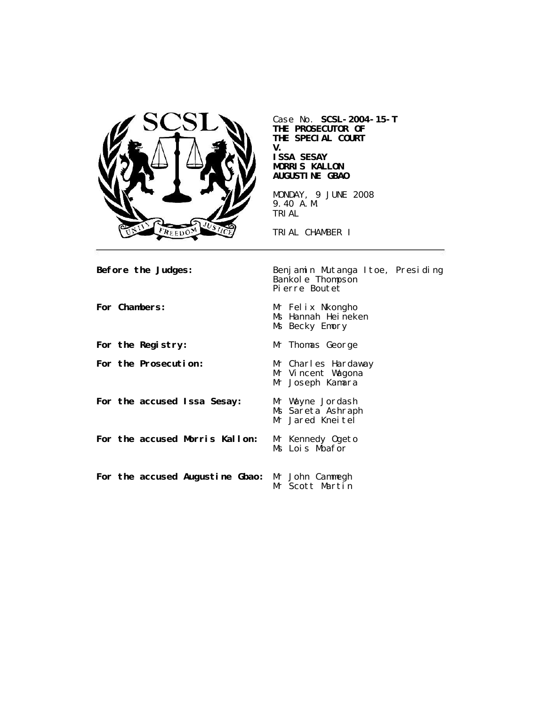

Case No. **SCSL-2004-15-T THE PROSECUTOR OF THE SPECIAL COURT V. ISSA SESAY MORRIS KALLON AUGUSTINE GBAO** MONDAY, 9 JUNE 2008

9.40 A.M. TRIAL

TRIAL CHAMBER I

**Before the Judges:** Benjamin Mutanga Itoe, Presiding Bankole Thompson Pierre Boutet

For Chambers: Mr Felix Nkongho Ms Hannah Heineken Ms Becky Emory For the Registry: Mr Thomas George **For the Prosecution:** Mr Charles Hardaway Mr Vincent Wagona Mr Joseph Kamara **For the accused Issa Sesay:** Mr Wayne Jordash Ms Sareta Ashraph Mr Jared Kneitel **For the accused Morris Kallon:** Mr Kennedy Ogeto Ms Lois Mbafor **For the accused Augustine Gbao:** Mr John Cammegh Mr Scott Martin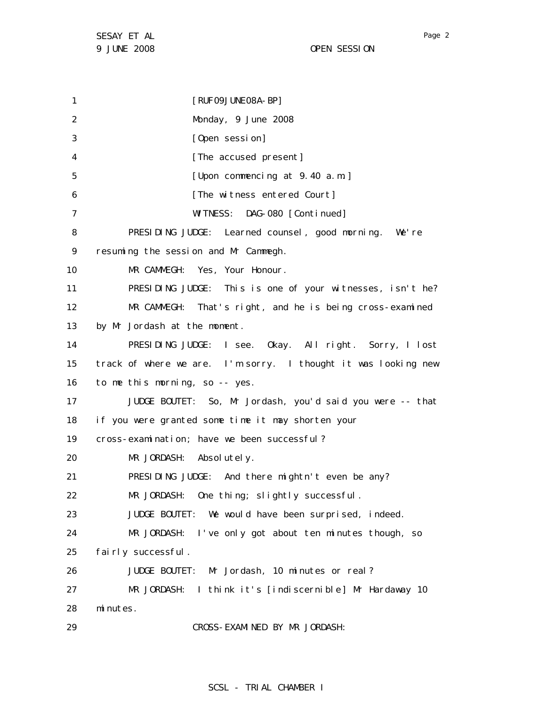1 2 3 4 5 6 7 8 9 10 11 12 13 14 15 16 17 18 19 20 21 22 23 24 25 26 27 28 29 [RUF09JUNE08A-BP] Monday, 9 June 2008 [Open session] [The accused present] [Upon commencing at 9.40 a.m.] [The witness entered Court] WITNESS: DAG-080 [Continued] PRESIDING JUDGE: Learned counsel, good morning. We're resuming the session and Mr Cammegh. MR CAMMEGH: Yes, Your Honour. PRESIDING JUDGE: This is one of your witnesses, isn't he? MR CAMMEGH: That's right, and he is being cross-examined by Mr Jordash at the moment. PRESIDING JUDGE: I see. Okay. All right. Sorry, I lost track of where we are. I'm sorry. I thought it was looking new to me this morning, so -- yes. JUDGE BOUTET: So, Mr Jordash, you'd said you were -- that if you were granted some time it may shorten your cross-examination; have we been successful? MR JORDASH: Absolutely. PRESIDING JUDGE: And there mightn't even be any? MR JORDASH: One thing; slightly successful. JUDGE BOUTET: We would have been surprised, indeed. MR JORDASH: I've only got about ten minutes though, so fairly successful. JUDGE BOUTET: Mr Jordash, 10 minutes or real? MR JORDASH: I think it's [indiscernible] Mr Hardaway 10 minutes. CROSS-EXAMINED BY MR JORDASH:

Page 2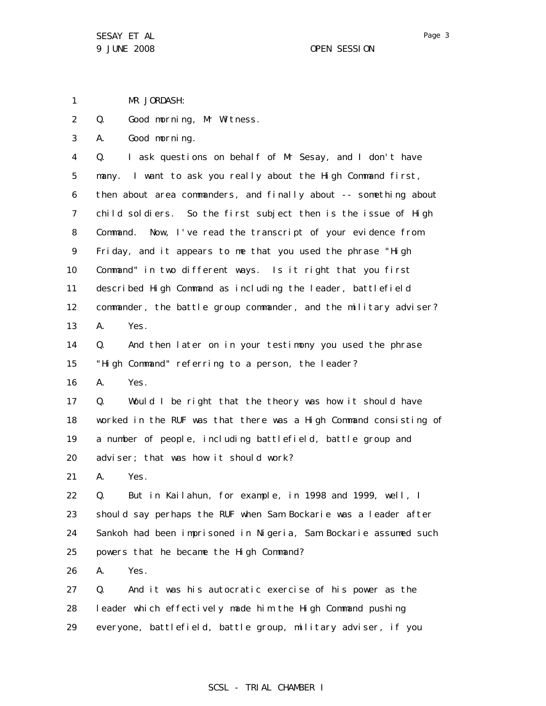1 MR JORDASH:

2 Q. Good morning, Mr Witness.

3 A. Good morning.

4 5 6 7 8 9 10 11 12 13 Q. I ask questions on behalf of Mr Sesay, and I don't have many. I want to ask you really about the High Command first, then about area commanders, and finally about -- something about child soldiers. So the first subject then is the issue of High Command. Now, I've read the transcript of your evidence from Friday, and it appears to me that you used the phrase "High Command" in two different ways. Is it right that you first described High Command as including the leader, battlefield commander, the battle group commander, and the military adviser? A. Yes.

14 15 Q. And then later on in your testimony you used the phrase "High Command" referring to a person, the leader?

16 A. Yes.

17 18 19 20 Q. Would I be right that the theory was how it should have worked in the RUF was that there was a High Command consisting of a number of people, including battlefield, battle group and adviser; that was how it should work?

21 A. Yes.

22 23 24 25 Q. But in Kailahun, for example, in 1998 and 1999, well, I should say perhaps the RUF when Sam Bockarie was a leader after Sankoh had been imprisoned in Nigeria, Sam Bockarie assumed such powers that he became the High Command?

26 A. Yes.

27 28 29 Q. And it was his autocratic exercise of his power as the leader which effectively made him the High Command pushing everyone, battlefield, battle group, military adviser, if you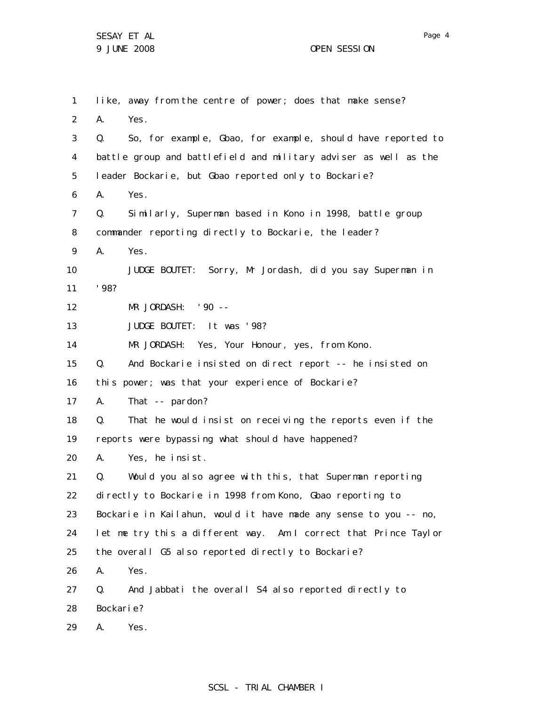Page 4

1 2 3 4 5 6 7 8 9 10 11 12 13 14 15 16 17 18 19 20 21 22 23 24 25 26 27 28 29 like, away from the centre of power; does that make sense? A. Yes. Q. So, for example, Gbao, for example, should have reported to battle group and battlefield and military adviser as well as the leader Bockarie, but Gbao reported only to Bockarie? A. Yes. Q. Similarly, Superman based in Kono in 1998, battle group commander reporting directly to Bockarie, the leader? A. Yes. JUDGE BOUTET: Sorry, Mr Jordash, did you say Superman in '98? MR JORDASH: '90 -- JUDGE BOUTET: It was '98? MR JORDASH: Yes, Your Honour, yes, from Kono. Q. And Bockarie insisted on direct report -- he insisted on this power; was that your experience of Bockarie? A. That -- pardon? Q. That he would insist on receiving the reports even if the reports were bypassing what should have happened? A. Yes, he insist. Q. Would you also agree with this, that Superman reporting directly to Bockarie in 1998 from Kono, Gbao reporting to Bockarie in Kailahun, would it have made any sense to you -- no, let me try this a different way. Am I correct that Prince Taylor the overall G5 also reported directly to Bockarie? A. Yes. Q. And Jabbati the overall S4 also reported directly to Bockarie? A. Yes.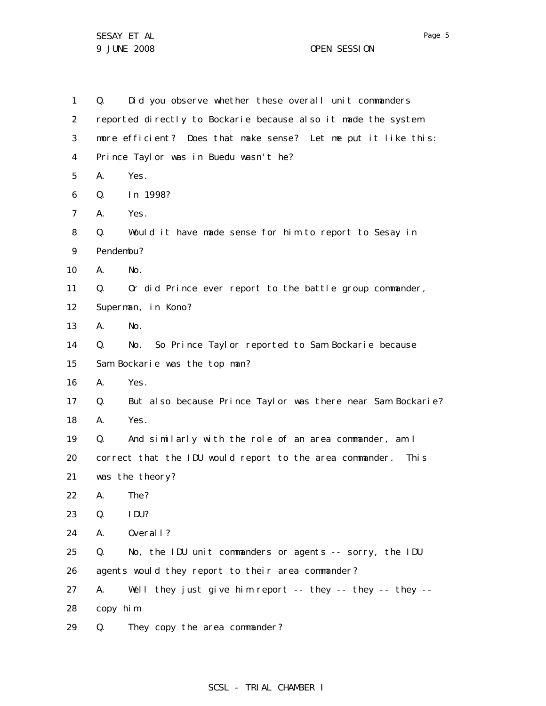SESAY ET AL 9 JUNE 2008 OPEN SESSION

| 1  | Q.                                                             | Did you observe whether these overall unit commanders       |  |
|----|----------------------------------------------------------------|-------------------------------------------------------------|--|
| 2  | reported directly to Bockarie because also it made the system  |                                                             |  |
| 3  | more efficient? Does that make sense? Let me put it like this: |                                                             |  |
| 4  | Prince Taylor was in Buedu wasn't he?                          |                                                             |  |
| 5  | А.                                                             | Yes.                                                        |  |
| 6  | Q.                                                             | In 1998?                                                    |  |
| 7  | А.                                                             | Yes.                                                        |  |
| 8  | Q.                                                             | Would it have made sense for him to report to Sesay in      |  |
| 9  | Pendembu?                                                      |                                                             |  |
| 10 | А.                                                             | No.                                                         |  |
| 11 | Q.                                                             | Or did Prince ever report to the battle group commander,    |  |
| 12 | Superman, in Kono?                                             |                                                             |  |
| 13 | А.                                                             | No.                                                         |  |
| 14 | Q.                                                             | No. So Prince Taylor reported to Sam Bockarie because       |  |
| 15 | Sam Bockarie was the top man?                                  |                                                             |  |
| 16 | А.                                                             | Yes.                                                        |  |
| 17 | Q.                                                             | But also because Prince Taylor was there near Sam Bockarie? |  |
| 18 | А.                                                             | Yes.                                                        |  |
| 19 | Q.                                                             | And similarly with the role of an area commander, am I      |  |
| 20 | correct that the IDU would report to the area commander. This  |                                                             |  |
| 21 | was the theory?                                                |                                                             |  |
| 22 |                                                                | A. The?                                                     |  |
| 23 | Q.                                                             | IDU?                                                        |  |
| 24 | А.                                                             | Overal I?                                                   |  |
| 25 | Q.                                                             | No, the IDU unit commanders or agents -- sorry, the IDU     |  |
| 26 |                                                                | agents would they report to their area commander?           |  |
| 27 | А.                                                             | Well they just give him report -- they -- they -- they --   |  |
| 28 | copy him.                                                      |                                                             |  |
| 29 | Q.                                                             | They copy the area commander?                               |  |

# SCSL - TRIAL CHAMBER I

Page 5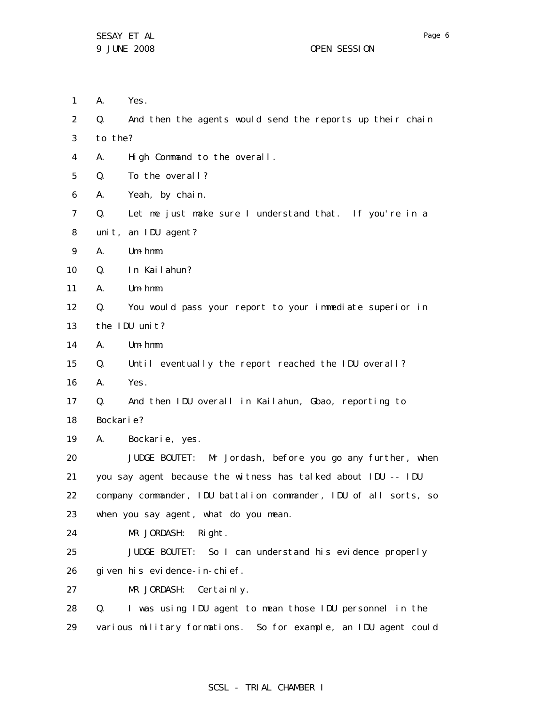1 2 3 4 5 6 7 8 9 10 11 12 13 14 15 16 17 18 19 20 21 22 23 24 25 26 27 28 29 A. Yes. Q. And then the agents would send the reports up their chain to the? A. High Command to the overall. Q. To the overall? A. Yeah, by chain. Q. Let me just make sure I understand that. If you're in a unit, an IDU agent? A. Um-hmm. Q. In Kailahun? A. Um-hmm. Q. You would pass your report to your immediate superior in the IDU unit? A. Um-hmm. Q. Until eventually the report reached the IDU overall? A. Yes. Q. And then IDU overall in Kailahun, Gbao, reporting to Bockarie? A. Bockarie, yes. JUDGE BOUTET: Mr Jordash, before you go any further, when you say agent because the witness has talked about IDU -- IDU company commander, IDU battalion commander, IDU of all sorts, so when you say agent, what do you mean. MR JORDASH: Right. JUDGE BOUTET: So I can understand his evidence properly given his evidence-in-chief. MR JORDASH: Certainly. Q. I was using IDU agent to mean those IDU personnel in the various military formations. So for example, an IDU agent could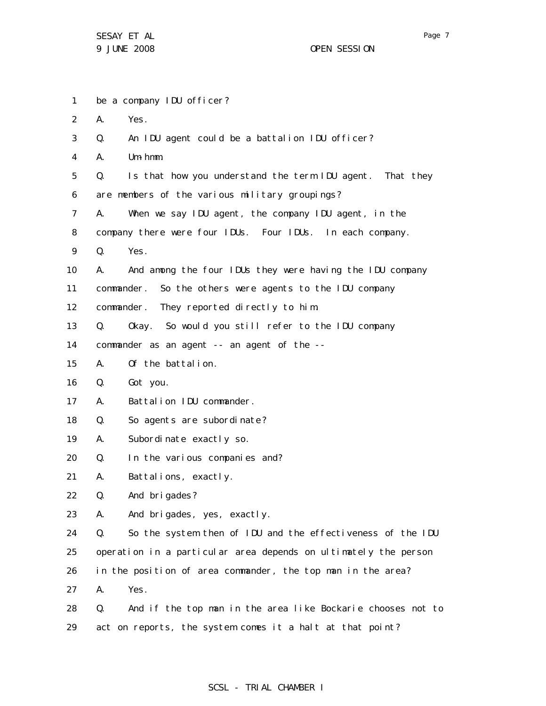1 2 3 4 5 6 7 8 9 10 11 12 13 14 15 16 17 18 19 20 21 22 23 24 25 26 27 28 29 be a company IDU officer? A. Yes. Q. An IDU agent could be a battalion IDU officer? A. Um-hmm. Q. Is that how you understand the term IDU agent. That they are members of the various military groupings? A. When we say IDU agent, the company IDU agent, in the company there were four IDUs. Four IDUs. In each company. Q. Yes. A. And among the four IDUs they were having the IDU company commander. So the others were agents to the IDU company commander. They reported directly to him. Q. Okay. So would you still refer to the IDU company commander as an agent -- an agent of the -- A. Of the battalion. Q. Got you. A. Battalion IDU commander. Q. So agents are subordinate? A. Subordinate exactly so. Q. In the various companies and? A. Battalions, exactly. Q. And brigades? A. And brigades, yes, exactly. Q. So the system then of IDU and the effectiveness of the IDU operation in a particular area depends on ultimately the person in the position of area commander, the top man in the area? A. Yes. Q. And if the top man in the area like Bockarie chooses not to act on reports, the system comes it a halt at that point?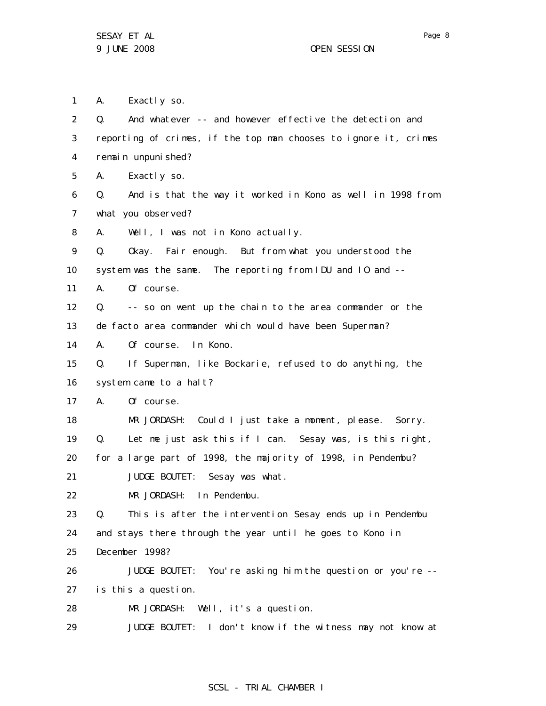1 A. Exactly so.

2 3 4 5 6 7 8 9 10 11 12 13 14 15 16 17 18 19 20 21 22 23 24 25 26 27 28 29 Q. And whatever -- and however effective the detection and reporting of crimes, if the top man chooses to ignore it, crimes remain unpunished? A. Exactly so. Q. And is that the way it worked in Kono as well in 1998 from what you observed? A. Well, I was not in Kono actually. Q. Okay. Fair enough. But from what you understood the system was the same. The reporting from IDU and IO and --A. Of course. Q. -- so on went up the chain to the area commander or the de facto area commander which would have been Superman? A. Of course. In Kono. Q. If Superman, like Bockarie, refused to do anything, the system came to a halt? A. Of course. MR JORDASH: Could I just take a moment, please. Sorry. Q. Let me just ask this if I can. Sesay was, is this right, for a large part of 1998, the majority of 1998, in Pendembu? JUDGE BOUTET: Sesay was what. MR JORDASH: In Pendembu. Q. This is after the intervention Sesay ends up in Pendembu and stays there through the year until he goes to Kono in December 1998? JUDGE BOUTET: You're asking him the question or you're - is this a question. MR JORDASH: Well, it's a question. JUDGE BOUTET: I don't know if the witness may not know at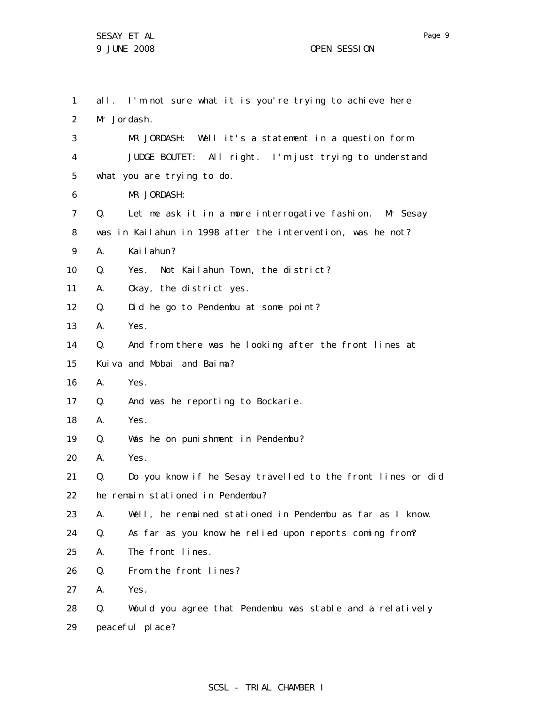1 2 3 4 5 6 7 8 9 10 11 12 13 14 15 16 17 18 19 20 21 22 23 24 25 26 27 28 29 all. I'm not sure what it is you're trying to achieve here Mr Jordash. MR JORDASH: Well it's a statement in a question form. JUDGE BOUTET: All right. I'm just trying to understand what you are trying to do. MR JORDASH: Q. Let me ask it in a more interrogative fashion. Mr Sesay was in Kailahun in 1998 after the intervention, was he not? A. Kailahun? Q. Yes. Not Kailahun Town, the district? A. Okay, the district yes. Q. Did he go to Pendembu at some point? A. Yes. Q. And from there was he looking after the front lines at Kuiva and Mobai and Baima? A. Yes. Q. And was he reporting to Bockarie. A. Yes. Q. Was he on punishment in Pendembu? A. Yes. Q. Do you know if he Sesay travelled to the front lines or did he remain stationed in Pendembu? A. Well, he remained stationed in Pendembu as far as I know. Q. As far as you know he relied upon reports coming from? A. The front lines. Q. From the front lines? A. Yes. Q. Would you agree that Pendembu was stable and a relatively peaceful place?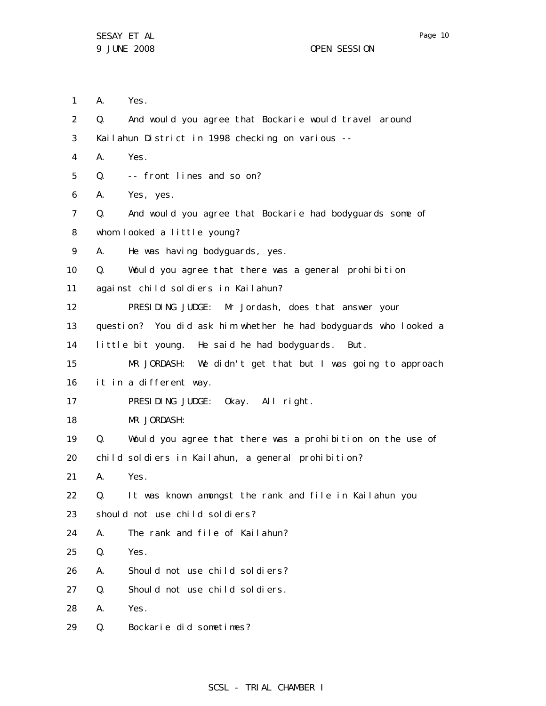1 A. Yes.

2 3 4 5 6 7 8 9 10 11 12 13 14 15 16 17 18 19 20 21 22 23 24 25 26 27 28 29 Q. And would you agree that Bockarie would travel around Kailahun District in 1998 checking on various -- A. Yes. Q. -- front lines and so on? A. Yes, yes. Q. And would you agree that Bockarie had bodyguards some of whom looked a little young? A. He was having bodyguards, yes. Q. Would you agree that there was a general prohibition against child soldiers in Kailahun? PRESIDING JUDGE: Mr Jordash, does that answer your question? You did ask him whether he had bodyguards who looked a little bit young. He said he had bodyguards. But. MR JORDASH: We didn't get that but I was going to approach it in a different way. PRESIDING JUDGE: Okay. All right. MR JORDASH: Q. Would you agree that there was a prohibition on the use of child soldiers in Kailahun, a general prohibition? A. Yes. Q. It was known amongst the rank and file in Kailahun you should not use child soldiers? A. The rank and file of Kailahun? Q. Yes. A. Should not use child soldiers? Q. Should not use child soldiers. A. Yes. Q. Bockarie did sometimes?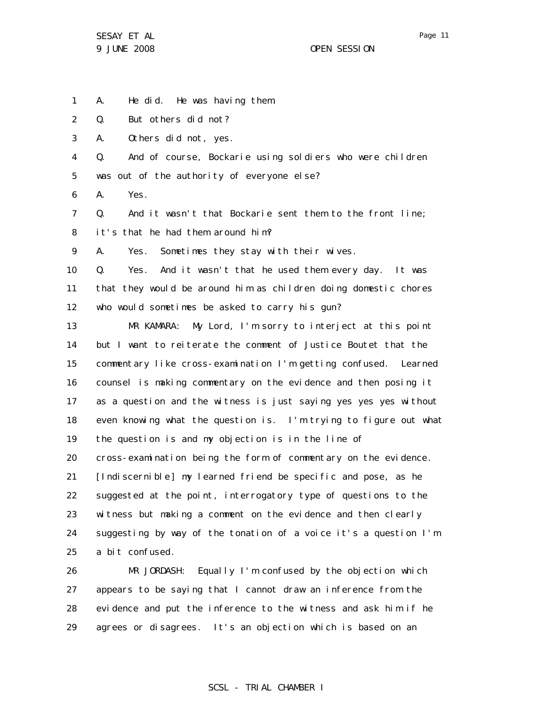SESAY ET AL 9 JUNE 2008 OPEN SESSION

1

2

3

4

5

6

7

8

9

10

11

12

13

14

15

16

17

18

19

20

21

22

23

24

25

26

27

28

29

Page 11

A. He did. He was having them. Q. But others did not? A. Others did not, yes. Q. And of course, Bockarie using soldiers who were children was out of the authority of everyone else? A. Yes. Q. And it wasn't that Bockarie sent them to the front line; it's that he had them around him? A. Yes. Sometimes they stay with their wives. Q. Yes. And it wasn't that he used them every day. It was that they would be around him as children doing domestic chores who would sometimes be asked to carry his gun? MR KAMARA: My Lord, I'm sorry to interject at this point but I want to reiterate the comment of Justice Boutet that the commentary like cross-examination I'm getting confused. Learned counsel is making commentary on the evidence and then posing it as a question and the witness is just saying yes yes yes without even knowing what the question is. I'm trying to figure out what the question is and my objection is in the line of cross-examination being the form of commentary on the evidence. [Indiscernible] my learned friend be specific and pose, as he suggested at the point, interrogatory type of questions to the witness but making a comment on the evidence and then clearly suggesting by way of the tonation of a voice it's a question I'm a bit confused. MR JORDASH: Equally I'm confused by the objection which appears to be saying that I cannot draw an inference from the evidence and put the inference to the witness and ask him if he

agrees or disagrees. It's an objection which is based on an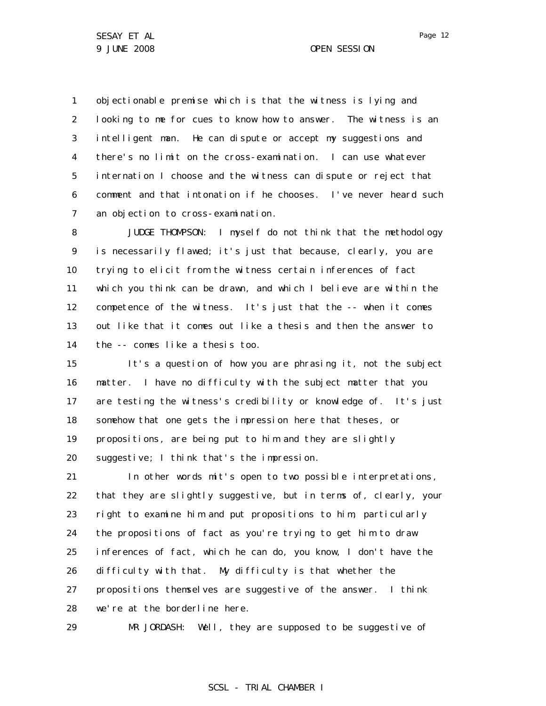1 2 3 4 5 6 7 objectionable premise which is that the witness is lying and looking to me for cues to know how to answer. The witness is an intelligent man. He can dispute or accept my suggestions and there's no limit on the cross-examination. I can use whatever internation I choose and the witness can dispute or reject that comment and that intonation if he chooses. I've never heard such an objection to cross-examination.

8 9 10 11 12 13 14 JUDGE THOMPSON: I myself do not think that the methodology is necessarily flawed; it's just that because, clearly, you are trying to elicit from the witness certain inferences of fact which you think can be drawn, and which I believe are within the competence of the witness. It's just that the -- when it comes out like that it comes out like a thesis and then the answer to the -- comes like a thesis too.

15 16 17 18 19 20 It's a question of how you are phrasing it, not the subject matter. I have no difficulty with the subject matter that you are testing the witness's credibility or knowledge of. It's just somehow that one gets the impression here that theses, or propositions, are being put to him and they are slightly suggestive; I think that's the impression.

21 22 23 24 25 26 27 28 In other words mit's open to two possible interpretations, that they are slightly suggestive, but in terms of, clearly, your right to examine him and put propositions to him, particularly the propositions of fact as you're trying to get him to draw inferences of fact, which he can do, you know, I don't have the difficulty with that. My difficulty is that whether the propositions themselves are suggestive of the answer. I think we're at the borderline here.

29 MR JORDASH: Well, they are supposed to be suggestive of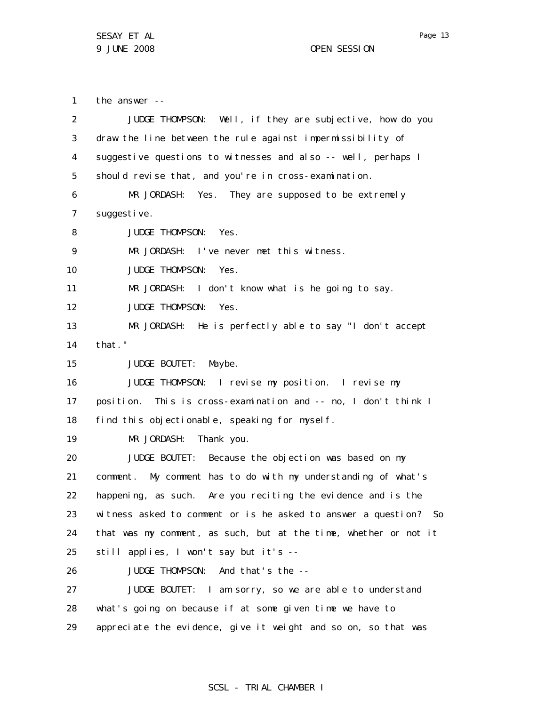SESAY ET AL 9 JUNE 2008 OPEN SESSION

1 2 3 4 5 6 7 8 9 10 11 12 13 14 15 16 17 18 19 20 21 22 23 24 25 26 27 28 29 the answer -- JUDGE THOMPSON: Well, if they are subjective, how do you draw the line between the rule against impermissibility of suggestive questions to witnesses and also -- well, perhaps I should revise that, and you're in cross-examination. MR JORDASH: Yes. They are supposed to be extremely suggestive. JUDGE THOMPSON: Yes. MR JORDASH: I've never met this witness. JUDGE THOMPSON: Yes. MR JORDASH: I don't know what is he going to say. JUDGE THOMPSON: Yes. MR JORDASH: He is perfectly able to say "I don't accept that." JUDGE BOUTET: Maybe. JUDGE THOMPSON: I revise my position. I revise my position. This is cross-examination and -- no, I don't think I find this objectionable, speaking for myself. MR JORDASH: Thank you. JUDGE BOUTET: Because the objection was based on my comment. My comment has to do with my understanding of what's happening, as such. Are you reciting the evidence and is the witness asked to comment or is he asked to answer a question? So that was my comment, as such, but at the time, whether or not it still applies, I won't say but it's --JUDGE THOMPSON: And that's the -- JUDGE BOUTET: I am sorry, so we are able to understand what's going on because if at some given time we have to appreciate the evidence, give it weight and so on, so that was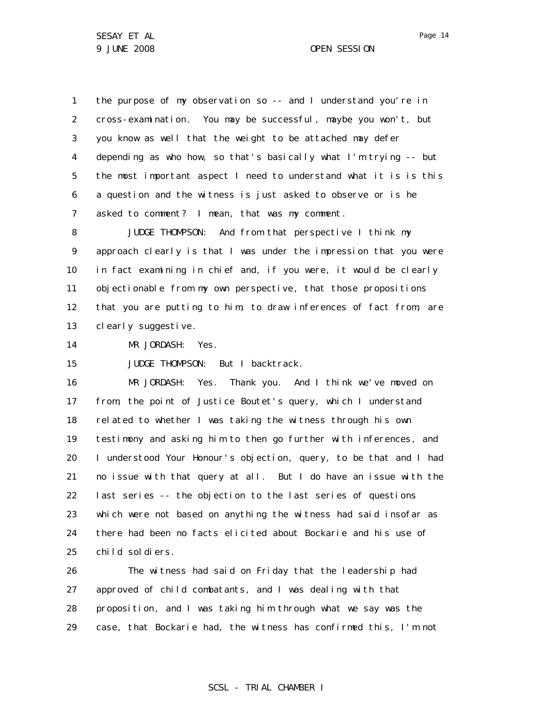1 2 3 4 5 6 7 the purpose of my observation so -- and I understand you're in cross-examination. You may be successful, maybe you won't, but you know as well that the weight to be attached may defer depending as who how, so that's basically what I'm trying -- but the most important aspect I need to understand what it is is this a question and the witness is just asked to observe or is he asked to comment? I mean, that was my comment.

8 9 10 11 12 13 JUDGE THOMPSON: And from that perspective I think my approach clearly is that I was under the impression that you were in fact examining in chief and, if you were, it would be clearly objectionable from my own perspective, that those propositions that you are putting to him, to draw inferences of fact from, are clearly suggestive.

14 MR JORDASH: Yes.

15 JUDGE THOMPSON: But I backtrack.

16 17 18 19 20 21 22 23 24 25 MR JORDASH: Yes. Thank you. And I think we've moved on from, the point of Justice Boutet's query, which I understand related to whether I was taking the witness through his own testimony and asking him to then go further with inferences, and I understood Your Honour's objection, query, to be that and I had no issue with that query at all. But I do have an issue with the last series -- the objection to the last series of questions which were not based on anything the witness had said insofar as there had been no facts elicited about Bockarie and his use of child soldiers.

26 27 28 29 The witness had said on Friday that the leadership had approved of child combatants, and I was dealing with that proposition, and I was taking him through what we say was the case, that Bockarie had, the witness has confirmed this, I'm not

Page 14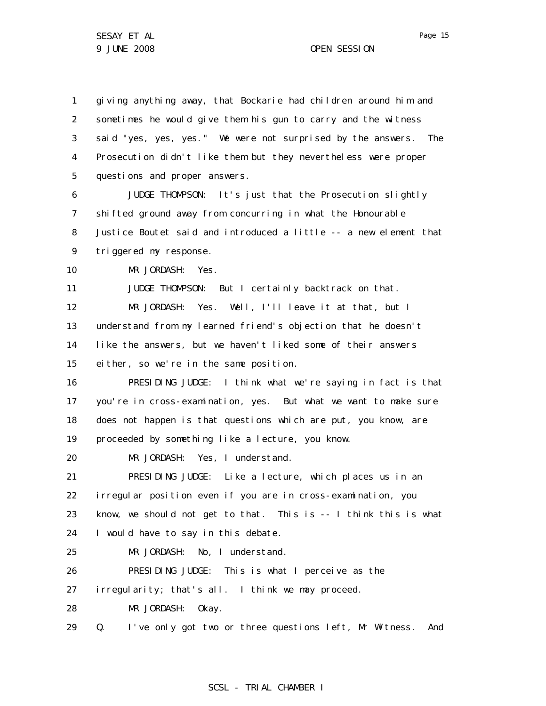1 2 3 4 5 giving anything away, that Bockarie had children around him and sometimes he would give them his gun to carry and the witness said "yes, yes, yes." We were not surprised by the answers. The Prosecution didn't like them but they nevertheless were proper questions and proper answers.

6 7 8 9 JUDGE THOMPSON: It's just that the Prosecution slightly shifted ground away from concurring in what the Honourable Justice Boutet said and introduced a little -- a new element that triggered my response.

10 MR JORDASH: Yes.

11 12 13 14 15 JUDGE THOMPSON: But I certainly backtrack on that. MR JORDASH: Yes. Well, I'll leave it at that, but I understand from my learned friend's objection that he doesn't like the answers, but we haven't liked some of their answers either, so we're in the same position.

16 17 18 19 PRESIDING JUDGE: I think what we're saying in fact is that you're in cross-examination, yes. But what we want to make sure does not happen is that questions which are put, you know, are proceeded by something like a lecture, you know.

20 MR JORDASH: Yes, I understand.

21 22 23 24 PRESIDING JUDGE: Like a lecture, which places us in an irregular position even if you are in cross-examination, you know, we should not get to that. This is -- I think this is what I would have to say in this debate.

25 MR JORDASH: No, I understand.

26 PRESIDING JUDGE: This is what I perceive as the

27 irregularity; that's all. I think we may proceed.

28 MR JORDASH: Okay.

29 Q. I've only got two or three questions left, Mr Witness. And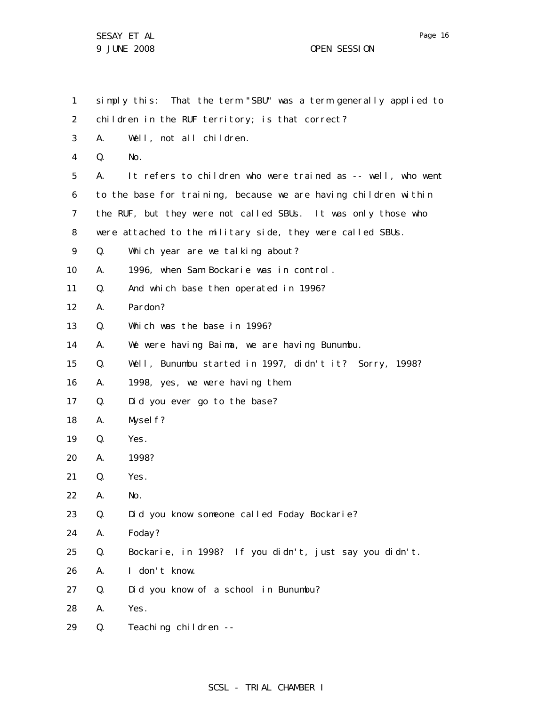1 2 3 4 5 6 7 8 9 10 11 12 13 14 15 16 17 18 19 20 21 22 23 24 25 26 27 28 29 simply this: That the term "SBU" was a term generally applied to children in the RUF territory; is that correct? A. Well, not all children. Q. No. A. It refers to children who were trained as -- well, who went to the base for training, because we are having children within the RUF, but they were not called SBUs. It was only those who were attached to the military side, they were called SBUs. Q. Which year are we talking about? A. 1996, when Sam Bockarie was in control. Q. And which base then operated in 1996? A. Pardon? Q. Which was the base in 1996? A. We were having Baima, we are having Bunumbu. Q. Well, Bunumbu started in 1997, didn't it? Sorry, 1998? A. 1998, yes, we were having them. Q. Did you ever go to the base? A. Myself? Q. Yes. A. 1998? Q. Yes. A. No. Q. Did you know someone called Foday Bockarie? A. Foday? Q. Bockarie, in 1998? If you didn't, just say you didn't. A. I don't know. Q. Did you know of a school in Bunumbu? A. Yes. Q. Teaching children --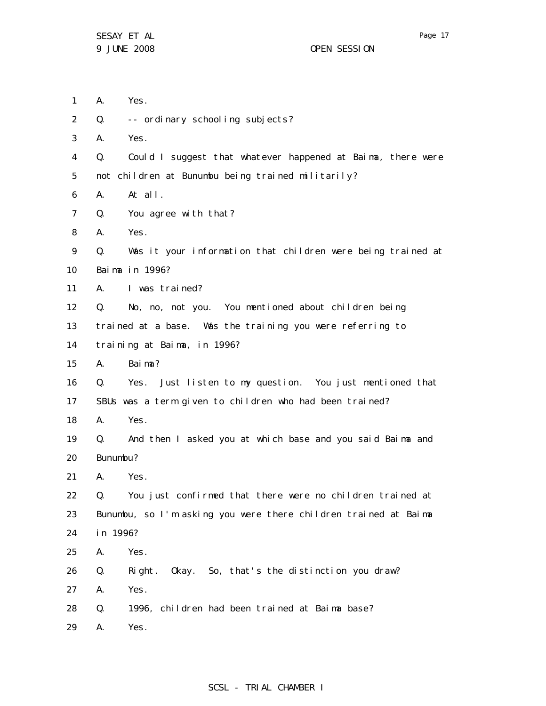- 1 A. Yes.
- 2 Q. -- ordinary schooling subjects?
- 3 A. Yes.

4 5 Q. Could I suggest that whatever happened at Baima, there were not children at Bunumbu being trained militarily?

- 6 A. At all.
- 7 Q. You agree with that?
- 8 A. Yes.
- 9 10 Q. Was it your information that children were being trained at Baima in 1996?
- 11 A. I was trained?
- 12 Q. No, no, not you. You mentioned about children being
- 13 trained at a base. Was the training you were referring to
- 14 training at Baima, in 1996?
- 15 A. Baima?
- 16 17 Q. Yes. Just listen to my question. You just mentioned that SBUs was a term given to children who had been trained?
- 18 A. Yes.
- 19 20 Q. And then I asked you at which base and you said Baima and Bunumbu?
- 21 A. Yes.
- 22 23 24 Q. You just confirmed that there were no children trained at Bunumbu, so I'm asking you were there children trained at Baima in 1996?
- 25 A. Yes.
- 26 Q. Right. Okay. So, that's the distinction you draw?
- 27 A. Yes.
- 28 Q. 1996, children had been trained at Baima base?
- 29 A. Yes.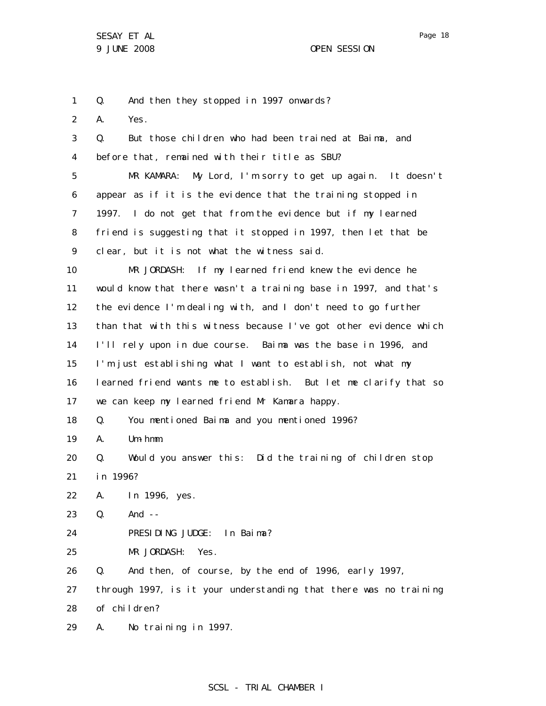1 Q. And then they stopped in 1997 onwards?

2 A. Yes.

3 4 5 6 7 8 9 10 11 12 13 14 15 16 17 18 19 20 21 22 23 24 25 26 27 28 29 Q. But those children who had been trained at Baima, and before that, remained with their title as SBU? MR KAMARA: My Lord, I'm sorry to get up again. It doesn't appear as if it is the evidence that the training stopped in 1997. I do not get that from the evidence but if my learned friend is suggesting that it stopped in 1997, then let that be clear, but it is not what the witness said. MR JORDASH: If my learned friend knew the evidence he would know that there wasn't a training base in 1997, and that's the evidence I'm dealing with, and I don't need to go further than that with this witness because I've got other evidence which I'll rely upon in due course. Baima was the base in 1996, and I'm just establishing what I want to establish, not what my learned friend wants me to establish. But let me clarify that so we can keep my learned friend Mr Kamara happy. Q. You mentioned Baima and you mentioned 1996? A. Um-hmm. Q. Would you answer this: Did the training of children stop in 1996? A. In 1996, yes. Q. And -- PRESIDING JUDGE: In Baima? MR JORDASH: Yes. Q. And then, of course, by the end of 1996, early 1997, through 1997, is it your understanding that there was no training of children? A. No training in 1997.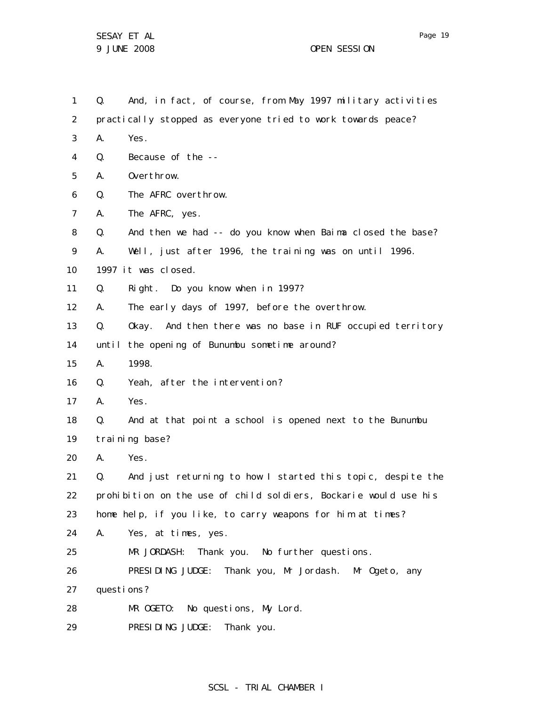1 2 3 4 5 6 7 8 9 10 11 12 13 14 15 16 17 18 19 20 21 22 23 24 25 26 27 28 29 Q. And, in fact, of course, from May 1997 military activities practically stopped as everyone tried to work towards peace? A. Yes. Q. Because of the -- A. Overthrow. Q. The AFRC overthrow. A. The AFRC, yes. Q. And then we had -- do you know when Baima closed the base? A. Well, just after 1996, the training was on until 1996. 1997 it was closed. Q. Right. Do you know when in 1997? A. The early days of 1997, before the overthrow. Q. Okay. And then there was no base in RUF occupied territory until the opening of Bunumbu sometime around? A. 1998. Q. Yeah, after the intervention? A. Yes. Q. And at that point a school is opened next to the Bunumbu training base? A. Yes. Q. And just returning to how I started this topic, despite the prohibition on the use of child soldiers, Bockarie would use his home help, if you like, to carry weapons for him at times? A. Yes, at times, yes. MR JORDASH: Thank you. No further questions. PRESIDING JUDGE: Thank you, Mr Jordash. Mr Ogeto, any questions? MR OGETO: No questions, My Lord. PRESIDING JUDGE: Thank you.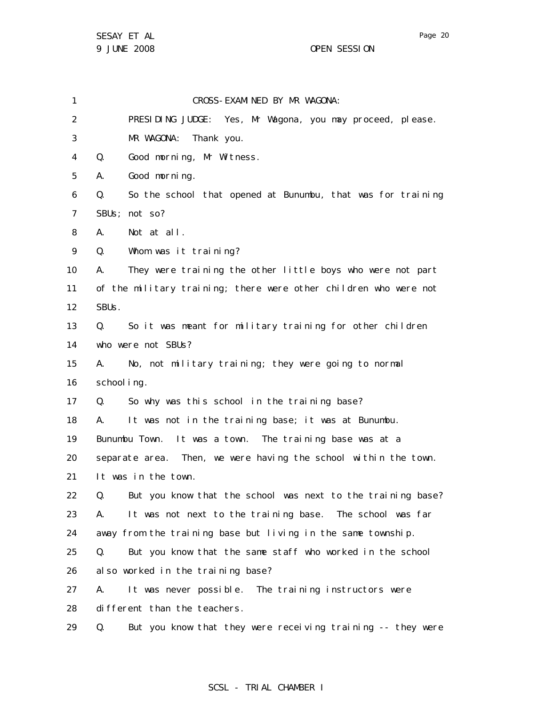1

2 3 4 5 6 7 8 9 10 11 12 13 14 15 16 17 18 19 20 21 22 23 24 25 26 27 PRESIDING JUDGE: Yes, Mr Wagona, you may proceed, please. MR WAGONA: Thank you. Q. Good morning, Mr Witness. A. Good morning. Q. So the school that opened at Bunumbu, that was for training SBUs; not so? A. Not at all. Q. Whom was it training? A. They were training the other little boys who were not part of the military training; there were other children who were not SBUs. Q. So it was meant for military training for other children who were not SBUs? A. No, not military training; they were going to normal school ing. Q. So why was this school in the training base? A. It was not in the training base; it was at Bunumbu. Bunumbu Town. It was a town. The training base was at a separate area. Then, we were having the school within the town. It was in the town. Q. But you know that the school was next to the training base? A. It was not next to the training base. The school was far away from the training base but living in the same township. Q. But you know that the same staff who worked in the school also worked in the training base? A. It was never possible. The training instructors were

CROSS-EXAMINED BY MR WAGONA:

28 different than the teachers.

29 Q. But you know that they were receiving training -- they were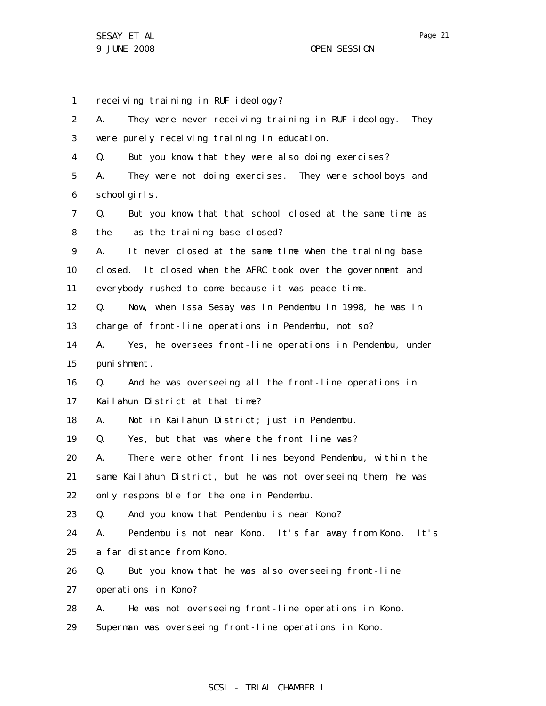SESAY ET AL 9 JUNE 2008 OPEN SESSION

1 2 3 4 5 6 7 8 9 10 11 12 13 14 15 16 17 18 19 20 21 22 23 24 25 26 27 28 29 receiving training in RUF ideology? A. They were never receiving training in RUF ideology. They were purely receiving training in education. Q. But you know that they were also doing exercises? A. They were not doing exercises. They were schoolboys and school girls. Q. But you know that that school closed at the same time as the -- as the training base closed? A. It never closed at the same time when the training base closed. It closed when the AFRC took over the government and everybody rushed to come because it was peace time. Q. Now, when Issa Sesay was in Pendembu in 1998, he was in charge of front-line operations in Pendembu, not so? A. Yes, he oversees front-line operations in Pendembu, under punishment. Q. And he was overseeing all the front-line operations in Kailahun District at that time? A. Not in Kailahun District; just in Pendembu. Q. Yes, but that was where the front line was? A. There were other front lines beyond Pendembu, within the same Kailahun District, but he was not overseeing them; he was only responsible for the one in Pendembu. Q. And you know that Pendembu is near Kono? A. Pendembu is not near Kono. It's far away from Kono. It's a far distance from Kono. Q. But you know that he was also overseeing front-line operations in Kono? A. He was not overseeing front-line operations in Kono. Superman was overseeing front-line operations in Kono.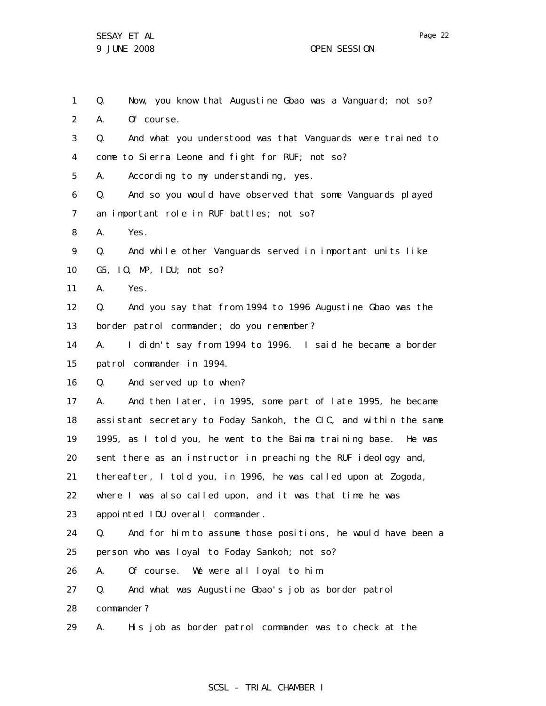1 2 3 4 5 6 7 8 9 10 11 12 13 14 15 16 17 18 19 20 21 22 23 24 25 26 27 28 29 Q. Now, you know that Augustine Gbao was a Vanguard; not so? A. Of course. Q. And what you understood was that Vanguards were trained to come to Sierra Leone and fight for RUF; not so? A. According to my understanding, yes. Q. And so you would have observed that some Vanguards played an important role in RUF battles; not so? A. Yes. Q. And while other Vanguards served in important units like G5, IO, MP, IDU; not so? A. Yes. Q. And you say that from 1994 to 1996 Augustine Gbao was the border patrol commander; do you remember? A. I didn't say from 1994 to 1996. I said he became a border patrol commander in 1994. Q. And served up to when? A. And then later, in 1995, some part of late 1995, he became assistant secretary to Foday Sankoh, the CIC, and within the same 1995, as I told you, he went to the Baima training base. He was sent there as an instructor in preaching the RUF ideology and, thereafter, I told you, in 1996, he was called upon at Zogoda, where I was also called upon, and it was that time he was appointed IDU overall commander. Q. And for him to assume those positions, he would have been a person who was loyal to Foday Sankoh; not so? A. Of course. We were all loyal to him. Q. And what was Augustine Gbao's job as border patrol commander? A. His job as border patrol commander was to check at the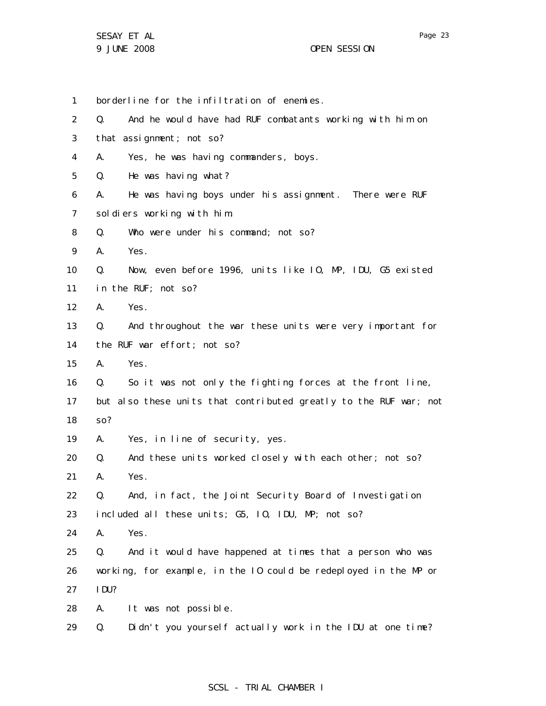1 borderline for the infiltration of enemies.

2 Q. And he would have had RUF combatants working with him on

- 3 that assignment; not so?
- 4 A. Yes, he was having commanders, boys.
- 5 Q. He was having what?
- 6 7 A. He was having boys under his assignment. There were RUF soldiers working with him.
- 8 Q. Who were under his command; not so?
- 9 A. Yes.

10 Q. Now, even before 1996, units like IO, MP, IDU, G5 existed

- 11 in the RUF; not so?
- 12 A. Yes.
- 13 14 Q. And throughout the war these units were very important for the RUF war effort; not so?
- 15 A. Yes.
- 16 Q. So it was not only the fighting forces at the front line,
- 17 18 but also these units that contributed greatly to the RUF war; not so?
- 19 A. Yes, in line of security, yes.
- 20 21 Q. And these units worked closely with each other; not so? A. Yes.
- 22 23 Q. And, in fact, the Joint Security Board of Investigation included all these units; G5, IO, IDU, MP; not so?
- 24 A. Yes.
- 25 26 27 Q. And it would have happened at times that a person who was working, for example, in the IO could be redeployed in the MP or IDU?
- 28 A. It was not possible.
- 29 Q. Didn't you yourself actually work in the IDU at one time?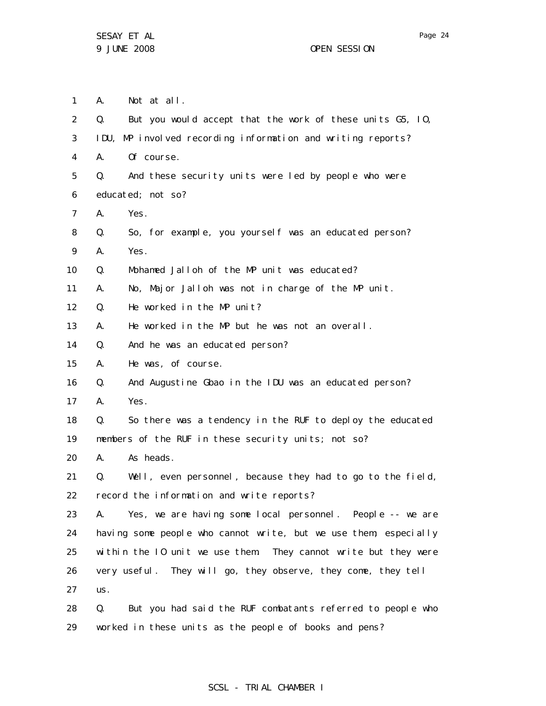1 A. Not at all.

| $\overline{2}$ | Q.                                                  | But you would accept that the work of these units G5, 10,        |
|----------------|-----------------------------------------------------|------------------------------------------------------------------|
| 3              |                                                     | IDU, MP involved recording information and writing reports?      |
|                |                                                     |                                                                  |
| 4              | А.                                                  | Of course.                                                       |
| 5              | Q.                                                  | And these security units were led by people who were             |
| 6              | educated; not so?                                   |                                                                  |
| 7              | А.                                                  | Yes.                                                             |
| 8              | Q.                                                  | So, for example, you yourself was an educated person?            |
| 9              | А.                                                  | Yes.                                                             |
| 10             | Q.                                                  | Mohamed Jalloh of the MP unit was educated?                      |
| 11             | А.                                                  | No, Major Jalloh was not in charge of the MP unit.               |
| 12             | Q.                                                  | He worked in the MP unit?                                        |
| 13             | А.                                                  | He worked in the MP but he was not an overall.                   |
| 14             | Q.                                                  | And he was an educated person?                                   |
| 15             | А.                                                  | He was, of course.                                               |
| 16             | Q.                                                  | And Augustine Gbao in the IDU was an educated person?            |
| 17             | А.                                                  | Yes.                                                             |
| 18             | Q.                                                  | So there was a tendency in the RUF to deploy the educated        |
| 19             | members of the RUF in these security units; not so? |                                                                  |
| 20             | А.                                                  | As heads.                                                        |
| 21             | Q.                                                  | Well, even personnel, because they had to go to the field,       |
| 22             | record the information and write reports?           |                                                                  |
| 23             | А.                                                  | Yes, we are having some local personnel. People -- we are        |
| 24             |                                                     | having some people who cannot write, but we use them; especially |
| 25             |                                                     | within the 10 unit we use them. They cannot write but they were  |
| 26             |                                                     | very useful. They will go, they observe, they come, they tell    |
| 27             | US.                                                 |                                                                  |
| 28             | Q.                                                  | But you had said the RUF combatants referred to people who       |
| 29             |                                                     | worked in these units as the people of books and pens?           |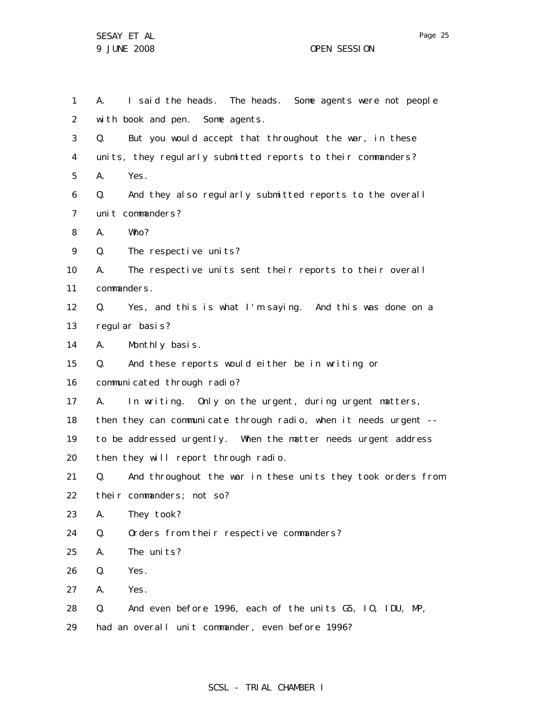SESAY ET AL 9 JUNE 2008 OPEN SESSION

1 2 3 4 5 6 7 8 9 10 11 12 13 14 15 16 17 18 19 20 21 22 23 24 25 26 27 28 29 A. I said the heads. The heads. Some agents were not people with book and pen. Some agents. Q. But you would accept that throughout the war, in these units, they regularly submitted reports to their commanders? A. Yes. Q. And they also regularly submitted reports to the overall unit commanders? A. Who? Q. The respective units? A. The respective units sent their reports to their overall commanders. Q. Yes, and this is what I'm saying. And this was done on a regular basis? A. Monthly basis. Q. And these reports would either be in writing or communicated through radio? A. In writing. Only on the urgent, during urgent matters, then they can communicate through radio, when it needs urgent - to be addressed urgently. When the matter needs urgent address then they will report through radio. Q. And throughout the war in these units they took orders from their commanders; not so? A. They took? Q. Orders from their respective commanders? A. The units? Q. Yes. A. Yes. Q. And even before 1996, each of the units G5, IO, IDU, MP, had an overall unit commander, even before 1996?

# SCSL - TRIAL CHAMBER I

Page 25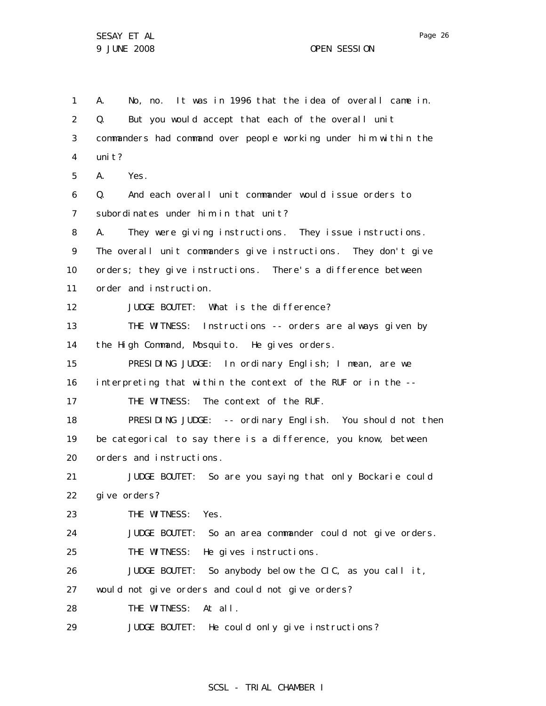1 2 3 4 5 6 7 8 9 10 11 12 13 14 15 16 17 18 19 20 21 22 23 24 25 26 27 28 29 A. No, no. It was in 1996 that the idea of overall came in. Q. But you would accept that each of the overall unit commanders had command over people working under him within the uni t? A. Yes. Q. And each overall unit commander would issue orders to subordinates under him in that unit? A. They were giving instructions. They issue instructions. The overall unit commanders give instructions. They don't give orders; they give instructions. There's a difference between order and instruction. JUDGE BOUTET: What is the difference? THE WITNESS: Instructions -- orders are always given by the High Command, Mosquito. He gives orders. PRESIDING JUDGE: In ordinary English; I mean, are we interpreting that within the context of the RUF or in the -- THE WITNESS: The context of the RUF. PRESIDING JUDGE: -- ordinary English. You should not then be categorical to say there is a difference, you know, between orders and instructions. JUDGE BOUTET: So are you saying that only Bockarie could give orders? THE WITNESS: Yes. JUDGE BOUTET: So an area commander could not give orders. THE WITNESS: He gives instructions. JUDGE BOUTET: So anybody below the CIC, as you call it, would not give orders and could not give orders? THE WITNESS: At all. JUDGE BOUTET: He could only give instructions?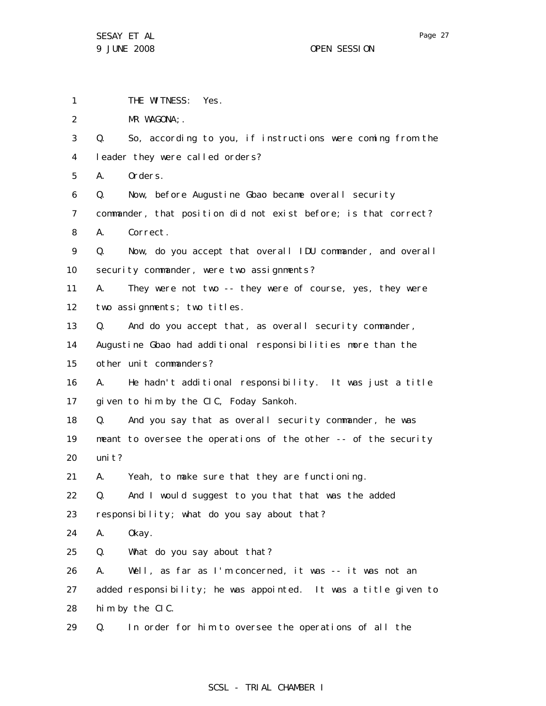1 THE WITNESS: Yes.

2 MR WAGONA; .

3 4 Q. So, according to you, if instructions were coming from the leader they were called orders?

5 A. Orders.

6 Q. Now, before Augustine Gbao became overall security

7 8 commander, that position did not exist before; is that correct? A. Correct.

9 10 Q. Now, do you accept that overall IDU commander, and overall security commander, were two assignments?

11 12 A. They were not two -- they were of course, yes, they were two assignments; two titles.

13 Q. And do you accept that, as overall security commander,

14 15 Augustine Gbao had additional responsibilities more than the other unit commanders?

16 17 A. He hadn't additional responsibility. It was just a title given to him by the CIC, Foday Sankoh.

18 19 20 Q. And you say that as overall security commander, he was meant to oversee the operations of the other -- of the security uni t?

21 A. Yeah, to make sure that they are functioning.

22 Q. And I would suggest to you that that was the added

23 responsibility; what do you say about that?

24 A. Okay.

25 Q. What do you say about that?

26 27 28 A. Well, as far as I'm concerned, it was -- it was not an added responsibility; he was appointed. It was a title given to him by the CIC.

29 Q. In order for him to oversee the operations of all the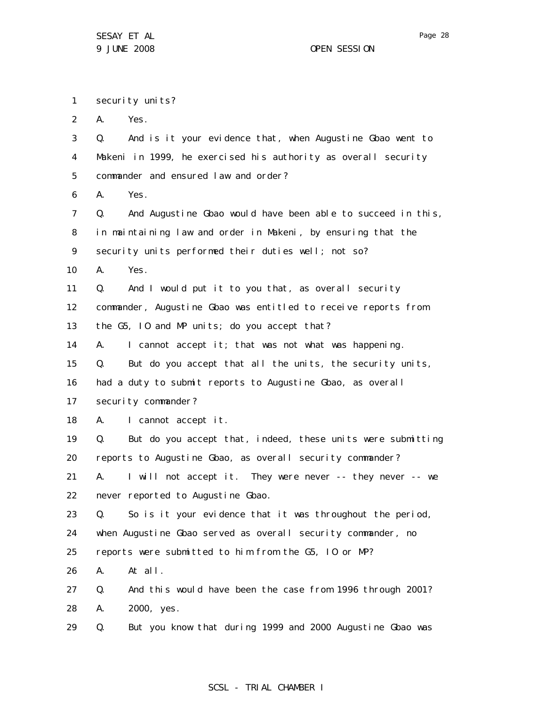1 security units?

2 A. Yes.

3 4 5 6 7 8 9 10 11 12 13 14 15 16 17 18 19 20 21 22 23 24 25 26 27 28 29 Q. And is it your evidence that, when Augustine Gbao went to Makeni in 1999, he exercised his authority as overall security commander and ensured law and order? A. Yes. Q. And Augustine Gbao would have been able to succeed in this, in maintaining law and order in Makeni, by ensuring that the security units performed their duties well; not so? A. Yes. Q. And I would put it to you that, as overall security commander, Augustine Gbao was entitled to receive reports from the G5, IO and MP units; do you accept that? A. I cannot accept it; that was not what was happening. Q. But do you accept that all the units, the security units, had a duty to submit reports to Augustine Gbao, as overall security commander? A. I cannot accept it. Q. But do you accept that, indeed, these units were submitting reports to Augustine Gbao, as overall security commander? A. I will not accept it. They were never -- they never -- we never reported to Augustine Gbao. Q. So is it your evidence that it was throughout the period, when Augustine Gbao served as overall security commander, no reports were submitted to him from the G5, IO or MP? A. At all. Q. And this would have been the case from 1996 through 2001? A. 2000, yes. Q. But you know that during 1999 and 2000 Augustine Gbao was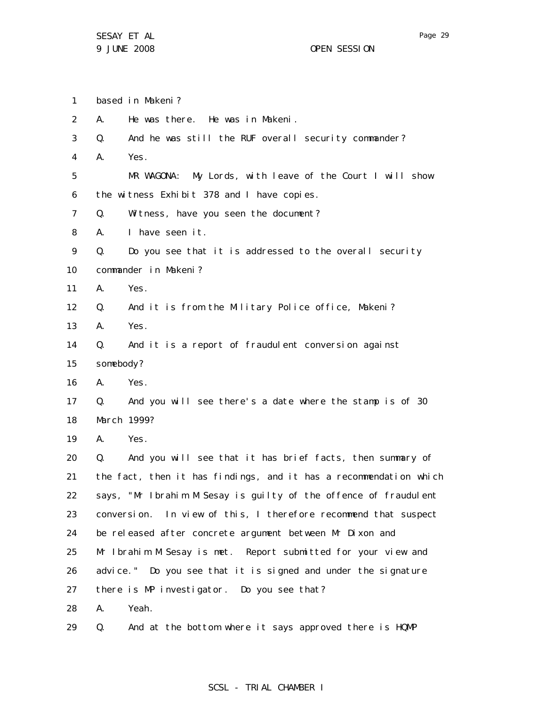1 based in Makeni?

2 A. He was there. He was in Makeni.

- 3 Q. And he was still the RUF overall security commander?
- 4 A. Yes.

5 6 MR WAGONA: My Lords, with leave of the Court I will show the witness Exhibit 378 and I have copies.

7 Q. Witness, have you seen the document?

8 A. I have seen it.

9 10 Q. Do you see that it is addressed to the overall security commander in Makeni?

11 A. Yes.

12 Q. And it is from the Military Police office, Makeni?

- 13 A. Yes.
- 14 15 Q. And it is a report of fraudulent conversion against somebody?
- 16 A. Yes.
- 17 18 Q. And you will see there's a date where the stamp is of 30 March 1999?
- 19 A. Yes.

20 21 22 23 24 25 26 27 28 Q. And you will see that it has brief facts, then summary of the fact, then it has findings, and it has a recommendation which says, "Mr Ibrahim M Sesay is guilty of the offence of fraudulent conversion. In view of this, I therefore recommend that suspect be released after concrete argument between Mr Dixon and Mr Ibrahim M Sesay is met. Report submitted for your view and advice." Do you see that it is signed and under the signature there is MP investigator. Do you see that? A. Yeah.

29 Q. And at the bottom where it says approved there is HQMP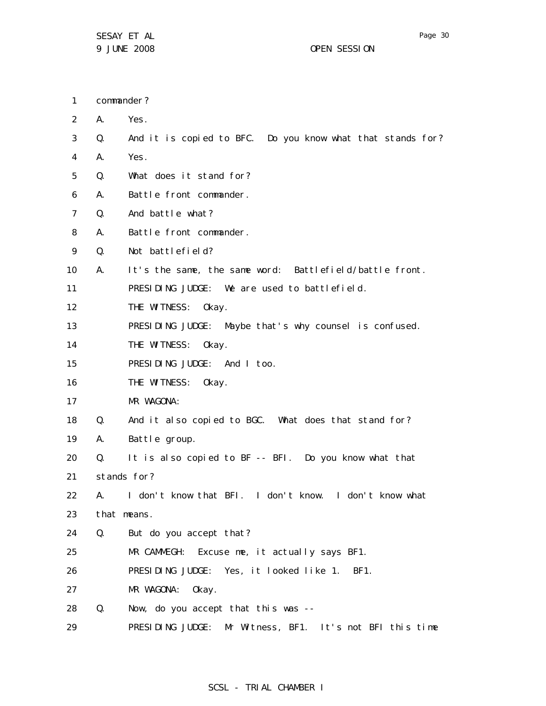commander?

1

- 2 3 4 5 6 7 8 9 10 11 12 13 14 15 16 17 18 19 20 21 22 23 24 25 26 A. Yes. Q. And it is copied to BFC. Do you know what that stands for? A. Yes. Q. What does it stand for? A. Battle front commander. Q. And battle what? A. Battle front commander. Q. Not battlefield? A. It's the same, the same word: Battlefield/battle front. PRESIDING JUDGE: We are used to battlefield. THE WITNESS: Okay. PRESIDING JUDGE: Maybe that's why counsel is confused. THE WITNESS: Okay. PRESIDING JUDGE: And I too. THE WITNESS: Okay. MR WAGONA: Q. And it also copied to BGC. What does that stand for? A. Battle group. Q. It is also copied to BF -- BFI. Do you know what that stands for? A. I don't know that BFI. I don't know. I don't know what that means. Q. But do you accept that? MR CAMMEGH: Excuse me, it actually says BF1. PRESIDING JUDGE: Yes, it looked like 1. BF1.
- 27 MR WAGONA: Okay.
- 28 Q. Now, do you accept that this was --
- 29 PRESIDING JUDGE: Mr Witness, BF1. It's not BFI this time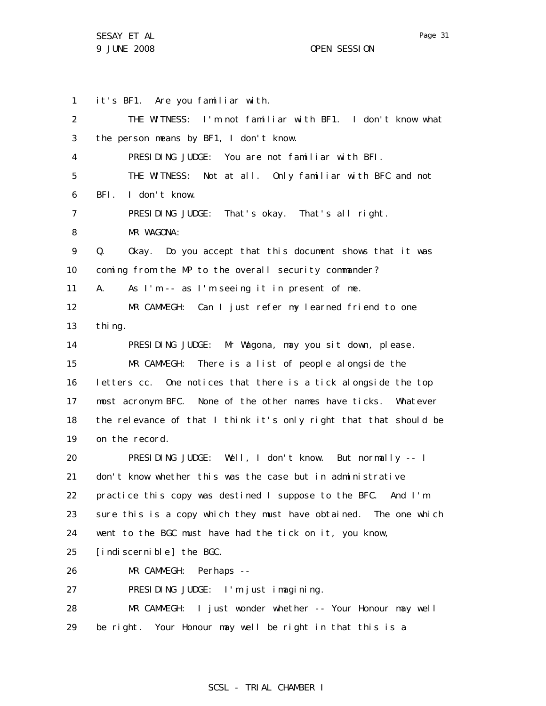1 2 3 4 5 6 7 8 9 10 11 12 13 14 15 16 17 18 19 20 21 22 23 24 25 26 27 28 29 it's BF1. Are you familiar with. THE WITNESS: I'm not familiar with BF1. I don't know what the person means by BF1, I don't know. PRESIDING JUDGE: You are not familiar with BFI. THE WITNESS: Not at all. Only familiar with BFC and not BFI. I don't know. PRESIDING JUDGE: That's okay. That's all right. MR WAGONA: Q. Okay. Do you accept that this document shows that it was coming from the MP to the overall security commander? A. As I'm -- as I'm seeing it in present of me. MR CAMMEGH: Can I just refer my learned friend to one thing. PRESIDING JUDGE: Mr Wagona, may you sit down, please. MR CAMMEGH: There is a list of people alongside the letters cc. One notices that there is a tick alongside the top most acronym BFC. None of the other names have ticks. Whatever the relevance of that I think it's only right that that should be on the record. PRESIDING JUDGE: Well, I don't know. But normally -- I don't know whether this was the case but in administrative practice this copy was destined I suppose to the BFC. And I'm sure this is a copy which they must have obtained. The one which went to the BGC must have had the tick on it, you know, [indiscernible] the BGC. MR CAMMEGH: Perhaps -- PRESIDING JUDGE: I'm just imagining. MR CAMMEGH: I just wonder whether -- Your Honour may well be right. Your Honour may well be right in that this is a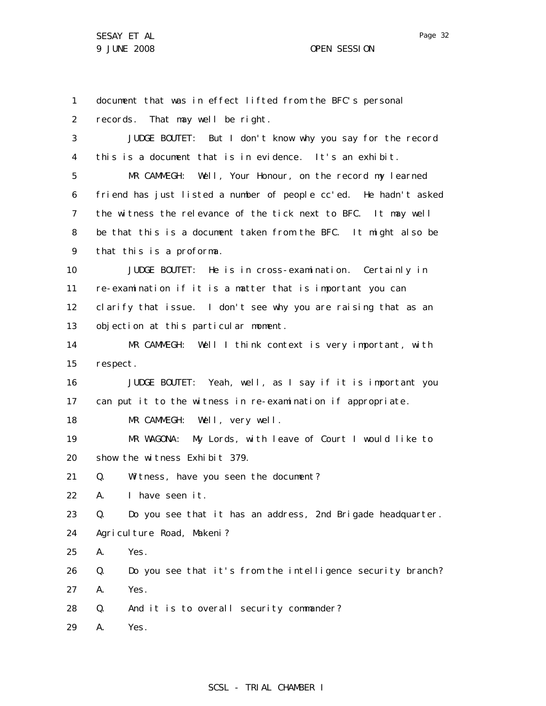1 2 3 4 5 6 7 8 9 10 11 12 13 14 15 16 17 18 19 20 21 22 23 24 25 26 27 28 29 document that was in effect lifted from the BFC's personal records. That may well be right. JUDGE BOUTET: But I don't know why you say for the record this is a document that is in evidence. It's an exhibit. MR CAMMEGH: Well, Your Honour, on the record my learned friend has just listed a number of people cc'ed. He hadn't asked the witness the relevance of the tick next to BFC. It may well be that this is a document taken from the BFC. It might also be that this is a proforma. JUDGE BOUTET: He is in cross-examination. Certainly in re-examination if it is a matter that is important you can clarify that issue. I don't see why you are raising that as an objection at this particular moment. MR CAMMEGH: Well I think context is very important, with respect. JUDGE BOUTET: Yeah, well, as I say if it is important you can put it to the witness in re-examination if appropriate. MR CAMMEGH: Well, very well. MR WAGONA: My Lords, with leave of Court I would like to show the witness Exhibit 379. Q. Witness, have you seen the document? A. I have seen it. Q. Do you see that it has an address, 2nd Brigade headquarter. Agriculture Road, Makeni? A. Yes. Q. Do you see that it's from the intelligence security branch? A. Yes. Q. And it is to overall security commander? A. Yes.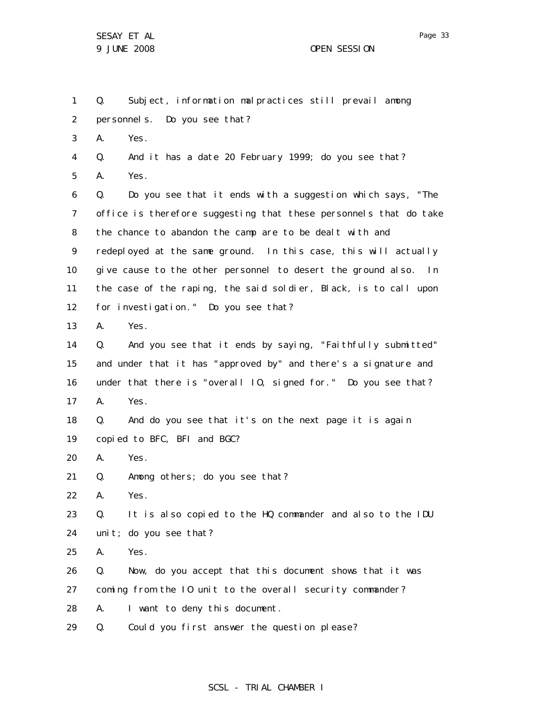1 2 3 4 5 6 7 8 9 10 11 12 13 14 15 16 17 18 19 20 21 22 23 24 25 26 27 28 Q. Subject, information malpractices still prevail among personnels. Do you see that? A. Yes. Q. And it has a date 20 February 1999; do you see that? A. Yes. Q. Do you see that it ends with a suggestion which says, "The office is therefore suggesting that these personnels that do take the chance to abandon the camp are to be dealt with and redeployed at the same ground. In this case, this will actually give cause to the other personnel to desert the ground also. In the case of the raping, the said soldier, Black, is to call upon for investigation." Do you see that? A. Yes. Q. And you see that it ends by saying, "Faithfully submitted" and under that it has "approved by" and there's a signature and under that there is "overall IO, signed for." Do you see that? A. Yes. Q. And do you see that it's on the next page it is again copied to BFC, BFI and BGC? A. Yes. Q. Among others; do you see that? A. Yes. Q. It is also copied to the HQ commander and also to the IDU unit; do you see that? A. Yes. Q. Now, do you accept that this document shows that it was coming from the IO unit to the overall security commander? A. I want to deny this document.

29 Q. Could you first answer the question please?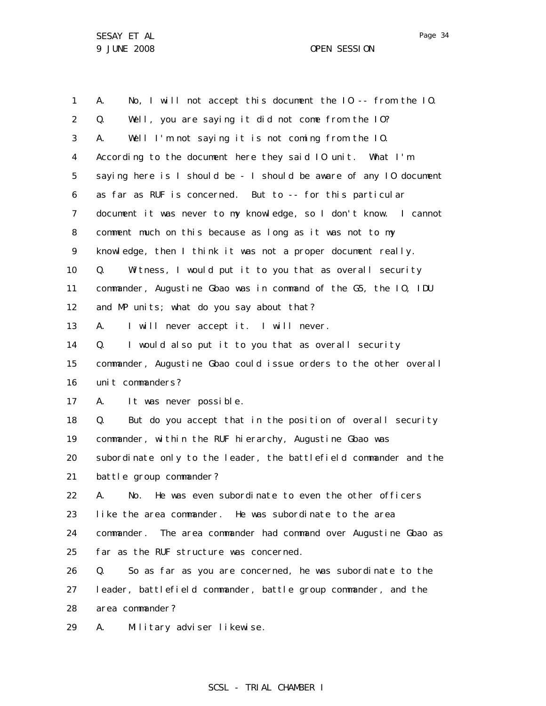1 2 3 4 5 6 7 8 9 10 11 12 13 14 15 16 17 18 19 20 21 22 23 24 25 26 27 28 29 A. No, I will not accept this document the IO -- from the IO. Q. Well, you are saying it did not come from the IO? A. Well I'm not saying it is not coming from the IO. According to the document here they said IO unit. What I'm saying here is I should be - I should be aware of any IO document as far as RUF is concerned. But to -- for this particular document it was never to my knowledge, so I don't know. I cannot comment much on this because as long as it was not to my knowledge, then I think it was not a proper document really. Q. Witness, I would put it to you that as overall security commander, Augustine Gbao was in command of the G5, the IO, IDU and MP units; what do you say about that? A. I will never accept it. I will never. Q. I would also put it to you that as overall security commander, Augustine Gbao could issue orders to the other overall unit commanders? A. It was never possible. Q. But do you accept that in the position of overall security commander, within the RUF hierarchy, Augustine Gbao was subordinate only to the leader, the battlefield commander and the battle group commander? A. No. He was even subordinate to even the other officers like the area commander. He was subordinate to the area commander. The area commander had command over Augustine Gbao as far as the RUF structure was concerned. Q. So as far as you are concerned, he was subordinate to the leader, battlefield commander, battle group commander, and the area commander? A. Military adviser likewise.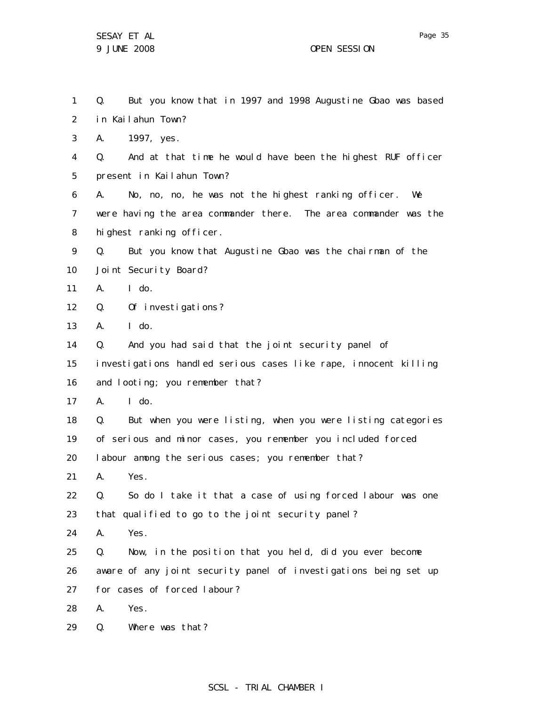1 2 3 4 5 6 7 8 9 10 11 12 13 14 15 16 17 18 19 20 21 22 23 24 25 26 27 28 29 Q. But you know that in 1997 and 1998 Augustine Gbao was based in Kailahun Town? A. 1997, yes. Q. And at that time he would have been the highest RUF officer present in Kailahun Town? A. No, no, no, he was not the highest ranking officer. We were having the area commander there. The area commander was the highest ranking officer. Q. But you know that Augustine Gbao was the chairman of the Joint Security Board? A. I do. Q. Of investigations?  $A.$   $I$  do. Q. And you had said that the joint security panel of investigations handled serious cases like rape, innocent killing and looting; you remember that? A. I do. Q. But when you were listing, when you were listing categories of serious and minor cases, you remember you included forced I abour among the serious cases; you remember that? A. Yes. Q. So do I take it that a case of using forced labour was one that qualified to go to the joint security panel? A. Yes. Q. Now, in the position that you held, did you ever become aware of any joint security panel of investigations being set up for cases of forced labour? A. Yes. Q. Where was that?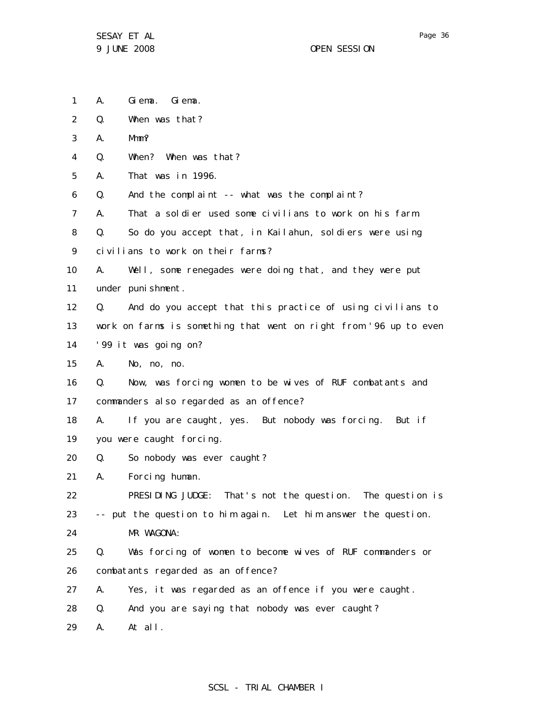- 1 A. Giema. Giema.
- 2 Q. When was that?
- 3 A. Mmm?
- 4 Q. When? When was that?
- 5 A. That was in 1996.
- 6 Q. And the complaint -- what was the complaint?
- 7 A. That a soldier used some civilians to work on his farm.
- 8 Q. So do you accept that, in Kailahun, soldiers were using
- 9 civilians to work on their farms?
- 10 11 A. Well, some renegades were doing that, and they were put under punishment.
- 12 13 14 Q. And do you accept that this practice of using civilians to work on farms is something that went on right from '96 up to even '99 it was going on?
- 15 A. No, no, no.
- 16 17 Q. Now, was forcing women to be wives of RUF combatants and commanders also regarded as an offence?
- 18 19 A. If you are caught, yes. But nobody was forcing. But if you were caught forcing.
- 20 Q. So nobody was ever caught?
- 21 A. Forcing human.

22 23 24 PRESIDING JUDGE: That's not the question. The question is -- put the question to him again. Let him answer the question. MR WAGONA:

- 25 26 Q. Was forcing of women to become wives of RUF commanders or combatants regarded as an offence?
- 27 A. Yes, it was regarded as an offence if you were caught.
- 28 Q. And you are saying that nobody was ever caught?
- 29 A. At all.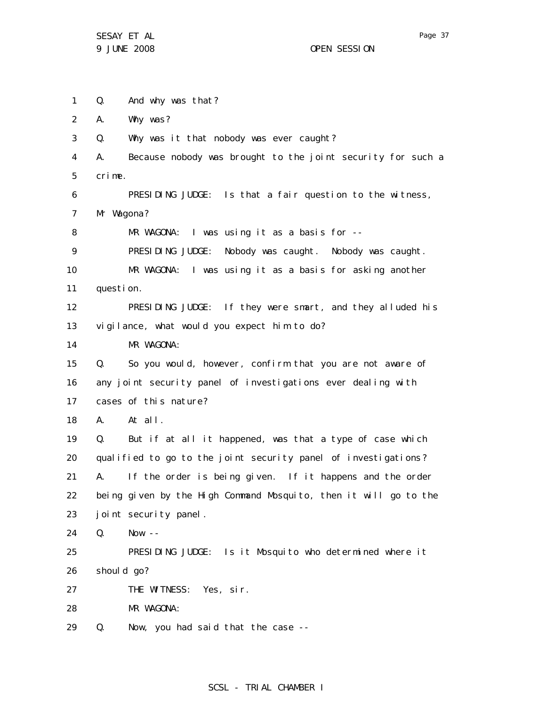SESAY ET AL 9 JUNE 2008 OPEN SESSION

Page 37

1 2 3 4 5 6 7 8 9 10 11 12 13 14 15 16 17 18 19 20 21 22 23 24 25 26 27 28 29 Q. And why was that? A. Why was? Q. Why was it that nobody was ever caught? A. Because nobody was brought to the joint security for such a crime. PRESIDING JUDGE: Is that a fair question to the witness, Mr Wagona? MR WAGONA: I was using it as a basis for -- PRESIDING JUDGE: Nobody was caught. Nobody was caught. MR WAGONA: I was using it as a basis for asking another question. PRESIDING JUDGE: If they were smart, and they alluded his vigilance, what would you expect him to do? MR WAGONA: Q. So you would, however, confirm that you are not aware of any joint security panel of investigations ever dealing with cases of this nature? A. At all. Q. But if at all it happened, was that a type of case which qualified to go to the joint security panel of investigations? A. If the order is being given. If it happens and the order being given by the High Command Mosquito, then it will go to the joint security panel. Q. Now -- PRESIDING JUDGE: Is it Mosquito who determined where it should go? THE WITNESS: Yes, sir. MR WAGONA: Q. Now, you had said that the case --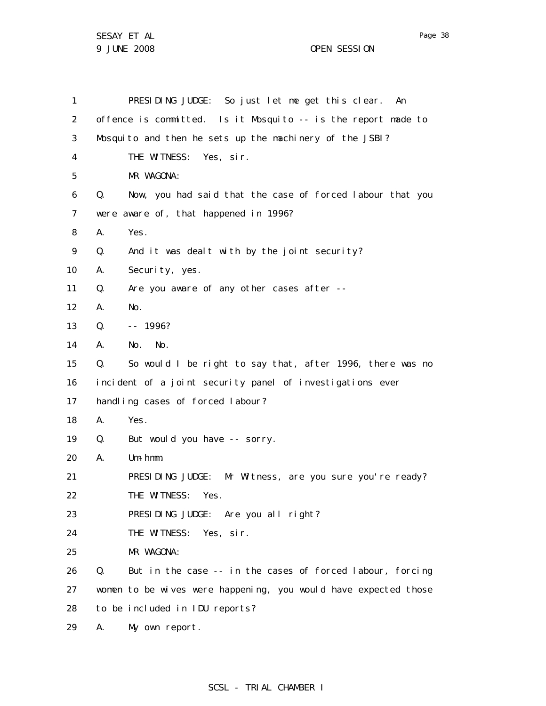SESAY ET AL 9 JUNE 2008 OPEN SESSION

1 2 3 4 5 6 7 8 9 10 11 12 13 14 15 16 17 18 19 20 21 22 23 24 25 26 27 28 29 PRESIDING JUDGE: So just let me get this clear. An offence is committed. Is it Mosquito -- is the report made to Mosquito and then he sets up the machinery of the JSBI? THE WITNESS: Yes, sir. MR WAGONA: Q. Now, you had said that the case of forced labour that you were aware of, that happened in 1996? A. Yes. Q. And it was dealt with by the joint security? A. Security, yes. Q. Are you aware of any other cases after -- A. No.  $0. - - 1996?$ A. No. No. Q. So would I be right to say that, after 1996, there was no incident of a joint security panel of investigations ever handling cases of forced labour? A. Yes. Q. But would you have -- sorry. A. Um-hmm. PRESIDING JUDGE: Mr Witness, are you sure you're ready? THE WITNESS: Yes. PRESIDING JUDGE: Are you all right? THE WITNESS: Yes, sir. MR WAGONA: Q. But in the case -- in the cases of forced labour, forcing women to be wives were happening, you would have expected those to be included in IDU reports? A. My own report.

# SCSL - TRIAL CHAMBER I

Page 38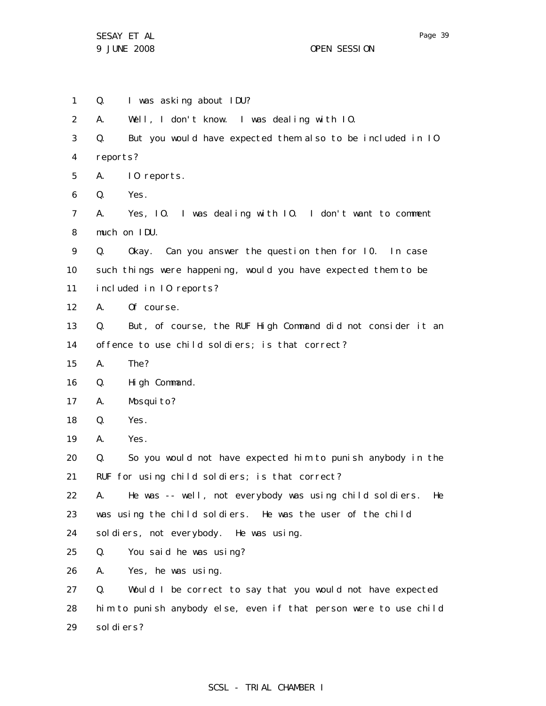1 2 3 4 5 6 7 8 9 10 11 12 13 14 15 16 17 18 19 20 21 22 23 24 25 26 27 28 29 Q. I was asking about IDU? A. Well, I don't know. I was dealing with IO. Q. But you would have expected them also to be included in IO reports? A. IO reports. Q. Yes. A. Yes, IO. I was dealing with IO. I don't want to comment much on IDU. Q. Okay. Can you answer the question then for I0. In case such things were happening, would you have expected them to be included in IO reports? A. Of course. Q. But, of course, the RUF High Command did not consider it an offence to use child soldiers; is that correct? A. The? Q. High Command. A. Mosquito? Q. Yes. A. Yes. Q. So you would not have expected him to punish anybody in the RUF for using child soldiers; is that correct? A. He was -- well, not everybody was using child soldiers. He was using the child soldiers. He was the user of the child soldiers, not everybody. He was using. Q. You said he was using? A. Yes, he was using. Q. Would I be correct to say that you would not have expected him to punish anybody else, even if that person were to use child sol di ers?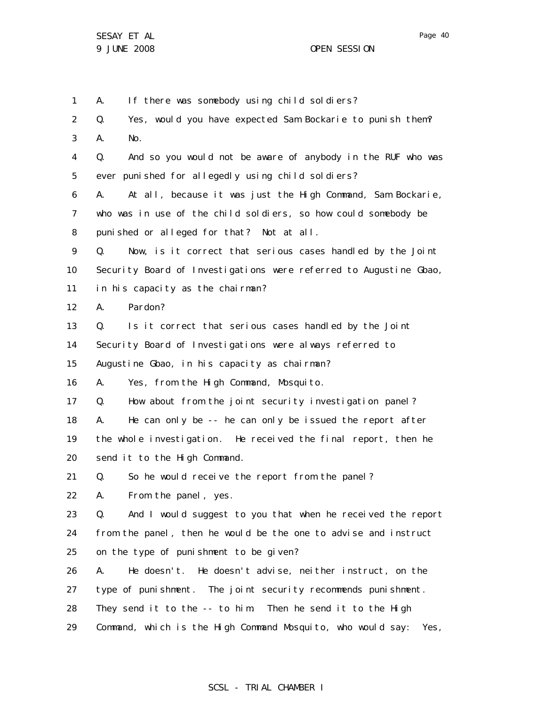1 2 3 4 5 6 7 8 9 10 11 12 13 14 15 16 17 18 19 20 21 22 23 24 25 26 27 28 29 A. If there was somebody using child soldiers? Q. Yes, would you have expected Sam Bockarie to punish them? A. No. Q. And so you would not be aware of anybody in the RUF who was ever punished for allegedly using child soldiers? A. At all, because it was just the High Command, Sam Bockarie, who was in use of the child soldiers, so how could somebody be punished or alleged for that? Not at all. Q. Now, is it correct that serious cases handled by the Joint Security Board of Investigations were referred to Augustine Gbao, in his capacity as the chairman? A. Pardon? Q. Is it correct that serious cases handled by the Joint Security Board of Investigations were always referred to Augustine Gbao, in his capacity as chairman? A. Yes, from the High Command, Mosquito. Q. How about from the joint security investigation panel? A. He can only be -- he can only be issued the report after the whole investigation. He received the final report, then he send it to the High Command. Q. So he would receive the report from the panel? A. From the panel, yes. Q. And I would suggest to you that when he received the report from the panel, then he would be the one to advise and instruct on the type of punishment to be given? A. He doesn't. He doesn't advise, neither instruct, on the type of punishment. The joint security recommends punishment. They send it to the -- to him. Then he send it to the High Command, which is the High Command Mosquito, who would say: Yes,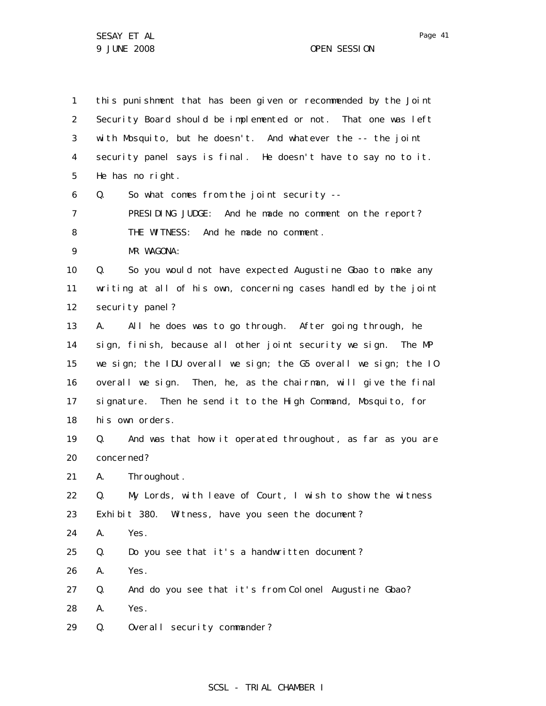1 2 3 4 5 6 7 8 9 10 11 12 13 14 15 16 17 18 19 20 21 22 23 24 25 26 27 28 29 this punishment that has been given or recommended by the Joint Security Board should be implemented or not. That one was left with Mosquito, but he doesn't. And whatever the -- the joint security panel says is final. He doesn't have to say no to it. He has no right. Q. So what comes from the joint security -- PRESIDING JUDGE: And he made no comment on the report? THE WITNESS: And he made no comment. MR WAGONA: Q. So you would not have expected Augustine Gbao to make any writing at all of his own, concerning cases handled by the joint security panel? A. All he does was to go through. After going through, he sign, finish, because all other joint security we sign. The MP we sign; the IDU overall we sign; the G5 overall we sign; the IO overall we sign. Then, he, as the chairman, will give the final signature. Then he send it to the High Command, Mosquito, for his own orders. Q. And was that how it operated throughout, as far as you are concerned? A. Throughout. Q. My Lords, with leave of Court, I wish to show the witness Exhibit 380. Witness, have you seen the document? A. Yes. Q. Do you see that it's a handwritten document? A. Yes. Q. And do you see that it's from Colonel Augustine Gbao? A. Yes. Q. Overall security commander?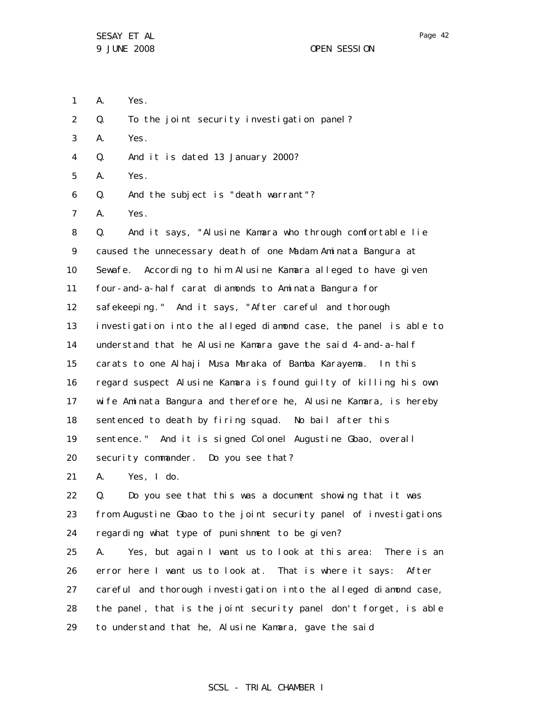- 1 A. Yes.
- 2 Q. To the joint security investigation panel?
- 3 A. Yes.
- 4 Q. And it is dated 13 January 2000?
- 5 A. Yes.
- 6 Q. And the subject is "death warrant"?
- 7 A. Yes.

8 9 10 11 12 13 14 15 16 17 18 19 20 Q. And it says, "Alusine Kamara who through comfortable lie caused the unnecessary death of one Madam Aminata Bangura at Sewafe. According to him Alusine Kamara alleged to have given four-and-a-half carat diamonds to Aminata Bangura for safekeeping." And it says, "After careful and thorough investigation into the alleged diamond case, the panel is able to understand that he Alusine Kamara gave the said 4-and-a-half carats to one Alhaji Musa Maraka of Bamba Karayema. In this regard suspect Alusine Kamara is found guilty of killing his own wife Aminata Bangura and therefore he, Alusine Kamara, is hereby sentenced to death by firing squad. No bail after this sentence." And it is signed Colonel Augustine Gbao, overall security commander. Do you see that?

21 A. Yes, I do.

22 23 24 Q. Do you see that this was a document showing that it was from Augustine Gbao to the joint security panel of investigations regarding what type of punishment to be given?

25 26 27 28 29 A. Yes, but again I want us to look at this area: There is an error here I want us to look at. That is where it says: After careful and thorough investigation into the alleged diamond case, the panel, that is the joint security panel don't forget, is able to understand that he, Alusine Kamara, gave the said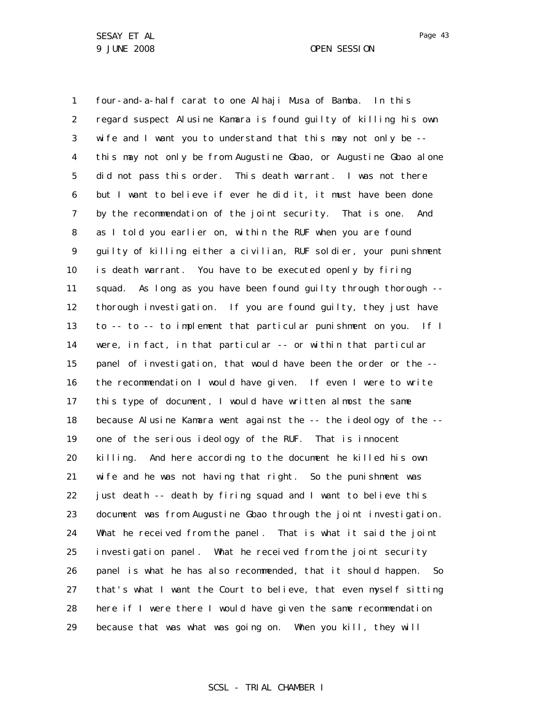1 2 3 4 5 6 7 8 9 10 11 12 13 14 15 16 17 18 19 20 21 22 23 24 25 26 27 28 29 four-and-a-half carat to one Alhaji Musa of Bamba. In this regard suspect Alusine Kamara is found guilty of killing his own wife and I want you to understand that this may not only be - this may not only be from Augustine Gbao, or Augustine Gbao alone did not pass this order. This death warrant. I was not there but I want to believe if ever he did it, it must have been done by the recommendation of the joint security. That is one. And as I told you earlier on, within the RUF when you are found guilty of killing either a civilian, RUF soldier, your punishment is death warrant. You have to be executed openly by firing squad. As long as you have been found guilty through thorough -thorough investigation. If you are found guilty, they just have to -- to -- to implement that particular punishment on you. If I were, in fact, in that particular -- or within that particular panel of investigation, that would have been the order or the - the recommendation I would have given. If even I were to write this type of document, I would have written almost the same because Alusine Kamara went against the -- the ideology of the - one of the serious ideology of the RUF. That is innocent killing. And here according to the document he killed his own wife and he was not having that right. So the punishment was just death -- death by firing squad and I want to believe this document was from Augustine Gbao through the joint investigation. What he received from the panel. That is what it said the joint investigation panel. What he received from the joint security panel is what he has also recommended, that it should happen. So that's what I want the Court to believe, that even myself sitting here if I were there I would have given the same recommendation because that was what was going on. When you kill, they will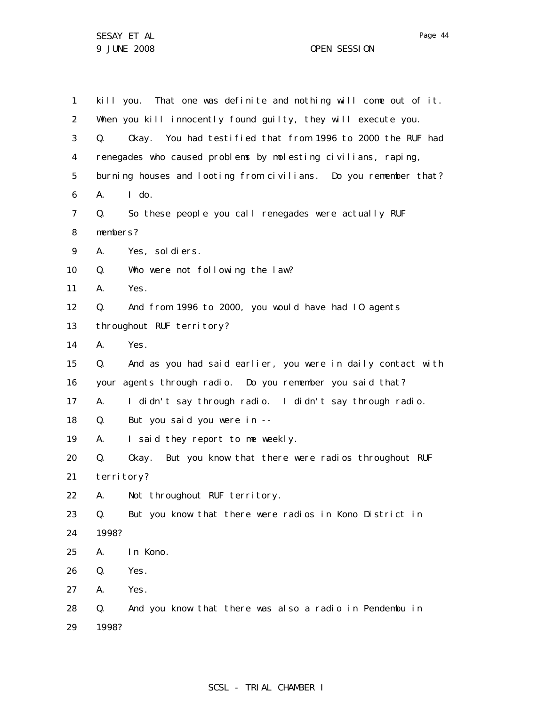1 2 3 4 5 6 7 8 9 10 11 12 13 14 15 16 17 18 19 20 21 22 23 24 25 26 27 28 29 kill you. That one was definite and nothing will come out of it. When you kill innocently found guilty, they will execute you. Q. Okay. You had testified that from 1996 to 2000 the RUF had renegades who caused problems by molesting civilians, raping, burning houses and looting from civilians. Do you remember that? A. I do. Q. So these people you call renegades were actually RUF members? A. Yes, soldiers. Q. Who were not following the law? A. Yes. Q. And from 1996 to 2000, you would have had IO agents throughout RUF territory? A. Yes. Q. And as you had said earlier, you were in daily contact with your agents through radio. Do you remember you said that? A. I didn't say through radio. I didn't say through radio. Q. But you said you were in -- A. I said they report to me weekly. Q. Okay. But you know that there were radios throughout RUF terri tory? A. Not throughout RUF territory. Q. But you know that there were radios in Kono District in 1998? A. In Kono. Q. Yes. A. Yes. Q. And you know that there was also a radio in Pendembu in 1998?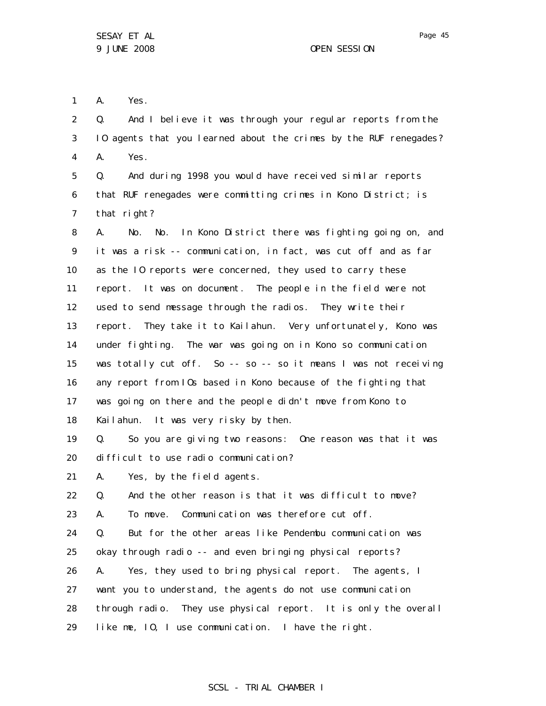1 A. Yes.

2 3 4 Q. And I believe it was through your regular reports from the IO agents that you learned about the crimes by the RUF renegades? A. Yes.

5 6 7 Q. And during 1998 you would have received similar reports that RUF renegades were committing crimes in Kono District; is that right?

8 9 10 11 12 13 14 15 16 17 18 A. No. No. In Kono District there was fighting going on, and it was a risk -- communication, in fact, was cut off and as far as the IO reports were concerned, they used to carry these report. It was on document. The people in the field were not used to send message through the radios. They write their report. They take it to Kailahun. Very unfortunately, Kono was under fighting. The war was going on in Kono so communication was totally cut off. So -- so -- so it means I was not receiving any report from IOs based in Kono because of the fighting that was going on there and the people didn't move from Kono to Kailahun. It was very risky by then.

19 20 Q. So you are giving two reasons: One reason was that it was difficult to use radio communication?

21 A. Yes, by the field agents.

22 Q. And the other reason is that it was difficult to move?

23 A. To move. Communication was therefore cut off.

24 25 26 Q. But for the other areas like Pendembu communication was okay through radio -- and even bringing physical reports? A. Yes, they used to bring physical report. The agents, I

27 want you to understand, the agents do not use communication

28 through radio. They use physical report. It is only the overall

29 like me, IO, I use communication. I have the right.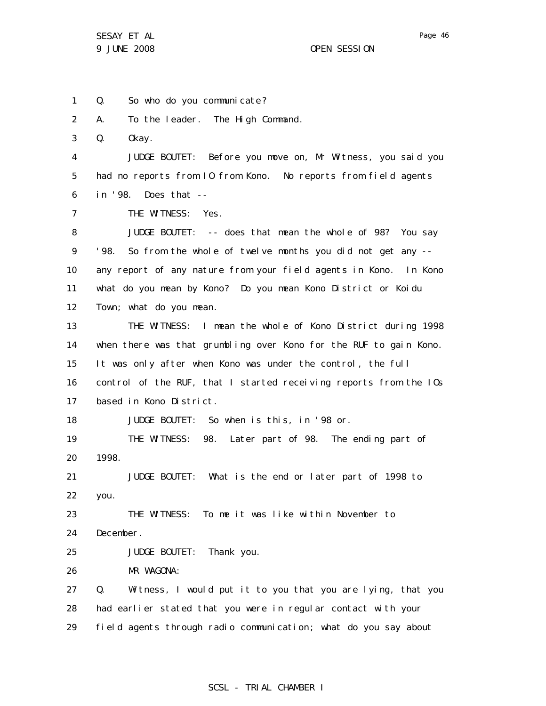1 2 3 4 5 6 7 8 9 10 11 12 13 14 15 16 17 18 19 20 21 22 23 24 25 26 27 28 29 Q. So who do you communicate? A. To the leader. The High Command. Q. Okay. JUDGE BOUTET: Before you move on, Mr Witness, you said you had no reports from IO from Kono. No reports from field agents in '98. Does that -- THE WITNESS: Yes. JUDGE BOUTET: -- does that mean the whole of 98? You say '98. So from the whole of twelve months you did not get any - any report of any nature from your field agents in Kono. In Kono what do you mean by Kono? Do you mean Kono District or Koidu Town; what do you mean. THE WITNESS: I mean the whole of Kono District during 1998 when there was that grumbling over Kono for the RUF to gain Kono. It was only after when Kono was under the control, the full control of the RUF, that I started receiving reports from the IOs based in Kono District. JUDGE BOUTET: So when is this, in '98 or. THE WITNESS: 98. Later part of 98. The ending part of 1998. JUDGE BOUTET: What is the end or later part of 1998 to you. THE WITNESS: To me it was like within November to December. JUDGE BOUTET: Thank you. MR WAGONA: Q. Witness, I would put it to you that you are lying, that you had earlier stated that you were in regular contact with your field agents through radio communication; what do you say about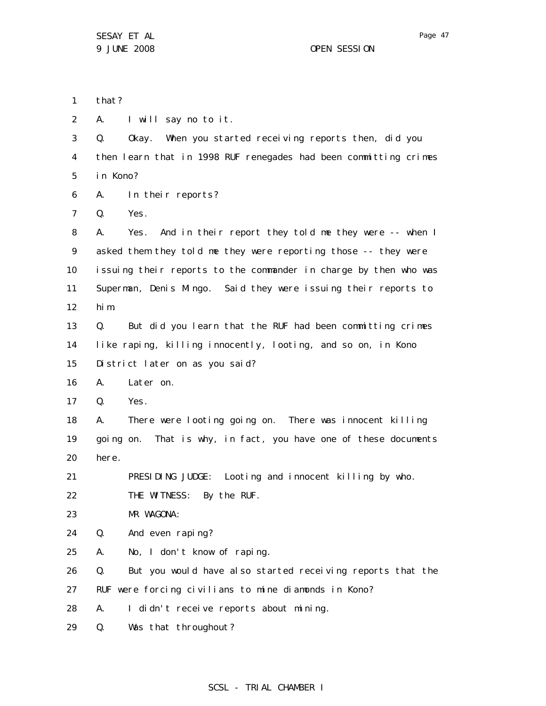1 2 3 4 5 6 7 8 9 10 11 12 13 14 15 16 17 18 19 20 21 22 23 24 25 26 27 28 29 that? A. I will say no to it. Q. Okay. When you started receiving reports then, did you then learn that in 1998 RUF renegades had been committing crimes in Kono? A. In their reports? Q. Yes. A. Yes. And in their report they told me they were -- when I asked them they told me they were reporting those -- they were issuing their reports to the commander in charge by then who was Superman, Denis Mingo. Said they were issuing their reports to him. Q. But did you learn that the RUF had been committing crimes like raping, killing innocently, looting, and so on, in Kono District later on as you said? A. Later on. Q. Yes. A. There were looting going on. There was innocent killing going on. That is why, in fact, you have one of these documents here. PRESIDING JUDGE: Looting and innocent killing by who. THE WITNESS: By the RUF. MR WAGONA: Q. And even raping? A. No, I don't know of raping. Q. But you would have also started receiving reports that the RUF were forcing civilians to mine diamonds in Kono? A. I didn't receive reports about mining. Q. Was that throughout?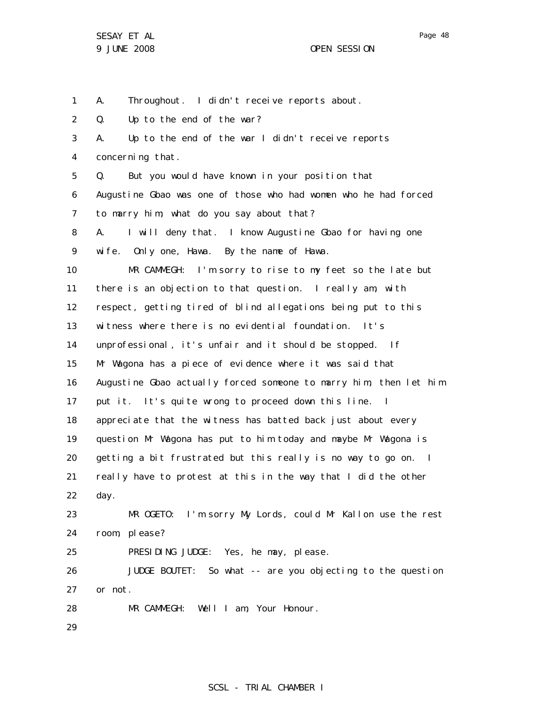1 A. Throughout. I didn't receive reports about.

2 Q. Up to the end of the war?

3 4 5 6 7 8 9 10 11 12 13 14 15 16 17 18 19 20 21 22 23 24 A. Up to the end of the war I didn't receive reports concerning that. Q. But you would have known in your position that Augustine Gbao was one of those who had women who he had forced to marry him; what do you say about that? A. I will deny that. I know Augustine Gbao for having one wife. Only one, Hawa. By the name of Hawa. MR CAMMEGH: I'm sorry to rise to my feet so the late but there is an objection to that question. I really am, with respect, getting tired of blind allegations being put to this witness where there is no evidential foundation. It's unprofessional, it's unfair and it should be stopped. If Mr Wagona has a piece of evidence where it was said that Augustine Gbao actually forced someone to marry him, then let him put it. It's quite wrong to proceed down this line. I appreciate that the witness has batted back just about every question Mr Wagona has put to him today and maybe Mr Wagona is getting a bit frustrated but this really is no way to go on. I really have to protest at this in the way that I did the other day. MR OGETO: I'm sorry My Lords, could Mr Kallon use the rest room, please?

25 PRESIDING JUDGE: Yes, he may, please.

26 27 JUDGE BOUTET: So what -- are you objecting to the question or not.

28 MR CAMMEGH: Well I am, Your Honour.

29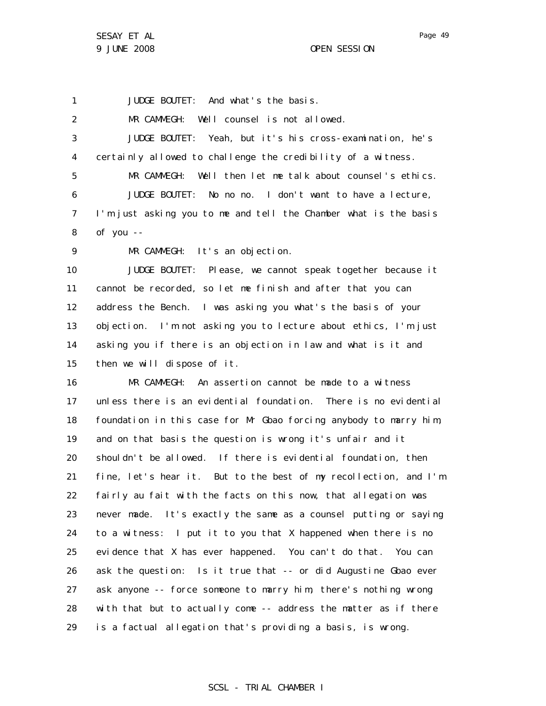1

JUDGE BOUTET: And what's the basis.

2 3 4 5 6 7 8 9 10 11 12 13 14 15 16 MR CAMMEGH: Well counsel is not allowed. JUDGE BOUTET: Yeah, but it's his cross-examination, he's certainly allowed to challenge the credibility of a witness. MR CAMMEGH: Well then let me talk about counsel's ethics. JUDGE BOUTET: No no no. I don't want to have a lecture, I'm just asking you to me and tell the Chamber what is the basis of you -- MR CAMMEGH: It's an objection. JUDGE BOUTET: Please, we cannot speak together because it cannot be recorded, so let me finish and after that you can address the Bench. I was asking you what's the basis of your objection. I'm not asking you to lecture about ethics, I'm just asking you if there is an objection in law and what is it and then we will dispose of it. MR CAMMEGH: An assertion cannot be made to a witness

17 18 19 20 21 22 23 24 25 26 27 28 29 unless there is an evidential foundation. There is no evidential foundation in this case for Mr Gbao forcing anybody to marry him, and on that basis the question is wrong it's unfair and it shouldn't be allowed. If there is evidential foundation, then fine, let's hear it. But to the best of my recollection, and I'm fairly au fait with the facts on this now, that allegation was never made. It's exactly the same as a counsel putting or saying to a witness: I put it to you that X happened when there is no evidence that X has ever happened. You can't do that. You can ask the question: Is it true that -- or did Augustine Gbao ever ask anyone -- force someone to marry him, there's nothing wrong with that but to actually come -- address the matter as if there is a factual allegation that's providing a basis, is wrong.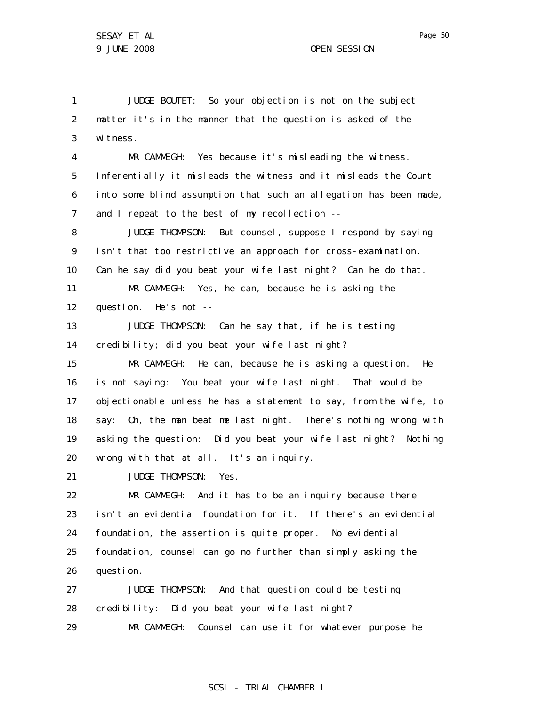1 2 3 4 5 6 7 8 9 10 11 12 13 14 15 16 17 18 19 20 21 22 23 24 25 26 27 28 29 JUDGE BOUTET: So your objection is not on the subject matter it's in the manner that the question is asked of the witness. MR CAMMEGH: Yes because it's misleading the witness. Inferentially it misleads the witness and it misleads the Court into some blind assumption that such an allegation has been made, and I repeat to the best of my recollection -- JUDGE THOMPSON: But counsel, suppose I respond by saying isn't that too restrictive an approach for cross-examination. Can he say did you beat your wife last night? Can he do that. MR CAMMEGH: Yes, he can, because he is asking the question. He's not -- JUDGE THOMPSON: Can he say that, if he is testing credibility; did you beat your wife last night? MR CAMMEGH: He can, because he is asking a question. He is not saying: You beat your wife last night. That would be objectionable unless he has a statement to say, from the wife, to say: Oh, the man beat me last night. There's nothing wrong with asking the question: Did you beat your wife last night? Nothing wrong with that at all. It's an inquiry. JUDGE THOMPSON: Yes. MR CAMMEGH: And it has to be an inquiry because there isn't an evidential foundation for it. If there's an evidential foundation, the assertion is quite proper. No evidential foundation, counsel can go no further than simply asking the question. JUDGE THOMPSON: And that question could be testing credibility: Did you beat your wife last night? MR CAMMEGH: Counsel can use it for whatever purpose he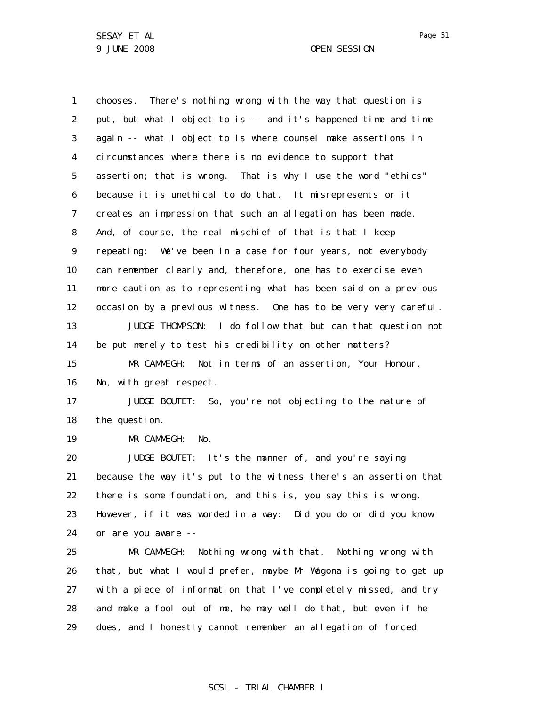1 2 3 4 5 6 7 8 9 10 11 12 13 14 15 16 17 18 19 20 21 22 23 24 25 26 27 28 chooses. There's nothing wrong with the way that question is put, but what I object to is -- and it's happened time and time again -- what I object to is where counsel make assertions in circumstances where there is no evidence to support that assertion; that is wrong. That is why I use the word "ethics" because it is unethical to do that. It misrepresents or it creates an impression that such an allegation has been made. And, of course, the real mischief of that is that I keep repeating: We've been in a case for four years, not everybody can remember clearly and, therefore, one has to exercise even more caution as to representing what has been said on a previous occasion by a previous witness. One has to be very very careful. JUDGE THOMPSON: I do follow that but can that question not be put merely to test his credibility on other matters? MR CAMMEGH: Not in terms of an assertion, Your Honour. No, with great respect. JUDGE BOUTET: So, you're not objecting to the nature of the question. MR CAMMEGH: No. JUDGE BOUTET: It's the manner of, and you're saying because the way it's put to the witness there's an assertion that there is some foundation, and this is, you say this is wrong. However, if it was worded in a way: Did you do or did you know or are you aware -- MR CAMMEGH: Nothing wrong with that. Nothing wrong with that, but what I would prefer, maybe Mr Wagona is going to get up with a piece of information that I've completely missed, and try and make a fool out of me, he may well do that, but even if he

29 does, and I honestly cannot remember an allegation of forced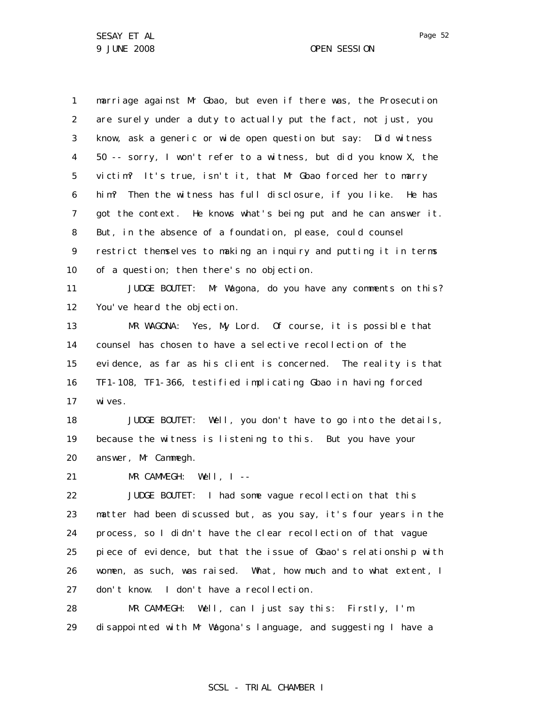1 2 3 4 5 6 7 8 9 10 11 12 13 14 15 16 17 18 19 20 21 22 23 24 25 26 27 marriage against Mr Gbao, but even if there was, the Prosecution are surely under a duty to actually put the fact, not just, you know, ask a generic or wide open question but say: Did witness 50 -- sorry, I won't refer to a witness, but did you know X, the victim? It's true, isn't it, that Mr Gbao forced her to marry him? Then the witness has full disclosure, if you like. He has got the context. He knows what's being put and he can answer it. But, in the absence of a foundation, please, could counsel restrict themselves to making an inquiry and putting it in terms of a question; then there's no objection. JUDGE BOUTET: Mr Wagona, do you have any comments on this? You've heard the objection. MR WAGONA: Yes, My Lord. Of course, it is possible that counsel has chosen to have a selective recollection of the evidence, as far as his client is concerned. The reality is that TF1-108, TF1-366, testified implicating Gbao in having forced wi ves. JUDGE BOUTET: Well, you don't have to go into the details, because the witness is listening to this. But you have your answer, Mr Cammegh. MR CAMMEGH: Well, I -- JUDGE BOUTET: I had some vague recollection that this matter had been discussed but, as you say, it's four years in the process, so I didn't have the clear recollection of that vague piece of evidence, but that the issue of Gbao's relationship with women, as such, was raised. What, how much and to what extent, I don't know. I don't have a recollection.

28 29 MR CAMMEGH: Well, can I just say this: Firstly, I'm disappointed with Mr Wagona's language, and suggesting I have a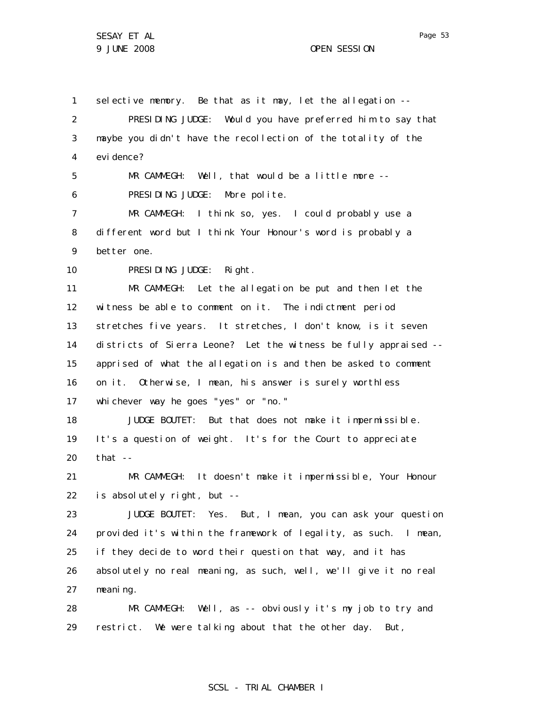SESAY ET AL 9 JUNE 2008 OPEN SESSION

1 2 3 4 5 6 7 8 9 10 11 12 13 14 15 16 17 18 19 20 21 22 23 24 25 26 27 28 29 selective memory. Be that as it may, let the allegation --PRESIDING JUDGE: Would you have preferred him to say that maybe you didn't have the recollection of the totality of the evi dence? MR CAMMEGH: Well, that would be a little more -- PRESIDING JUDGE: More polite. MR CAMMEGH: I think so, yes. I could probably use a different word but I think Your Honour's word is probably a better one. PRESIDING JUDGE: Right. MR CAMMEGH: Let the allegation be put and then let the witness be able to comment on it. The indictment period stretches five years. It stretches, I don't know, is it seven districts of Sierra Leone? Let the witness be fully appraised - apprised of what the allegation is and then be asked to comment on it. Otherwise, I mean, his answer is surely worthless whichever way he goes "yes" or "no." JUDGE BOUTET: But that does not make it impermissible. It's a question of weight. It's for the Court to appreciate that -- MR CAMMEGH: It doesn't make it impermissible, Your Honour is absolutely right, but -- JUDGE BOUTET: Yes. But, I mean, you can ask your question provided it's within the framework of legality, as such. I mean, if they decide to word their question that way, and it has absolutely no real meaning, as such, well, we'll give it no real meaning. MR CAMMEGH: Well, as -- obviously it's my job to try and restrict. We were talking about that the other day. But,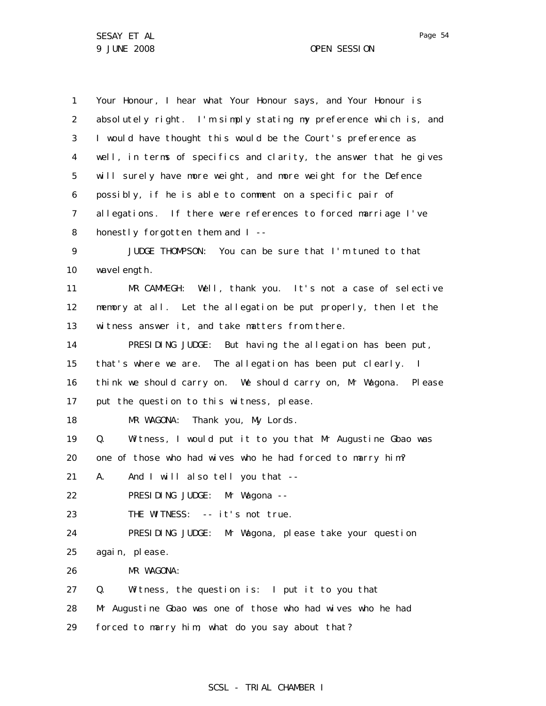1 2 3 4 5 6 7 8 9 10 11 12 13 14 15 16 17 18 19 20 21 22 23 24 25 26 27 28 29 Your Honour, I hear what Your Honour says, and Your Honour is absolutely right. I'm simply stating my preference which is, and I would have thought this would be the Court's preference as well, in terms of specifics and clarity, the answer that he gives will surely have more weight, and more weight for the Defence possibly, if he is able to comment on a specific pair of allegations. If there were references to forced marriage I've honestly forgotten them and I -- JUDGE THOMPSON: You can be sure that I'm tuned to that wavel ength. MR CAMMEGH: Well, thank you. It's not a case of selective memory at all. Let the allegation be put properly, then let the witness answer it, and take matters from there. PRESIDING JUDGE: But having the allegation has been put, that's where we are. The allegation has been put clearly. I think we should carry on. We should carry on, Mr Wagona. Please put the question to this witness, please. MR WAGONA: Thank you, My Lords. Q. Witness, I would put it to you that Mr Augustine Gbao was one of those who had wives who he had forced to marry him? A. And I will also tell you that -- PRESIDING JUDGE: Mr Wagona --THE WITNESS: -- it's not true. PRESIDING JUDGE: Mr Wagona, please take your question again, please. MR WAGONA: Q. Witness, the question is: I put it to you that Mr Augustine Gbao was one of those who had wives who he had forced to marry him; what do you say about that?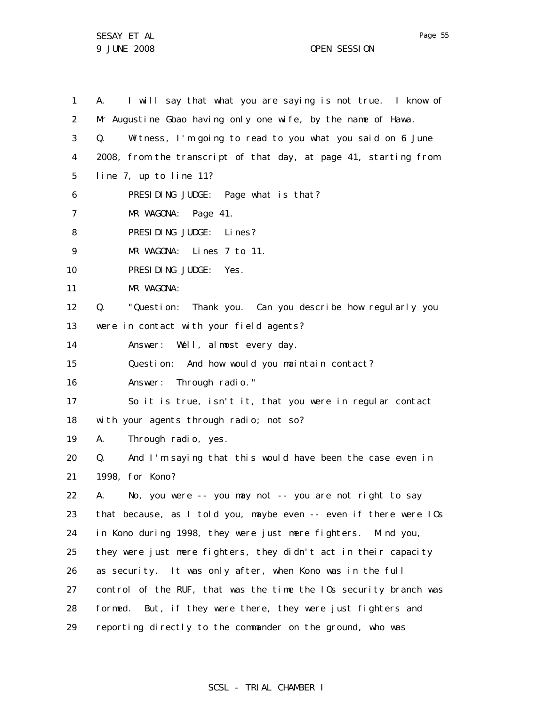SESAY ET AL 9 JUNE 2008 OPEN SESSION

1 2 3 4 5 6 7 8 9 10 11 12 13 14 15 16 17 18 19 20 21 22 23 24 25 26 27 28 29 A. I will say that what you are saying is not true. I know of Mr Augustine Gbao having only one wife, by the name of Hawa. Q. Witness, I'm going to read to you what you said on 6 June 2008, from the transcript of that day, at page 41, starting from line 7, up to line 11? PRESIDING JUDGE: Page what is that? MR WAGONA: Page 41. PRESIDING JUDGE: Lines? MR WAGONA: Lines 7 to 11. PRESIDING JUDGE: Yes. MR WAGONA: Q. "Question: Thank you. Can you describe how regularly you were in contact with your field agents? Answer: Well, almost every day. Question: And how would you maintain contact? Answer: Through radio." So it is true, isn't it, that you were in regular contact with your agents through radio; not so? A. Through radio, yes. Q. And I'm saying that this would have been the case even in 1998, for Kono? A. No, you were -- you may not -- you are not right to say that because, as I told you, maybe even -- even if there were IOs in Kono during 1998, they were just mere fighters. Mind you, they were just mere fighters, they didn't act in their capacity as security. It was only after, when Kono was in the full control of the RUF, that was the time the IOs security branch was formed. But, if they were there, they were just fighters and reporting directly to the commander on the ground, who was

# SCSL - TRIAL CHAMBER I

Page 55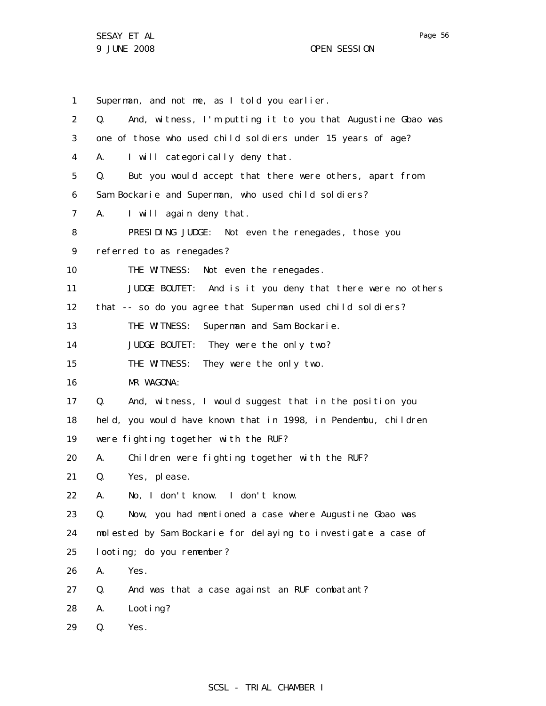SESAY ET AL 9 JUNE 2008 OPEN SESSION

Page 56

1 2 3 4 5 6 7 8 9 10 11 12 13 14 15 16 17 18 19 20 21 22 23 24 25 26 27 28 29 Superman, and not me, as I told you earlier. Q. And, witness, I'm putting it to you that Augustine Gbao was one of those who used child soldiers under 15 years of age? A. I will categorically deny that. Q. But you would accept that there were others, apart from Sam Bockarie and Superman, who used child soldiers? A. I will again deny that. PRESIDING JUDGE: Not even the renegades, those you referred to as renegades? THE WITNESS: Not even the renegades. JUDGE BOUTET: And is it you deny that there were no others that -- so do you agree that Superman used child soldiers? THE WITNESS: Superman and Sam Bockarie. JUDGE BOUTET: They were the only two? THE WITNESS: They were the only two. MR WAGONA: Q. And, witness, I would suggest that in the position you held, you would have known that in 1998, in Pendembu, children were fighting together with the RUF? A. Children were fighting together with the RUF? Q. Yes, please. A. No, I don't know. I don't know. Q. Now, you had mentioned a case where Augustine Gbao was molested by Sam Bockarie for delaying to investigate a case of looting; do you remember? A. Yes. Q. And was that a case against an RUF combatant? A. Looting? Q. Yes.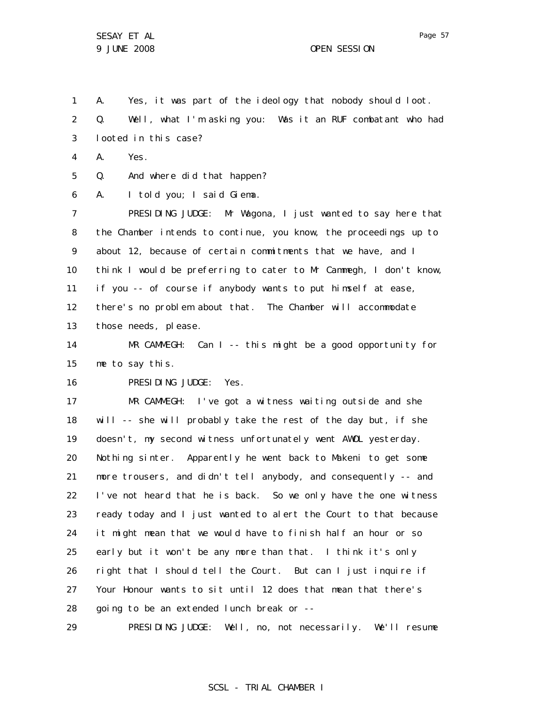1 A. Yes, it was part of the ideology that nobody should loot.

2 3 Q. Well, what I'm asking you: Was it an RUF combatant who had looted in this case?

4 A. Yes.

5 Q. And where did that happen?

6 A. I told you; I said Giema.

7 8 9 10 11 12 13 PRESIDING JUDGE: Mr Wagona, I just wanted to say here that the Chamber intends to continue, you know, the proceedings up to about 12, because of certain commitments that we have, and I think I would be preferring to cater to Mr Cammegh, I don't know, if you -- of course if anybody wants to put himself at ease, there's no problem about that. The Chamber will accommodate those needs, please.

14 15 MR CAMMEGH: Can I -- this might be a good opportunity for me to say this.

16 PRESIDING JUDGE: Yes.

17 18 19 20 21 22 23 24 25 26 27 28 MR CAMMEGH: I've got a witness waiting outside and she will -- she will probably take the rest of the day but, if she doesn't, my second witness unfortunately went AWOL yesterday. Nothing sinter. Apparently he went back to Makeni to get some more trousers, and didn't tell anybody, and consequently -- and I've not heard that he is back. So we only have the one witness ready today and I just wanted to alert the Court to that because it might mean that we would have to finish half an hour or so early but it won't be any more than that. I think it's only right that I should tell the Court. But can I just inquire if Your Honour wants to sit until 12 does that mean that there's going to be an extended lunch break or --

29 PRESIDING JUDGE: Well, no, not necessarily. We'll resume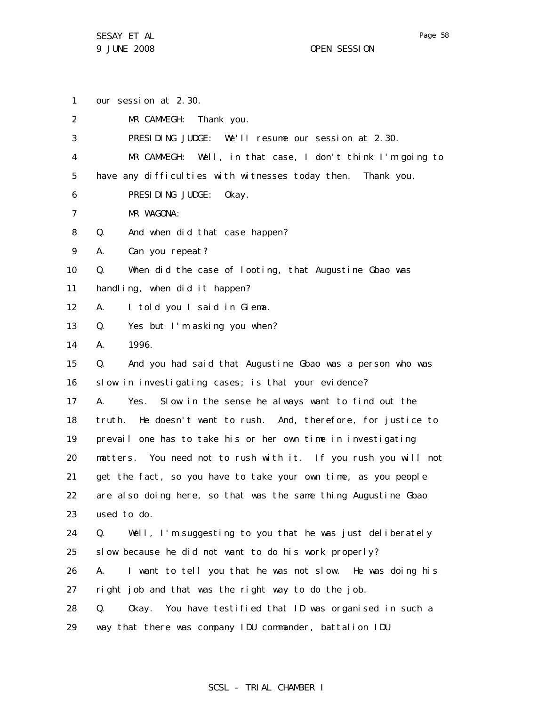1 2 3 4 5 6 7 8 9 10 11 12 13 14 15 16 17 18 19 20 21 22 23 24 25 26 27 28 29 our session at 2.30. MR CAMMEGH: Thank you. PRESIDING JUDGE: We'll resume our session at 2.30. MR CAMMEGH: Well, in that case, I don't think I'm going to have any difficulties with witnesses today then. Thank you. PRESIDING JUDGE: Okay. MR WAGONA: Q. And when did that case happen? A. Can you repeat? Q. When did the case of looting, that Augustine Gbao was handling, when did it happen? A. I told you I said in Giema. Q. Yes but I'm asking you when? A. 1996. Q. And you had said that Augustine Gbao was a person who was slow in investigating cases; is that your evidence? A. Yes. Slow in the sense he always want to find out the truth. He doesn't want to rush. And, therefore, for justice to prevail one has to take his or her own time in investigating matters. You need not to rush with it. If you rush you will not get the fact, so you have to take your own time, as you people are also doing here, so that was the same thing Augustine Gbao used to do. Q. Well, I'm suggesting to you that he was just deliberately slow because he did not want to do his work properly? A. I want to tell you that he was not slow. He was doing his right job and that was the right way to do the job. Q. Okay. You have testified that ID was organised in such a way that there was company IDU commander, battalion IDU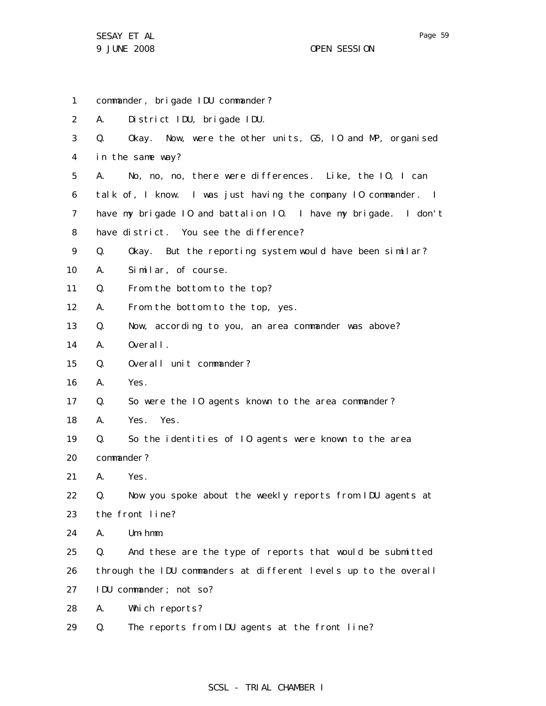SESAY ET AL 9 JUNE 2008 OPEN SESSION

1 2 3 4 5 6 7 8 9 10 11 12 13 14 15 16 17 18 19 20 21 22 23 24 25 26 27 28 29 commander, brigade IDU commander? A. District IDU, brigade IDU. Q. Okay. Now, were the other units, G5, IO and MP, organised in the same way? A. No, no, no, there were differences. Like, the IO, I can talk of, I know. I was just having the company IO commander. I have my brigade IO and battalion IO. I have my brigade. I don't have district. You see the difference? Q. Okay. But the reporting system would have been similar? A. Similar, of course. Q. From the bottom to the top? A. From the bottom to the top, yes. Q. Now, according to you, an area commander was above? A. Overall. Q. Overall unit commander? A. Yes. Q. So were the IO agents known to the area commander? A. Yes. Yes. Q. So the identities of IO agents were known to the area commander? A. Yes. Q. Now you spoke about the weekly reports from IDU agents at the front line? A. Um-hmm. Q. And these are the type of reports that would be submitted through the IDU commanders at different levels up to the overall IDU commander; not so? A. Which reports? Q. The reports from IDU agents at the front line?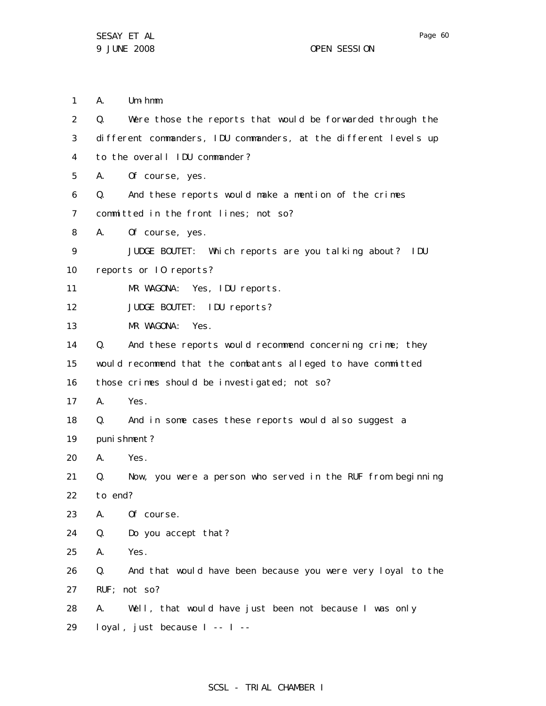Page 60

1 A. Um-hmm.

| 2  | Q.          | Were those the reports that would be forwarded through the       |
|----|-------------|------------------------------------------------------------------|
| 3  |             | different commanders, IDU commanders, at the different levels up |
| 4  |             | to the overall IDU commander?                                    |
| 5  | А.          | Of course, yes.                                                  |
| 6  | Q.          | And these reports would make a mention of the crimes             |
| 7  |             | committed in the front lines; not so?                            |
| 8  | A.          | Of course, yes.                                                  |
| 9  |             | JUDGE BOUTET: Which reports are you talking about? IDU           |
| 10 |             | reports or 10 reports?                                           |
| 11 |             | MR WAGONA: Yes, IDU reports.                                     |
| 12 |             | JUDGE BOUTET: IDU reports?                                       |
| 13 |             | MR WAGONA:<br>Yes.                                               |
| 14 | $Q_{\rm A}$ | And these reports would recommend concerning crime; they         |
| 15 |             | would recommend that the combatants alleged to have committed    |
| 16 |             | those crimes should be investigated; not so?                     |
| 17 | A.          | Yes.                                                             |
| 18 | $Q_{\rm A}$ | And in some cases these reports would also suggest a             |
| 19 |             | puni shment?                                                     |
| 20 | А.          | Yes.                                                             |
| 21 | Q.          | Now, you were a person who served in the RUF from beginning      |
| 22 | to end?     |                                                                  |
| 23 | Α.          | Of course.                                                       |
| 24 | Q.          | Do you accept that?                                              |
| 25 | А.          | Yes.                                                             |
| 26 | Q.          | And that would have been because you were very loyal to the      |
| 27 |             | RUF; not so?                                                     |
| 28 | А.          | Well, that would have just been not because I was only           |
| 29 |             | loyal, just because I -- I --                                    |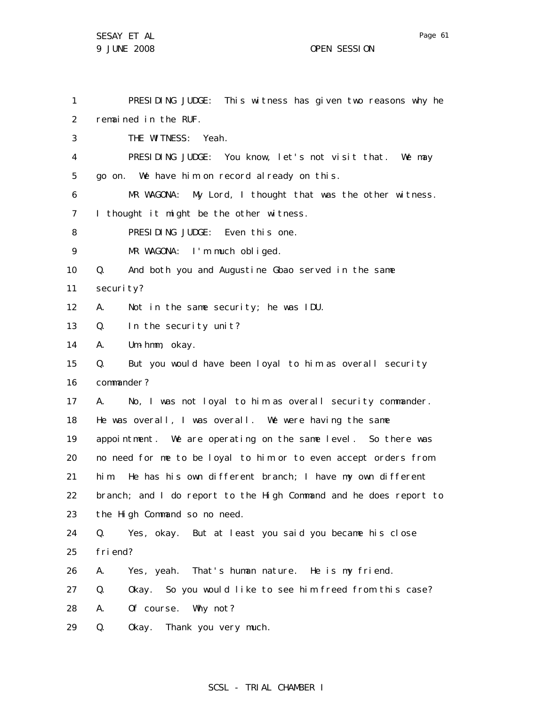1 2 3 4 5 6 7 8 9 10 11 12 13 14 15 16 17 18 19 20 21 22 23 24 25 26 27 28 PRESIDING JUDGE: This witness has given two reasons why he remained in the RUF. THE WITNESS: Yeah. PRESIDING JUDGE: You know, let's not visit that. We may go on. We have him on record already on this. MR WAGONA: My Lord, I thought that was the other witness. I thought it might be the other witness. PRESIDING JUDGE: Even this one. MR WAGONA: I'm much obliged. Q. And both you and Augustine Gbao served in the same security? A. Not in the same security; he was IDU. Q. In the security unit? A. Um-hmm, okay. Q. But you would have been loyal to him as overall security commander? A. No, I was not loyal to him as overall security commander. He was overall, I was overall. We were having the same appointment. We are operating on the same level. So there was no need for me to be loyal to him or to even accept orders from him. He has his own different branch; I have my own different branch; and I do report to the High Command and he does report to the High Command so no need. Q. Yes, okay. But at least you said you became his close friend? A. Yes, yeah. That's human nature. He is my friend. Q. Okay. So you would like to see him freed from this case? A. Of course. Why not?

29 Q. Okay. Thank you very much.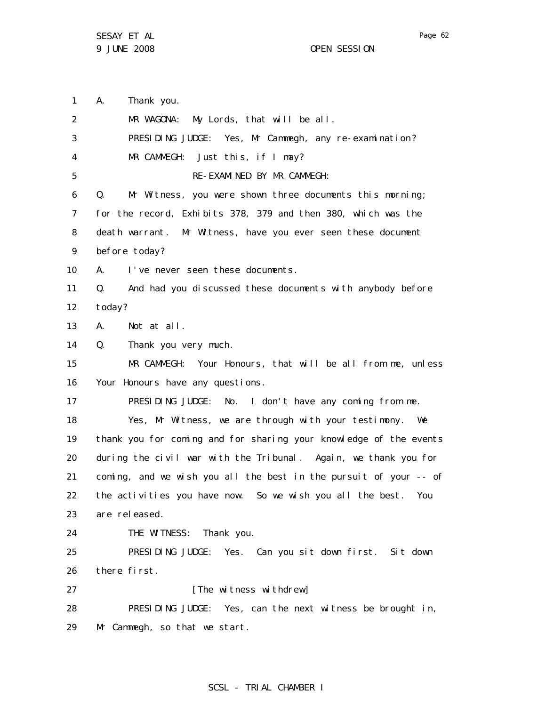1 A. Thank you.

2 3 4 5 6 7 8 9 10 11 12 13 14 15 16 17 18 19 20 21 22 23 24 25 26 27 28 29 MR WAGONA: My Lords, that will be all. PRESIDING JUDGE: Yes, Mr Cammegh, any re-examination? MR CAMMEGH: Just this, if I may? RE-EXAMINED BY MR CAMMEGH: Q. Mr Witness, you were shown three documents this morning; for the record, Exhibits 378, 379 and then 380, which was the death warrant. Mr Witness, have you ever seen these document before today? A. I've never seen these documents. Q. And had you discussed these documents with anybody before today? A. Not at all. Q. Thank you very much. MR CAMMEGH: Your Honours, that will be all from me, unless Your Honours have any questions. PRESIDING JUDGE: No. I don't have any coming from me. Yes, Mr Witness, we are through with your testimony. We thank you for coming and for sharing your knowledge of the events during the civil war with the Tribunal. Again, we thank you for coming, and we wish you all the best in the pursuit of your -- of the activities you have now. So we wish you all the best. You are released. THE WITNESS: Thank you. PRESIDING JUDGE: Yes. Can you sit down first. Sit down there first. [The witness withdrew] PRESIDING JUDGE: Yes, can the next witness be brought in, Mr Cammegh, so that we start.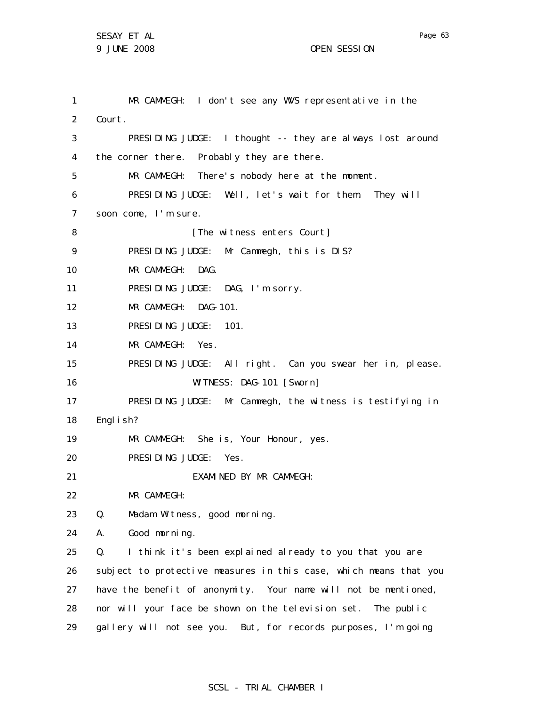1 2 3 4 5 6 7 8 9 10 11 12 13 14 15 16 17 18 19 20 21 22 23 24 25 26 27 28 29 MR CAMMEGH: I don't see any WVS representative in the Court. PRESIDING JUDGE: I thought -- they are always lost around the corner there. Probably they are there. MR CAMMEGH: There's nobody here at the moment. PRESIDING JUDGE: Well, let's wait for them. They will soon come, I'm sure. [The witness enters Court] PRESIDING JUDGE: Mr Cammegh, this is DIS? MR CAMMEGH: DAG. PRESIDING JUDGE: DAG, I'm sorry. MR CAMMEGH: DAG-101. PRESIDING JUDGE: 101. MR CAMMEGH: Yes. PRESIDING JUDGE: All right. Can you swear her in, please. WITNESS: DAG-101 [Sworn] PRESIDING JUDGE: Mr Cammegh, the witness is testifying in English? MR CAMMEGH: She is, Your Honour, yes. PRESIDING JUDGE: Yes. EXAMINED BY MR CAMMEGH: MR CAMMEGH: Q. Madam Witness, good morning. A. Good morning. Q. I think it's been explained already to you that you are subject to protective measures in this case, which means that you have the benefit of anonymity. Your name will not be mentioned, nor will your face be shown on the television set. The public gallery will not see you. But, for records purposes, I'm going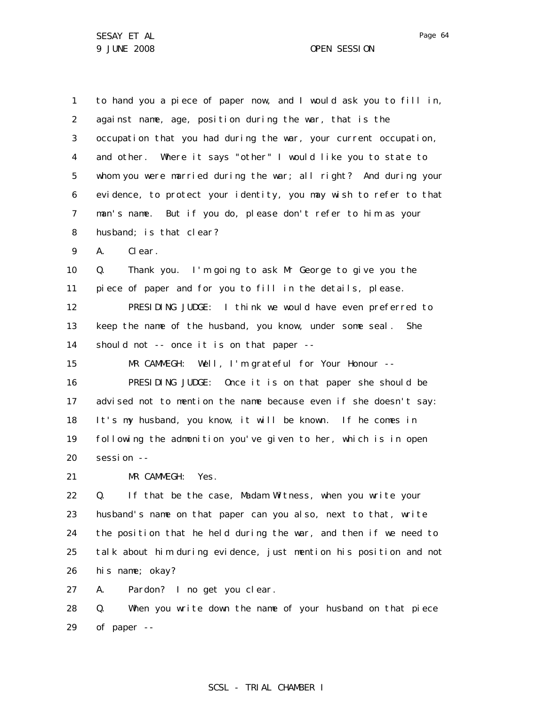1 2 3 4 5 6 7 8 9 10 11 12 13 14 15 16 17 18 19 20 21 22 23 24 25 26 27 to hand you a piece of paper now, and I would ask you to fill in, against name, age, position during the war, that is the occupation that you had during the war, your current occupation, and other. Where it says "other" I would like you to state to whom you were married during the war; all right? And during your evidence, to protect your identity, you may wish to refer to that man's name. But if you do, please don't refer to him as your husband; is that clear? A. Clear. Q. Thank you. I'm going to ask Mr George to give you the piece of paper and for you to fill in the details, please. PRESIDING JUDGE: I think we would have even preferred to keep the name of the husband, you know, under some seal. She should not -- once it is on that paper -- MR CAMMEGH: Well, I'm grateful for Your Honour -- PRESIDING JUDGE: Once it is on that paper she should be advised not to mention the name because even if she doesn't say: It's my husband, you know, it will be known. If he comes in following the admonition you've given to her, which is in open session -- MR CAMMEGH: Yes. Q. If that be the case, Madam Witness, when you write your husband's name on that paper can you also, next to that, write the position that he held during the war, and then if we need to talk about him during evidence, just mention his position and not his name; okay? A. Pardon? I no get you clear.

28 29 Q. When you write down the name of your husband on that piece of paper --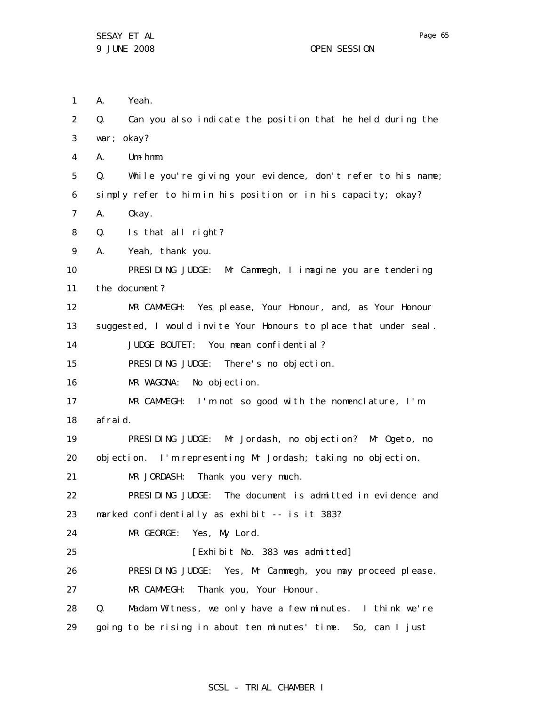A. Yeah.

1

2 3 4 5 6 7 8 9 10 11 12 13 14 15 16 17 18 19 20 21 22 23 24 25 26 27 28 29 Q. Can you also indicate the position that he held during the war; okay? A. Um-hmm. Q. While you're giving your evidence, don't refer to his name; simply refer to him in his position or in his capacity; okay? A. Okay. Q. Is that all right? A. Yeah, thank you. PRESIDING JUDGE: Mr Cammegh, I imagine you are tendering the document? MR CAMMEGH: Yes please, Your Honour, and, as Your Honour suggested, I would invite Your Honours to place that under seal. JUDGE BOUTET: You mean confidential? PRESIDING JUDGE: There's no objection. MR WAGONA: No objection. MR CAMMEGH: I'm not so good with the nomenclature, I'm afraid. PRESIDING JUDGE: Mr Jordash, no objection? Mr Ogeto, no objection. I'm representing Mr Jordash; taking no objection. MR JORDASH: Thank you very much. PRESIDING JUDGE: The document is admitted in evidence and marked confidentially as exhibit -- is it 383? MR GEORGE: Yes, My Lord. [Exhibit No. 383 was admitted] PRESIDING JUDGE: Yes, Mr Cammegh, you may proceed please. MR CAMMEGH: Thank you, Your Honour. Q. Madam Witness, we only have a few minutes. I think we're going to be rising in about ten minutes' time. So, can I just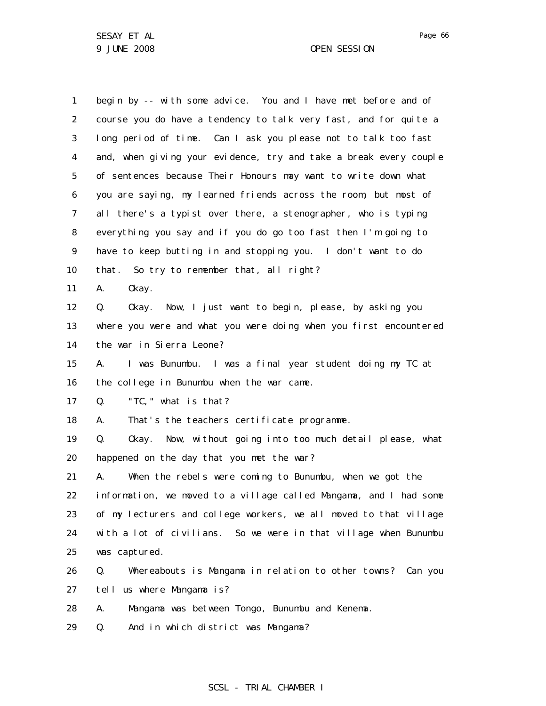1 2 3 4 5 6 7 8 9 10 11 12 13 14 15 16 17 18 19 20 21 22 23 24 25 26 27 28 begin by -- with some advice. You and I have met before and of course you do have a tendency to talk very fast, and for quite a long period of time. Can I ask you please not to talk too fast and, when giving your evidence, try and take a break every couple of sentences because Their Honours may want to write down what you are saying, my learned friends across the room, but most of all there's a typist over there, a stenographer, who is typing everything you say and if you do go too fast then I'm going to have to keep butting in and stopping you. I don't want to do that. So try to remember that, all right? A. Okay. Q. Okay. Now, I just want to begin, please, by asking you where you were and what you were doing when you first encountered the war in Sierra Leone? A. I was Bunumbu. I was a final year student doing my TC at the college in Bunumbu when the war came. Q. "TC," what is that? A. That's the teachers certificate programme. Q. Okay. Now, without going into too much detail please, what happened on the day that you met the war? A. When the rebels were coming to Bunumbu, when we got the information, we moved to a village called Mangama, and I had some of my lecturers and college workers, we all moved to that village with a lot of civilians. So we were in that village when Bunumbu was captured. Q. Whereabouts is Mangama in relation to other towns? Can you tell us where Mangama is? A. Mangama was between Tongo, Bunumbu and Kenema.

29 Q. And in which district was Mangama?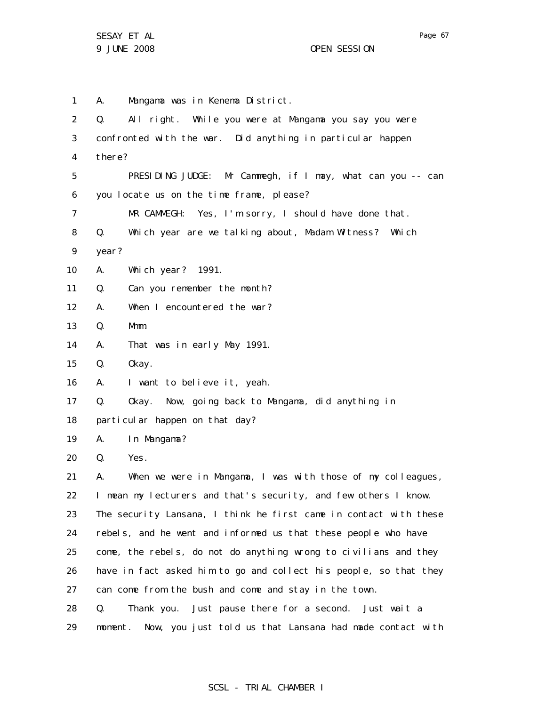1 2 3 4 5 6 7 8 9 10 11 12 13 14 15 16 17 18 19 20 21 22 23 24 25 26 27 28 29 A. Mangama was in Kenema District. Q. All right. While you were at Mangama you say you were confronted with the war. Did anything in particular happen there? PRESIDING JUDGE: Mr Cammegh, if I may, what can you -- can you locate us on the time frame, please? MR CAMMEGH: Yes, I'm sorry, I should have done that. Q. Which year are we talking about, Madam Witness? Which year? A. Which year? 1991. Q. Can you remember the month? A. When I encountered the war? Q. Mmm. A. That was in early May 1991. Q. Okay. A. I want to believe it, yeah. Q. Okay. Now, going back to Mangama, did anything in particular happen on that day? A. In Mangama? Q. Yes. A. When we were in Mangama, I was with those of my colleagues, I mean my lecturers and that's security, and few others I know. The security Lansana, I think he first came in contact with these rebels, and he went and informed us that these people who have come, the rebels, do not do anything wrong to civilians and they have in fact asked him to go and collect his people, so that they can come from the bush and come and stay in the town. Q. Thank you. Just pause there for a second. Just wait a moment. Now, you just told us that Lansana had made contact with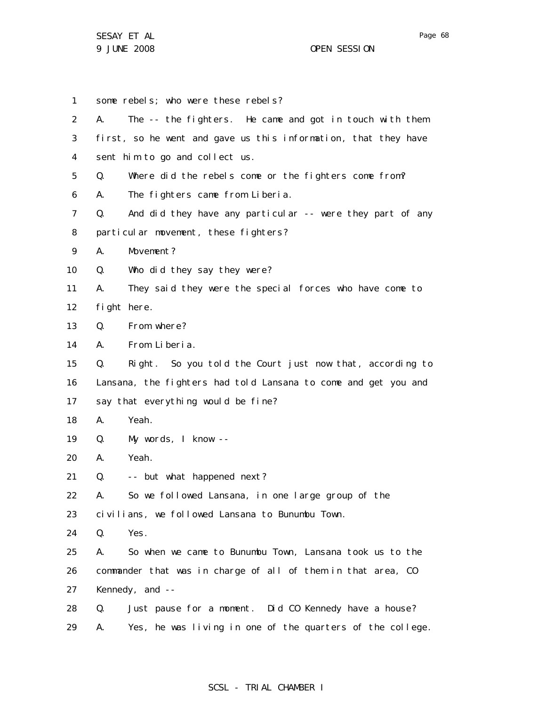1 2 3 4 5 6 7 8 9 10 11 12 13 14 15 16 17 18 19 20 21 22 23 24 25 26 27 28 29 some rebels; who were these rebels? A. The -- the fighters. He came and got in touch with them first, so he went and gave us this information, that they have sent him to go and collect us. Q. Where did the rebels come or the fighters come from? A. The fighters came from Liberia. Q. And did they have any particular -- were they part of any particular movement, these fighters? A. Movement? Q. Who did they say they were? A. They said they were the special forces who have come to fight here. Q. From where? A. From Liberia. Q. Right. So you told the Court just now that, according to Lansana, the fighters had told Lansana to come and get you and say that everything would be fine? A. Yeah. Q. My words, I know -- A. Yeah. Q. -- but what happened next? A. So we followed Lansana, in one large group of the civilians, we followed Lansana to Bunumbu Town. Q. Yes. A. So when we came to Bunumbu Town, Lansana took us to the commander that was in charge of all of them in that area, CO Kennedy, and -- Q. Just pause for a moment. Did CO Kennedy have a house? A. Yes, he was living in one of the quarters of the college.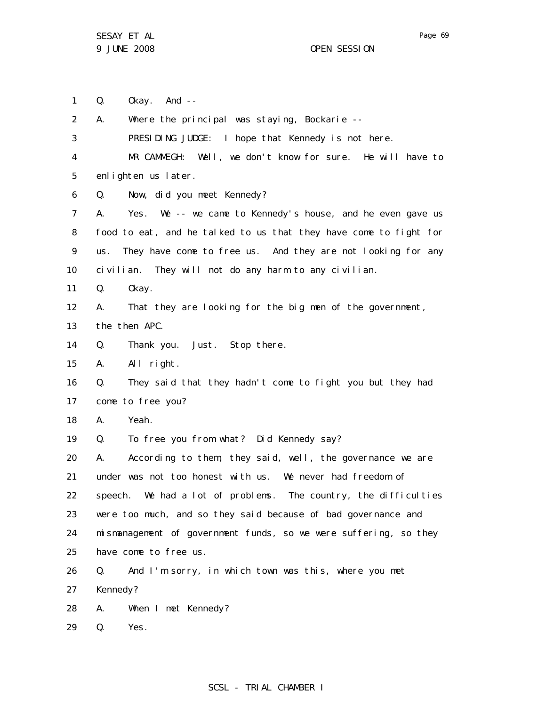Page 69

1 2 3 4 5 6 7 8 9 10 11 12 13 14 15 16 17 18 19 20 21 22 23 24 25 26 27 28 29 Q. Okay. And -- A. Where the principal was staying, Bockarie -- PRESIDING JUDGE: I hope that Kennedy is not here. MR CAMMEGH: Well, we don't know for sure. He will have to enlighten us later. Q. Now, did you meet Kennedy? A. Yes. We -- we came to Kennedy's house, and he even gave us food to eat, and he talked to us that they have come to fight for us. They have come to free us. And they are not looking for any civilian. They will not do any harm to any civilian. Q. Okay. A. That they are looking for the big men of the government, the then APC. Q. Thank you. Just. Stop there. A. All right. Q. They said that they hadn't come to fight you but they had come to free you? A. Yeah. Q. To free you from what? Did Kennedy say? A. According to them, they said, well, the governance we are under was not too honest with us. We never had freedom of speech. We had a lot of problems. The country, the difficulties were too much, and so they said because of bad governance and mismanagement of government funds, so we were suffering, so they have come to free us. Q. And I'm sorry, in which town was this, where you met Kennedy? A. When I met Kennedy? Q. Yes.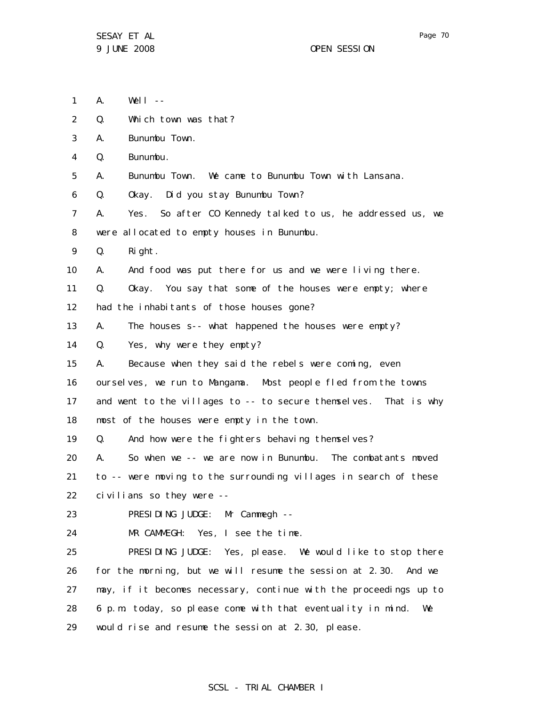- 1  $A.$  Well  $-$
- 2 Q. Which town was that?
- 3 A. Bunumbu Town.
- 4 Q. Bunumbu.
- 5 A. Bunumbu Town. We came to Bunumbu Town with Lansana.
- 6 Q. Okay. Did you stay Bunumbu Town?
- 7 8 A. Yes. So after CO Kennedy talked to us, he addressed us, we were allocated to empty houses in Bunumbu.
- 9 Q. Right.
- 10 A. And food was put there for us and we were living there.
- 11 Q. Okay. You say that some of the houses were empty; where
- 12 had the inhabitants of those houses gone?
- 13 A. The houses s-- what happened the houses were empty?
- 14 Q. Yes, why were they empty?
- 15 A. Because when they said the rebels were coming, even
- 16 ourselves, we run to Mangama. Most people fled from the towns
- 17 18 and went to the villages to -- to secure themselves. That is why most of the houses were empty in the town.
- 19 Q. And how were the fighters behaving themselves?

20 21 22 A. So when we -- we are now in Bunumbu. The combatants moved to -- were moving to the surrounding villages in search of these civilians so they were --

23 PRESIDING JUDGE: Mr Cammegh --

24 MR CAMMEGH: Yes, I see the time.

25 26 27 28 29 PRESIDING JUDGE: Yes, please. We would like to stop there for the morning, but we will resume the session at 2.30. And we may, if it becomes necessary, continue with the proceedings up to 6 p.m. today, so please come with that eventuality in mind. We would rise and resume the session at 2.30, please.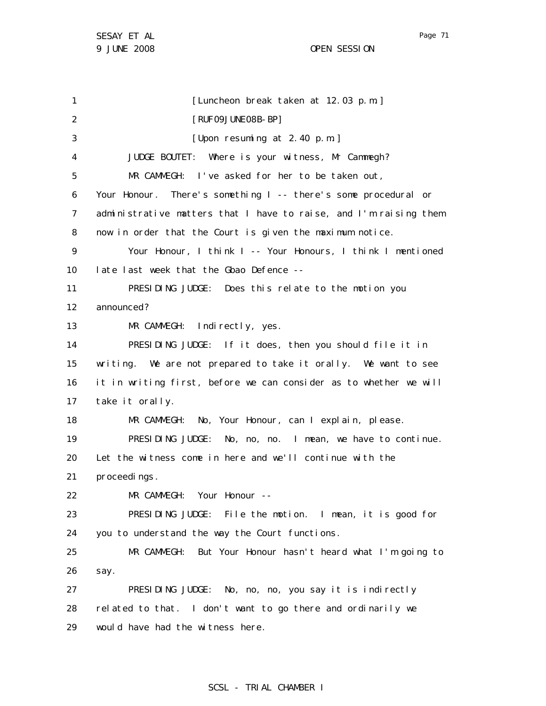Page 71

1 2 3 4 5 6 7 8 9 10 11 12 13 14 15 16 17 18 19 20 21 22 23 24 25 26 27 28 29 [Luncheon break taken at 12.03 p.m.] [RUF09JUNE08B-BP] [Upon resuming at 2.40 p.m.] JUDGE BOUTET: Where is your witness, Mr Cammegh? MR CAMMEGH: I've asked for her to be taken out, Your Honour. There's something I -- there's some procedural or administrative matters that I have to raise, and I'm raising them now in order that the Court is given the maximum notice. Your Honour, I think I -- Your Honours, I think I mentioned late last week that the Gbao Defence -- PRESIDING JUDGE: Does this relate to the motion you announced? MR CAMMEGH: Indirectly, yes. PRESIDING JUDGE: If it does, then you should file it in writing. We are not prepared to take it orally. We want to see it in writing first, before we can consider as to whether we will take it orally. MR CAMMEGH: No, Your Honour, can I explain, please. PRESIDING JUDGE: No, no, no. I mean, we have to continue. Let the witness come in here and we'll continue with the proceedings. MR CAMMEGH: Your Honour -- PRESIDING JUDGE: File the motion. I mean, it is good for you to understand the way the Court functions. MR CAMMEGH: But Your Honour hasn't heard what I'm going to say. PRESIDING JUDGE: No, no, no, you say it is indirectly related to that. I don't want to go there and ordinarily we would have had the witness here.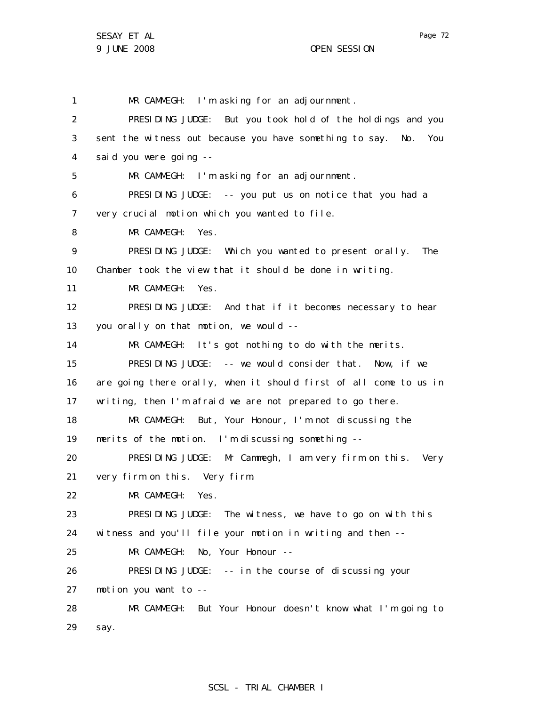1

2

3

4

5

6

7

8

9

10

11

12

13

14

15

16

17

18

19

20

21

22

23

24

25

26

27

28

MR CAMMEGH: I'm asking for an adjournment. PRESIDING JUDGE: But you took hold of the holdings and you sent the witness out because you have something to say. No. You said you were going -- MR CAMMEGH: I'm asking for an adjournment. PRESIDING JUDGE: -- you put us on notice that you had a very crucial motion which you wanted to file. MR CAMMEGH: Yes. PRESIDING JUDGE: Which you wanted to present orally. The Chamber took the view that it should be done in writing. MR CAMMEGH: Yes. PRESIDING JUDGE: And that if it becomes necessary to hear you orally on that motion, we would -- MR CAMMEGH: It's got nothing to do with the merits. PRESIDING JUDGE: -- we would consider that. Now, if we are going there orally, when it should first of all come to us in writing, then I'm afraid we are not prepared to go there. MR CAMMEGH: But, Your Honour, I'm not discussing the merits of the motion. I'm discussing something -- PRESIDING JUDGE: Mr Cammegh, I am very firm on this. Very very firm on this. Very firm. MR CAMMEGH: Yes. PRESIDING JUDGE: The witness, we have to go on with this witness and you'll file your motion in writing and then -- MR CAMMEGH: No, Your Honour --PRESIDING JUDGE: -- in the course of discussing your motion you want to -- MR CAMMEGH: But Your Honour doesn't know what I'm going to

29 say.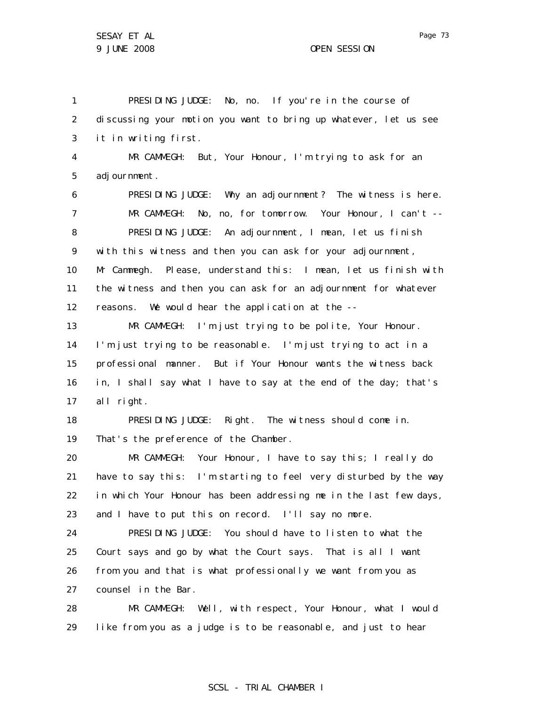1 2 3 4 5 6 7 8 9 10 11 12 13 14 15 16 17 18 19 20 21 22 23 24 25 26 27 28 PRESIDING JUDGE: No, no. If you're in the course of discussing your motion you want to bring up whatever, let us see it in writing first. MR CAMMEGH: But, Your Honour, I'm trying to ask for an adjournment. PRESIDING JUDGE: Why an adjournment? The witness is here. MR CAMMEGH: No, no, for tomorrow. Your Honour, I can't -- PRESIDING JUDGE: An adjournment, I mean, let us finish with this witness and then you can ask for your adjournment, Mr Cammegh. Please, understand this: I mean, let us finish with the witness and then you can ask for an adjournment for whatever reasons. We would hear the application at the -- MR CAMMEGH: I'm just trying to be polite, Your Honour. I'm just trying to be reasonable. I'm just trying to act in a professional manner. But if Your Honour wants the witness back in, I shall say what I have to say at the end of the day; that's all right. PRESIDING JUDGE: Right. The witness should come in. That's the preference of the Chamber. MR CAMMEGH: Your Honour, I have to say this; I really do have to say this: I'm starting to feel very disturbed by the way in which Your Honour has been addressing me in the last few days, and I have to put this on record. I'll say no more. PRESIDING JUDGE: You should have to listen to what the Court says and go by what the Court says. That is all I want from you and that is what professionally we want from you as counsel in the Bar. MR CAMMEGH: Well, with respect, Your Honour, what I would

29 like from you as a judge is to be reasonable, and just to hear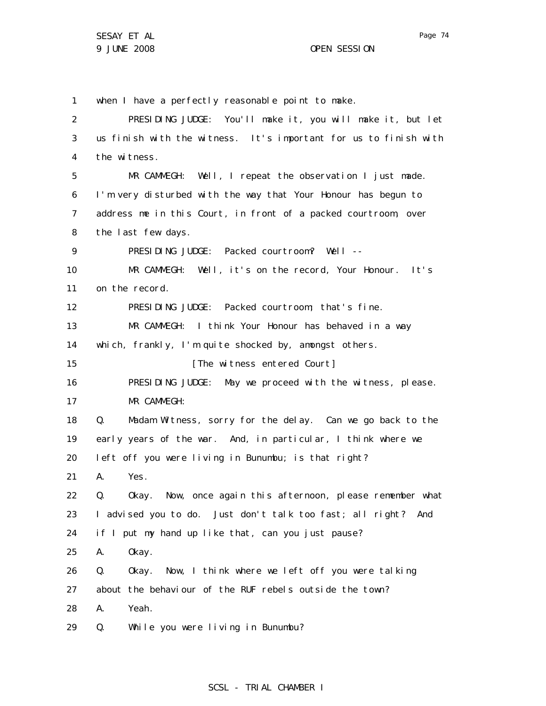1 when I have a perfectly reasonable point to make.

| $\overline{2}$ | PRESIDING JUDGE: You'll make it, you will make it, but let       |
|----------------|------------------------------------------------------------------|
| 3              | us finish with the witness. It's important for us to finish with |
| 4              | the witness.                                                     |
| 5              | MR CAMMEGH: Well, I repeat the observation I just made.          |
| 6              | I'm very disturbed with the way that Your Honour has begun to    |
| 7              | address me in this Court, in front of a packed courtroom, over   |
| 8              | the last few days.                                               |
| 9              | PRESIDING JUDGE: Packed courtroom? Well --                       |
| 10             | MR CAMMEGH: Well, it's on the record, Your Honour. It's          |
| 11             | on the record.                                                   |
| 12             | PRESIDING JUDGE: Packed courtroom; that's fine.                  |
| 13             | MR CAMMEGH: I think Your Honour has behaved in a way             |
| 14             | which, frankly, I'm quite shocked by, amongst others.            |
| 15             | [The witness entered Court]                                      |
| 16             | PRESIDING JUDGE: May we proceed with the witness, please.        |
| 17             | MR CAMMEGH:                                                      |
| 18             | Madam Witness, sorry for the delay. Can we go back to the<br>Q.  |
| 19             | early years of the war. And, in particular, I think where we     |
| 20             | left off you were living in Bunumbu; is that right?              |
| 21             | Yes.<br>А.                                                       |
| 22             | Okay. Now, once again this afternoon, please remember what<br>Q. |
| 23             | I advised you to do. Just don't talk too fast; all right?<br>And |
| 24             | if I put my hand up like that, can you just pause?               |
| 25             | А.<br>0kay.                                                      |
| 26             | Q.<br>Now, I think where we left off you were talking<br>0kay.   |
| 27             | about the behaviour of the RUF rebels outside the town?          |
| 28             | Yeah.<br>А.                                                      |
|                |                                                                  |

29 Q. While you were living in Bunumbu?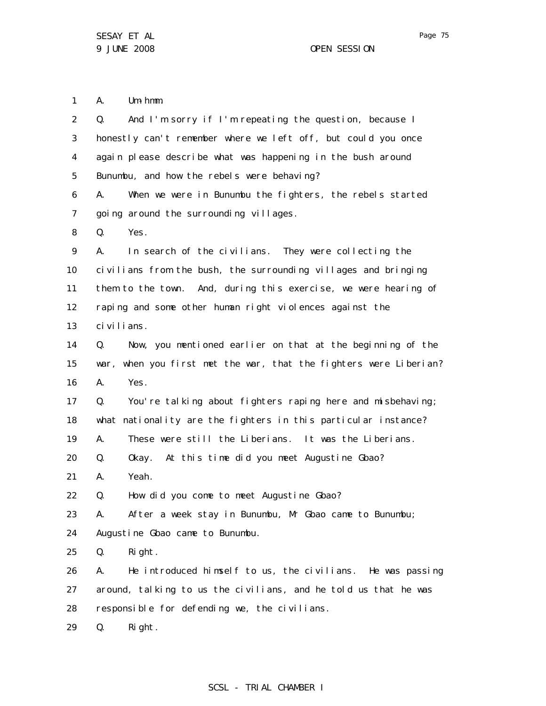1 A. Um-hmm.

| $\overline{2}$ | And I'm sorry if I'm repeating the question, because I<br>Q.      |
|----------------|-------------------------------------------------------------------|
| 3              | honestly can't remember where we left off, but could you once     |
| $\overline{4}$ | again please describe what was happening in the bush around       |
| 5              | Bunumbu, and how the rebels were behaving?                        |
| 6              | When we were in Bunumbu the fighters, the rebels started<br>А.    |
| $\overline{7}$ | going around the surrounding villages.                            |
| 8              | Yes.<br>Q.                                                        |
| 9              | In search of the civilians. They were collecting the<br>А.        |
| 10             | civilians from the bush, the surrounding villages and bringing    |
| 11             | them to the town. And, during this exercise, we were hearing of   |
| 12             | raping and some other human right violences against the           |
| 13             | civilians.                                                        |
| 14             | Now, you mentioned earlier on that at the beginning of the<br>Q.  |
| 15             | war, when you first met the war, that the fighters were Liberian? |
| 16             | Yes.<br>А.                                                        |
| 17             | You're talking about fighters raping here and misbehaving;<br>Q.  |
| 18             | what nationality are the fighters in this particular instance?    |
| 19             | These were still the Liberians. It was the Liberians.<br>А.       |
| 20             | Okay. At this time did you meet Augustine Gbao?<br>Q.             |
| 21             | Yeah.<br>А.                                                       |
| 22             | How did you come to meet Augustine Gbao?<br>Q.                    |
| 23             | After a week stay in Bunumbu, Mr Gbao came to Bunumbu;<br>А.      |
| 24             | Augustine Gbao came to Bunumbu.                                   |
| 25             | Right.<br>Q.                                                      |
| 26             | He introduced himself to us, the civilians. He was passing<br>А.  |
| 27             | around, talking to us the civilians, and he told us that he was   |
| 28             | responsible for defending we, the civilians.                      |
| 29             | Right.<br>Q.                                                      |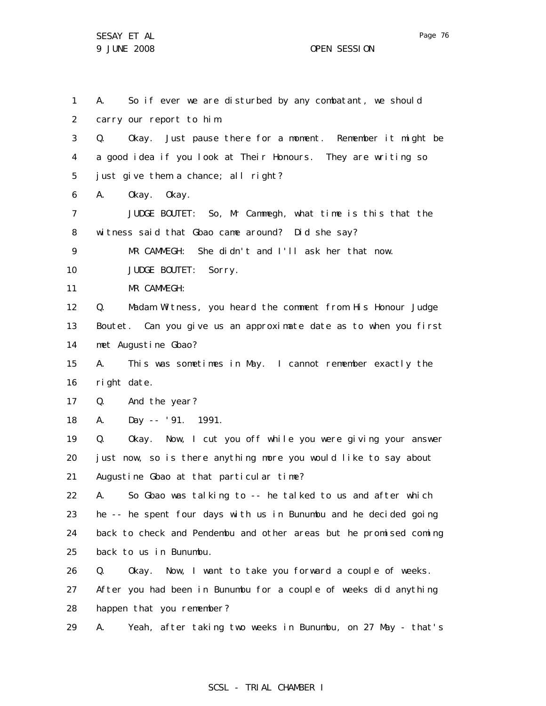Page 76

1 2 3 4 5 6 7 8 9 10 11 12 13 14 15 16 17 18 19 20 21 22 23 24 25 26 27 28 29 A. So if ever we are disturbed by any combatant, we should carry our report to him. Q. Okay. Just pause there for a moment. Remember it might be a good idea if you look at Their Honours. They are writing so just give them a chance; all right? A. Okay. Okay. JUDGE BOUTET: So, Mr Cammegh, what time is this that the witness said that Gbao came around? Did she say? MR CAMMEGH: She didn't and I'll ask her that now. JUDGE BOUTET: Sorry. MR CAMMEGH: Q. Madam Witness, you heard the comment from His Honour Judge Boutet. Can you give us an approximate date as to when you first met Augustine Gbao? A. This was sometimes in May. I cannot remember exactly the right date. Q. And the year? A. Day -- '91. 1991. Q. Okay. Now, I cut you off while you were giving your answer just now, so is there anything more you would like to say about Augustine Gbao at that particular time? A. So Gbao was talking to -- he talked to us and after which he -- he spent four days with us in Bunumbu and he decided going back to check and Pendembu and other areas but he promised coming back to us in Bunumbu. Q. Okay. Now, I want to take you forward a couple of weeks. After you had been in Bunumbu for a couple of weeks did anything happen that you remember? A. Yeah, after taking two weeks in Bunumbu, on 27 May - that's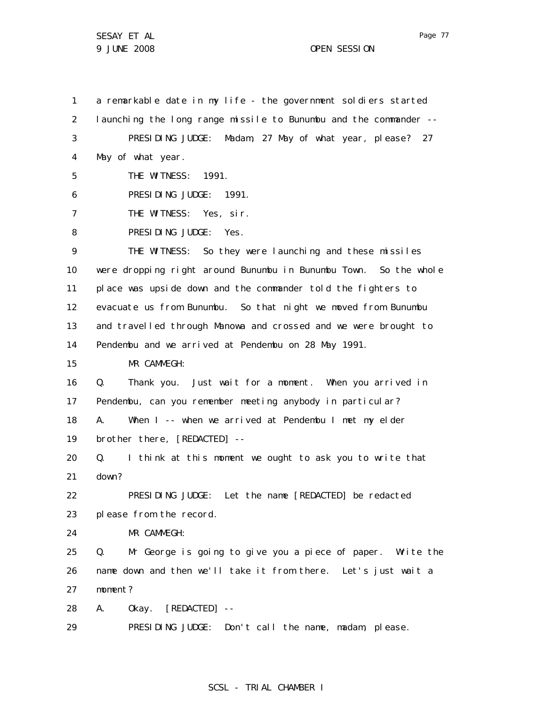1 2 3 4 5 6 7 8 9 10 11 12 13 14 15 16 17 18 19 20 21 22 23 24 25 26 27 28 a remarkable date in my life - the government soldiers started launching the long range missile to Bunumbu and the commander -- PRESIDING JUDGE: Madam, 27 May of what year, please? 27 May of what year. THE WITNESS: 1991. PRESIDING JUDGE: 1991. THE WITNESS: Yes, sir. PRESIDING JUDGE: Yes. THE WITNESS: So they were launching and these missiles were dropping right around Bunumbu in Bunumbu Town. So the whole place was upside down and the commander told the fighters to evacuate us from Bunumbu. So that night we moved from Bunumbu and travelled through Manowa and crossed and we were brought to Pendembu and we arrived at Pendembu on 28 May 1991. MR CAMMEGH: Q. Thank you. Just wait for a moment. When you arrived in Pendembu, can you remember meeting anybody in particular? A. When I -- when we arrived at Pendembu I met my elder brother there, [REDACTED] -- Q. I think at this moment we ought to ask you to write that down? PRESIDING JUDGE: Let the name [REDACTED] be redacted please from the record. MR CAMMEGH: Q. Mr George is going to give you a piece of paper. Write the name down and then we'll take it from there. Let's just wait a moment? A. Okay. [REDACTED] --

29 PRESIDING JUDGE: Don't call the name, madam, please.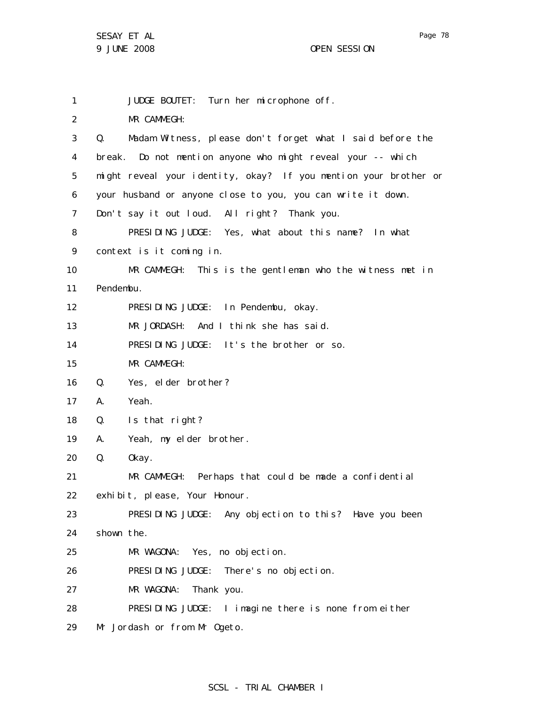1 2 3 4 5 6 7 8 9 10 11 12 13 14 15 16 17 18 19 20 21 22 23 24 25 26 27 28 29 JUDGE BOUTET: Turn her microphone off. MR CAMMEGH: Q. Madam Witness, please don't forget what I said before the break. Do not mention anyone who might reveal your -- which might reveal your identity, okay? If you mention your brother or your husband or anyone close to you, you can write it down. Don't say it out loud. All right? Thank you. PRESIDING JUDGE: Yes, what about this name? In what context is it coming in. MR CAMMEGH: This is the gentleman who the witness met in Pendembu. PRESIDING JUDGE: In Pendembu, okay. MR JORDASH: And I think she has said. PRESIDING JUDGE: It's the brother or so. MR CAMMEGH: Q. Yes, elder brother? A. Yeah. Q. Is that right? A. Yeah, my elder brother. Q. Okay. MR CAMMEGH: Perhaps that could be made a confidential exhibit, please, Your Honour. PRESIDING JUDGE: Any objection to this? Have you been shown the. MR WAGONA: Yes, no objection. PRESIDING JUDGE: There's no objection. MR WAGONA: Thank you. PRESIDING JUDGE: I imagine there is none from either Mr Jordash or from Mr Ogeto.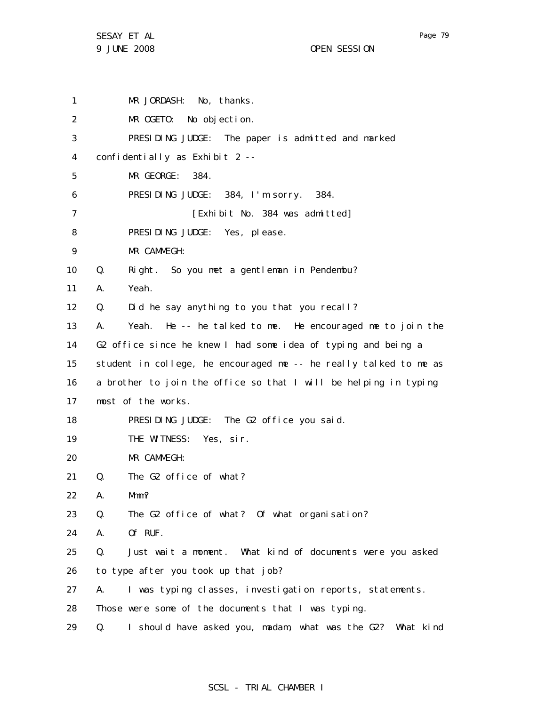1 2 3 4 5 6 7 8 9 10 11 12 13 14 15 16 17 18 19 20 21 22 23 24 25 26 27 28 29 MR JORDASH: No, thanks. MR OGETO: No objection. PRESIDING JUDGE: The paper is admitted and marked confidentially as Exhibit 2 -- MR GEORGE: 384. PRESIDING JUDGE: 384, I'm sorry. 384. [Exhibit No. 384 was admitted] PRESIDING JUDGE: Yes, please. MR CAMMEGH: Q. Right. So you met a gentleman in Pendembu? A. Yeah. Q. Did he say anything to you that you recall? A. Yeah. He -- he talked to me. He encouraged me to join the G2 office since he knew I had some idea of typing and being a student in college, he encouraged me -- he really talked to me as a brother to join the office so that I will be helping in typing most of the works. PRESIDING JUDGE: The G2 office you said. THE WITNESS: Yes, sir. MR CAMMEGH: Q. The G2 office of what? A. Mmm? Q. The G2 office of what? Of what organisation? A. Of RUF. Q. Just wait a moment. What kind of documents were you asked to type after you took up that job? A. I was typing classes, investigation reports, statements. Those were some of the documents that I was typing. Q. I should have asked you, madam, what was the G2? What kind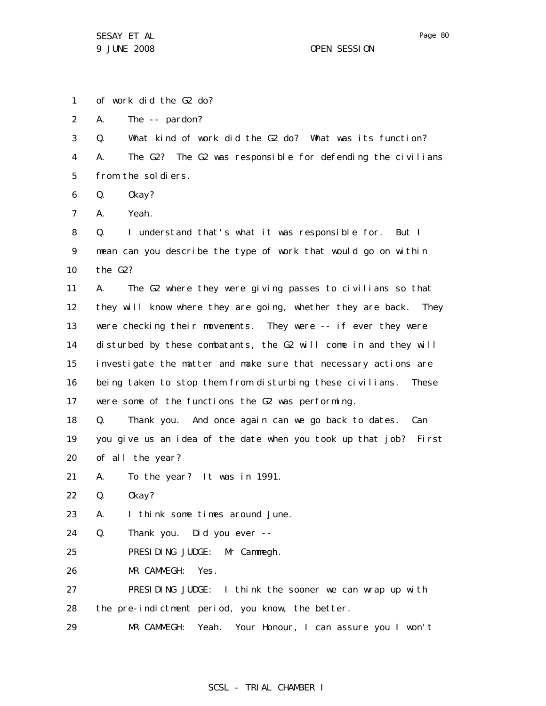1 2 3 4 5 6 7 8 9 10 11 12 13 14 15 16 17 18 19 20 21 22 23 24 25 26 27 28 29 of work did the G2 do? A. The -- pardon? Q. What kind of work did the G2 do? What was its function? A. The G2? The G2 was responsible for defending the civilians from the soldiers. Q. Okay? A. Yeah. Q. I understand that's what it was responsible for. But I mean can you describe the type of work that would go on within the G2? A. The G2 where they were giving passes to civilians so that they will know where they are going, whether they are back. They were checking their movements. They were -- if ever they were disturbed by these combatants, the G2 will come in and they will investigate the matter and make sure that necessary actions are being taken to stop them from disturbing these civilians. These were some of the functions the G2 was performing. Q. Thank you. And once again can we go back to dates. Can you give us an idea of the date when you took up that job? First of all the year? A. To the year? It was in 1991. Q. Okay? A. I think some times around June. Q. Thank you. Did you ever -- PRESIDING JUDGE: Mr Cammegh. MR CAMMEGH: Yes. PRESIDING JUDGE: I think the sooner we can wrap up with the pre-indictment period, you know, the better. MR CAMMEGH: Yeah. Your Honour, I can assure you I won't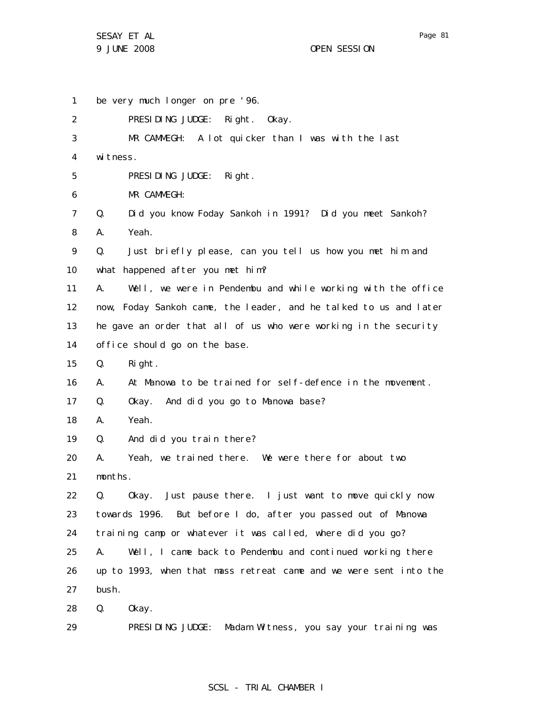29

1 2 3 4 5 6 7 8 9 10 11 12 13 14 15 16 17 18 19 20 21 22 23 24 25 26 27 28 be very much longer on pre '96. PRESIDING JUDGE: Right. Okay. MR CAMMEGH: A lot quicker than I was with the last wi tness. PRESIDING JUDGE: Right. MR CAMMEGH: Q. Did you know Foday Sankoh in 1991? Did you meet Sankoh? A. Yeah. Q. Just briefly please, can you tell us how you met him and what happened after you met him? A. Well, we were in Pendembu and while working with the office now, Foday Sankoh came, the leader, and he talked to us and later he gave an order that all of us who were working in the security office should go on the base. Q. Right. A. At Manowa to be trained for self-defence in the movement. Q. Okay. And did you go to Manowa base? A. Yeah. Q. And did you train there? A. Yeah, we trained there. We were there for about two months. Q. Okay. Just pause there. I just want to move quickly now towards 1996. But before I do, after you passed out of Manowa training camp or whatever it was called, where did you go? A. Well, I came back to Pendembu and continued working there up to 1993, when that mass retreat came and we were sent into the bush. Q. Okay.

# SCSL - TRIAL CHAMBER I

PRESIDING JUDGE: Madam Witness, you say your training was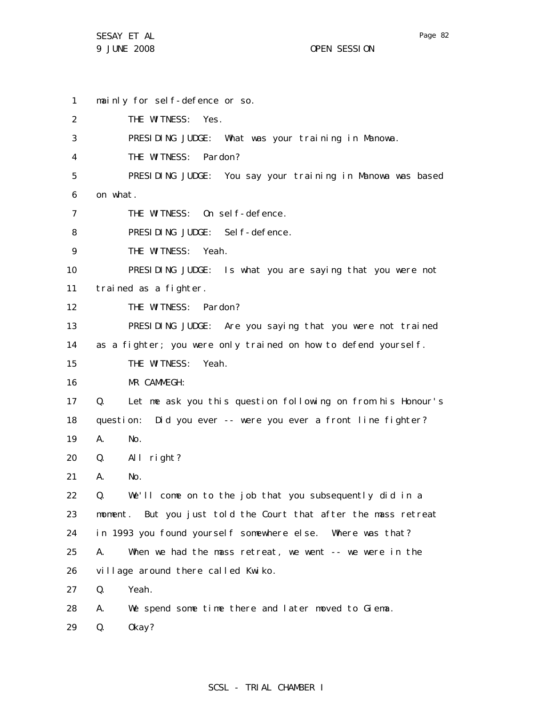1 2 3 4 5 6 7 8 9 10 11 12 13 14 15 16 17 18 19 20 21 22 23 24 25 26 27 28 mainly for self-defence or so. THE WITNESS: Yes. PRESIDING JUDGE: What was your training in Manowa. THE WITNESS: Pardon? PRESIDING JUDGE: You say your training in Manowa was based on what. THE WITNESS: On self-defence. PRESIDING JUDGE: Self-defence. THE WITNESS: Yeah. PRESIDING JUDGE: Is what you are saying that you were not trained as a fighter. THE WITNESS: Pardon? PRESIDING JUDGE: Are you saying that you were not trained as a fighter; you were only trained on how to defend yourself. THE WITNESS: Yeah. MR CAMMEGH: Q. Let me ask you this question following on from his Honour's question: Did you ever -- were you ever a front line fighter? A. No. Q. All right? A. No. Q. We'll come on to the job that you subsequently did in a moment. But you just told the Court that after the mass retreat in 1993 you found yourself somewhere else. Where was that? A. When we had the mass retreat, we went -- we were in the village around there called Kwiko. Q. Yeah. A. We spend some time there and later moved to Giema.

29 Q. Okay?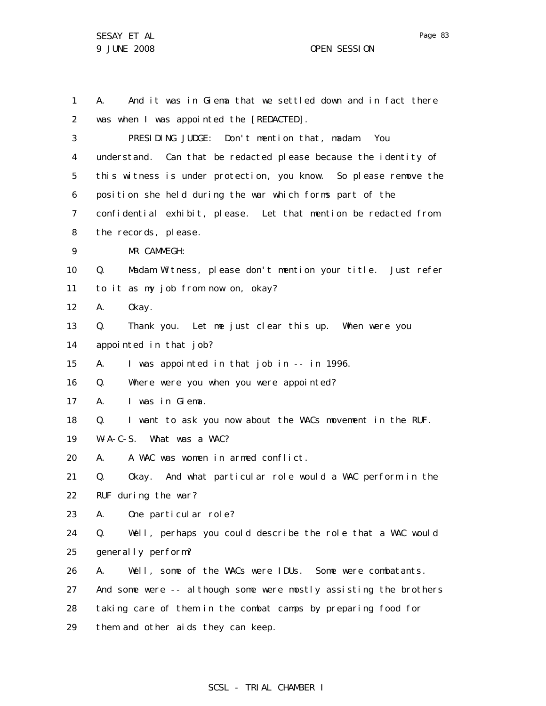1 2 3 4 5 6 7 8 9 10 11 12 13 14 15 16 17 18 19 20 21 22 23 24 25 26 27 28 29 A. And it was in Giema that we settled down and in fact there was when I was appointed the [REDACTED]. PRESIDING JUDGE: Don't mention that, madam. You understand. Can that be redacted please because the identity of this witness is under protection, you know. So please remove the position she held during the war which forms part of the confidential exhibit, please. Let that mention be redacted from the records, please. MR CAMMEGH: Q. Madam Witness, please don't mention your title. Just refer to it as my job from now on, okay? A. Okay. Q. Thank you. Let me just clear this up. When were you appointed in that job? A. I was appointed in that job in -- in 1996. Q. Where were you when you were appointed? A. I was in Giema. Q. I want to ask you now about the WACs movement in the RUF. W-A-C-S. What was a WAC? A. A WAC was women in armed conflict. Q. Okay. And what particular role would a WAC perform in the RUF during the war? A. One particular role? Q. Well, perhaps you could describe the role that a WAC would generally perform? A. Well, some of the WACs were IDUs. Some were combatants. And some were -- although some were mostly assisting the brothers taking care of them in the combat camps by preparing food for them and other aids they can keep.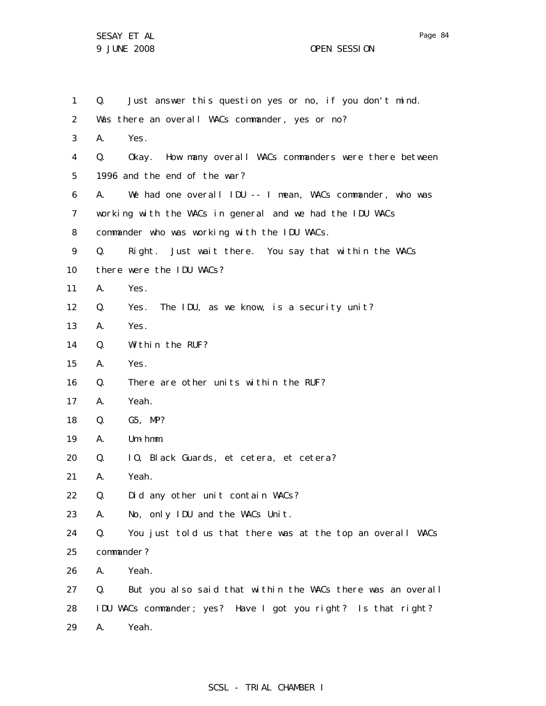| $\mathbf{1}$      | Q.         | Just answer this question yes or no, if you don't mind.       |
|-------------------|------------|---------------------------------------------------------------|
| 2                 |            | Was there an overall WACs commander, yes or no?               |
| 3                 | А.         | Yes.                                                          |
| 4                 | Q.         | Okay. How many overall WACs commanders were there between     |
| 5                 |            | 1996 and the end of the war?                                  |
| 6                 | А.         | We had one overall IDU -- I mean, WACs commander, who was     |
| 7                 |            | working with the WACs in general and we had the IDU WACs      |
| 8                 |            | commander who was working with the IDU WACs.                  |
| 9                 | Q.         | Right. Just wait there. You say that within the WACs          |
| 10                |            | there were the IDU WACs?                                      |
| 11                | А.         | Yes.                                                          |
| $12 \overline{ }$ | Q.         | The IDU, as we know, is a security unit?<br>Yes.              |
| 13                | А.         | Yes.                                                          |
| 14                | Q.         | Within the RUF?                                               |
| 15                | А.         | Yes.                                                          |
| 16                | Q.         | There are other units within the RUF?                         |
| 17                | А.         | Yeah.                                                         |
| 18                | Q.         | G5, MP?                                                       |
| 19                | А.         | $Um - hmm$ .                                                  |
| 20                | Q.         | 10, Black Guards, et cetera, et cetera?                       |
| 21                | А.         | Yeah.                                                         |
| 22                | Q.         | Did any other unit contain WACs?                              |
| 23                | А.         | No, only IDU and the WACs Unit.                               |
| 24                | Q.         | You just told us that there was at the top an overall WACs    |
| 25                | commander? |                                                               |
| 26                | А.         | Yeah.                                                         |
| 27                | Q.         | But you also said that within the WACs there was an overall   |
| 28                |            | IDU WACs commander; yes? Have I got you right? Is that right? |
| 29                | Α.         | Yeah.                                                         |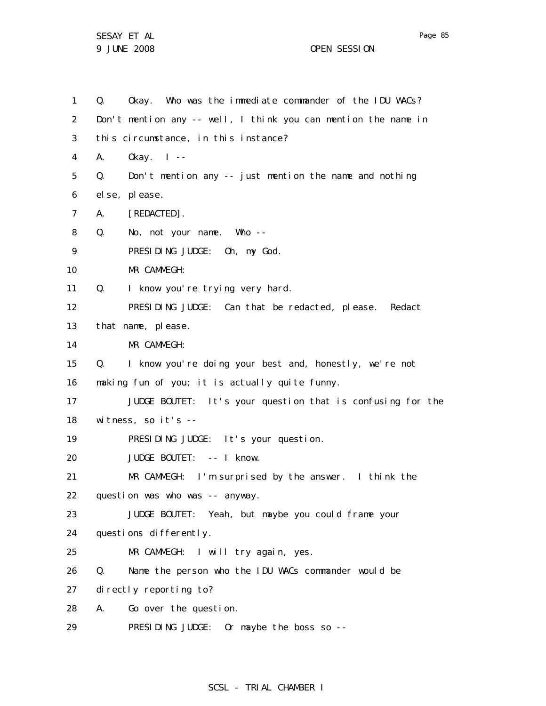Page 85

1 2 3 4 5 6 7 8 9 10 11 12 13 14 15 16 17 18 19 20 21 22 23 24 25 26 27 28 29 Q. Okay. Who was the immediate commander of the IDU WACs? Don't mention any -- well, I think you can mention the name in this circumstance, in this instance? A. Okay. I -- Q. Don't mention any -- just mention the name and nothing else, please. A. [REDACTED]. Q. No, not your name. Who -- PRESIDING JUDGE: Oh, my God. MR CAMMEGH: Q. I know you're trying very hard. PRESIDING JUDGE: Can that be redacted, please. Redact that name, please. MR CAMMEGH: Q. I know you're doing your best and, honestly, we're not making fun of you; it is actually quite funny. JUDGE BOUTET: It's your question that is confusing for the witness, so it's -- PRESIDING JUDGE: It's your question. JUDGE BOUTET: -- I know. MR CAMMEGH: I'm surprised by the answer. I think the question was who was -- anyway. JUDGE BOUTET: Yeah, but maybe you could frame your questions differently. MR CAMMEGH: I will try again, yes. Q. Name the person who the IDU WACs commander would be directly reporting to? A. Go over the question. PRESIDING JUDGE: Or maybe the boss so --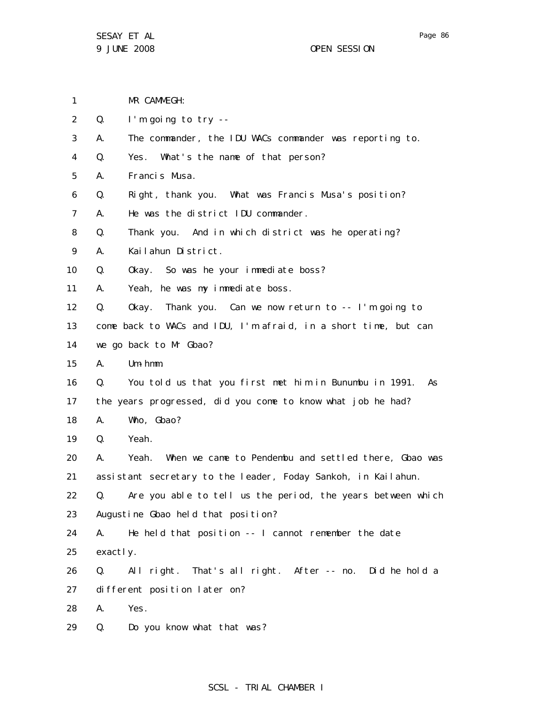- 1 MR CAMMEGH:
- 2 Q. I'm going to try --
- 3 A. The commander, the IDU WACs commander was reporting to.
- 4 Q. Yes. What's the name of that person?
- 5 A. Francis Musa.
- 6 Q. Right, thank you. What was Francis Musa's position?
- 7 A. He was the district IDU commander.
- 8 Q. Thank you. And in which district was he operating?
- 9 A. Kailahun District.
- 10 Q. Okay. So was he your immediate boss?
- 11 A. Yeah, he was my immediate boss.
- 12 Q. Okay. Thank you. Can we now return to -- I'm going to
- 13 come back to WACs and IDU, I'm afraid, in a short time, but can
- 14 we go back to Mr Gbao?
- 15 A. Um-hmm.
- 16 17 Q. You told us that you first met him in Bunumbu in 1991. As the years progressed, did you come to know what job he had?
- 18 A. Who, Gbao?
- 19 Q. Yeah.
- 20 21 A. Yeah. When we came to Pendembu and settled there, Gbao was assistant secretary to the leader, Foday Sankoh, in Kailahun.
- 22 23 Q. Are you able to tell us the period, the years between which Augustine Gbao held that position?
- 24 25 A. He held that position -- I cannot remember the date exactly.
- 26 27 Q. All right. That's all right. After -- no. Did he hold a different position later on?
- 28 A. Yes.
- 29 Q. Do you know what that was?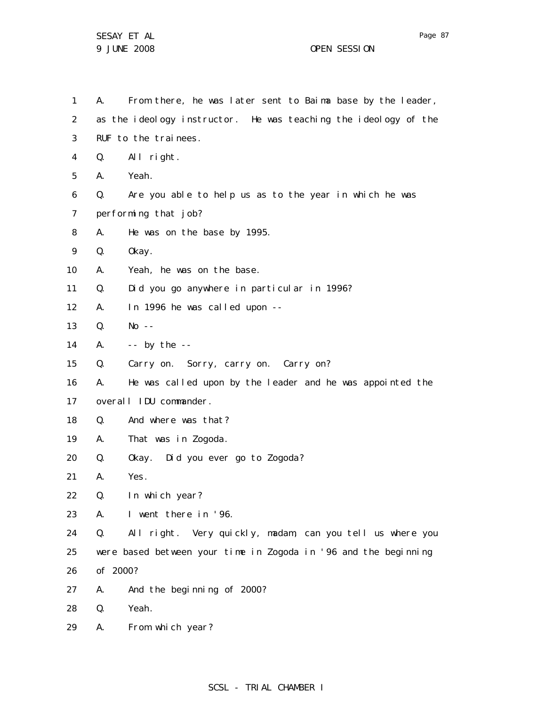1 2 3 4 5 6 7 8 9 10 11 12 13 14 15 16 17 18 19 20 21 22 23 24 25 26 27 28 29 A. From there, he was later sent to Baima base by the leader, as the ideology instructor. He was teaching the ideology of the RUF to the trainees. Q. All right. A. Yeah. Q. Are you able to help us as to the year in which he was performing that job? A. He was on the base by 1995. Q. Okay. A. Yeah, he was on the base. Q. Did you go anywhere in particular in 1996? A. In 1996 he was called upon --  $0.$  No  $-$ A.  $-$  - by the  $-$ Q. Carry on. Sorry, carry on. Carry on? A. He was called upon by the leader and he was appointed the overall IDU commander. Q. And where was that? A. That was in Zogoda. Q. Okay. Did you ever go to Zogoda? A. Yes. Q. In which year? A. I went there in '96. Q. All right. Very quickly, madam, can you tell us where you were based between your time in Zogoda in '96 and the beginning of 2000? A. And the beginning of 2000? Q. Yeah. A. From which year?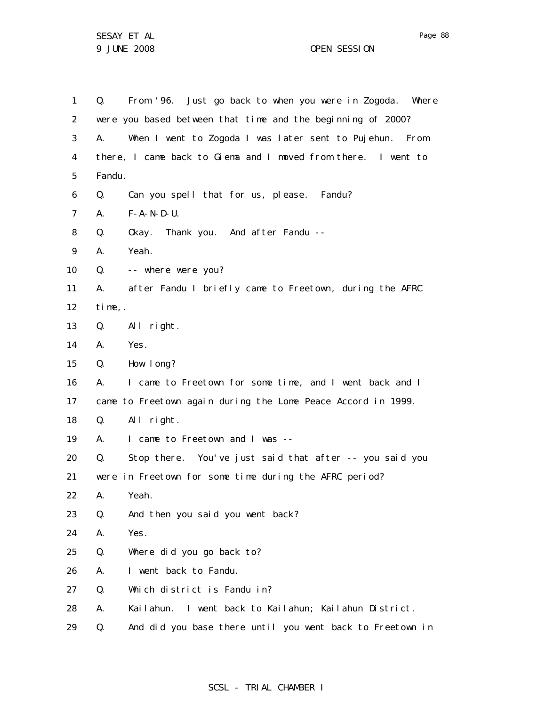| $\mathbf{1}$   | Q.     | From '96. Just go back to when you were in Zogoda. Where      |
|----------------|--------|---------------------------------------------------------------|
| $\overline{2}$ |        | were you based between that time and the beginning of 2000?   |
| 3              | А.     | When I went to Zogoda I was later sent to Pujehun. From       |
| 4              |        | there, I came back to Giema and I moved from there. I went to |
| 5              | Fandu. |                                                               |
| 6              | Q.     | Can you spell that for us, please. Fandu?                     |
| $\overline{7}$ | А.     | $F - A - N - D - U$ .                                         |
| 8              | Q.     | Okay. Thank you. And after Fandu --                           |
| 9              | А.     | Yeah.                                                         |
| 10             | Q.     | -- where were you?                                            |
| 11             | А.     | after Fandu I briefly came to Freetown, during the AFRC       |
| 12             | time,. |                                                               |
| 13             | Q.     | All right.                                                    |
| 14             | А.     | Yes.                                                          |
| 15             | Q.     | How I ong?                                                    |
| 16             | А.     | I came to Freetown for some time, and I went back and I       |
| 17             |        | came to Freetown again during the Lome Peace Accord in 1999.  |
| 18             | Q.     | All right.                                                    |
| 19             | А.     | I came to Freetown and I was --                               |
| 20             | Q.     | Stop there. You've just said that after -- you said you       |
| 21             |        | were in Freetown for some time during the AFRC period?        |
| 22             | Α.     | Yeah.                                                         |
| 23             | Q.     | And then you said you went back?                              |
| 24             | А.     | Yes.                                                          |
| 25             | Q.     | Where did you go back to?                                     |
| 26             | А.     | I went back to Fandu.                                         |
| 27             | Q.     | Which district is Fandu in?                                   |
| 28             | А.     | Kailahun. I went back to Kailahun; Kailahun District.         |
| 29             | Q.     | And did you base there until you went back to Freetown in     |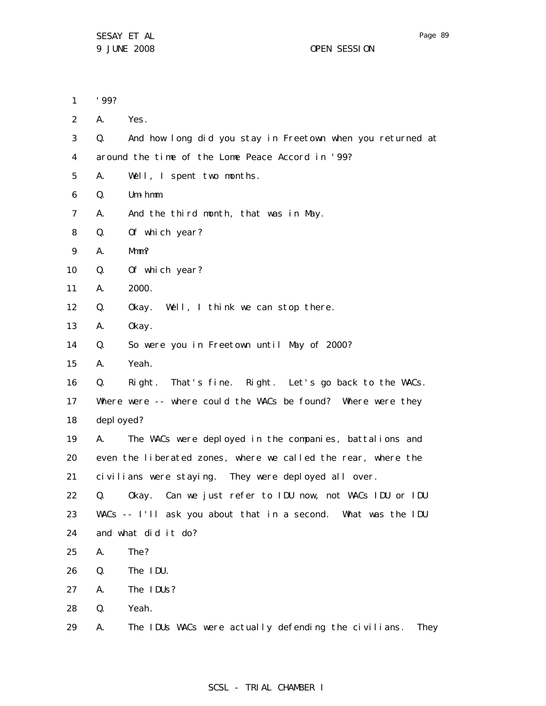| 1              | '99?       |                                                               |
|----------------|------------|---------------------------------------------------------------|
| $\overline{2}$ | А.         | Yes.                                                          |
| 3              | Q.         | And how long did you stay in Freetown when you returned at    |
| 4              |            | around the time of the Lome Peace Accord in '99?              |
| 5              | А.         | Well, I spent two months.                                     |
| 6              | Q.         | $Um - hmm.$                                                   |
| 7              | А.         | And the third month, that was in May.                         |
| 8              | Q.         | Of which year?                                                |
| 9              | А.         | Mmm?                                                          |
| 10             | Q.         | Of which year?                                                |
| 11             | А.         | 2000.                                                         |
| 12             | Q.         | Okay. Well, I think we can stop there.                        |
| 13             | А.         | 0kay.                                                         |
| 14             | Q.         | So were you in Freetown until May of 2000?                    |
| 15             | А.         | Yeah.                                                         |
| 16             | Q.         | Right. That's fine. Right. Let's go back to the WACs.         |
| 17             |            | Where were -- where could the WACs be found? Where were they  |
| 18             | depl oyed? |                                                               |
| 19             | A.         | The WACs were deployed in the companies, battalions and       |
| 20             |            | even the liberated zones, where we called the rear, where the |
| 21             |            | civilians were staying. They were deployed all over.          |
| 22             |            | Q. Okay. Can we just refer to IDU now, not WACs IDU or IDU    |
| 23             |            | WACs -- I'll ask you about that in a second. What was the IDU |
| 24             |            | and what did it do?                                           |
| 25             | А.         | The?                                                          |
| 26             | Q.         | The IDU.                                                      |
| 27             | А.         | The IDUs?                                                     |
| 28             | Q.         | Yeah.                                                         |
| 29             | А.         | The IDUs WACs were actually defending the civilians.<br>They  |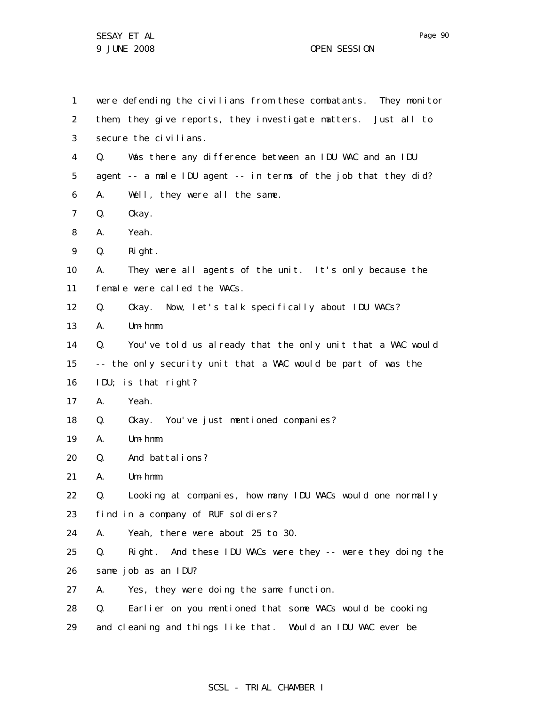1 2 3 4 5 6 7 8 9 10 11 12 13 14 15 16 17 18 19 20 21 22 23 24 25 26 27 28 29 were defending the civilians from these combatants. They monitor them, they give reports, they investigate matters. Just all to secure the civilians. Q. Was there any difference between an IDU WAC and an IDU agent -- a male IDU agent -- in terms of the job that they did? A. Well, they were all the same. Q. Okay. A. Yeah. Q. Right. A. They were all agents of the unit. It's only because the female were called the WACs. Q. Okay. Now, let's talk specifically about IDU WACs? A. Um-hmm. Q. You've told us already that the only unit that a WAC would -- the only security unit that a WAC would be part of was the IDU; is that right? A. Yeah. Q. Okay. You've just mentioned companies? A. Um-hmm. Q. And battalions? A. Um-hmm. Q. Looking at companies, how many IDU WACs would one normally find in a company of RUF soldiers? A. Yeah, there were about 25 to 30. Q. Right. And these IDU WACs were they -- were they doing the same job as an IDU? A. Yes, they were doing the same function. Q. Earlier on you mentioned that some WACs would be cooking and cleaning and things like that. Would an IDU WAC ever be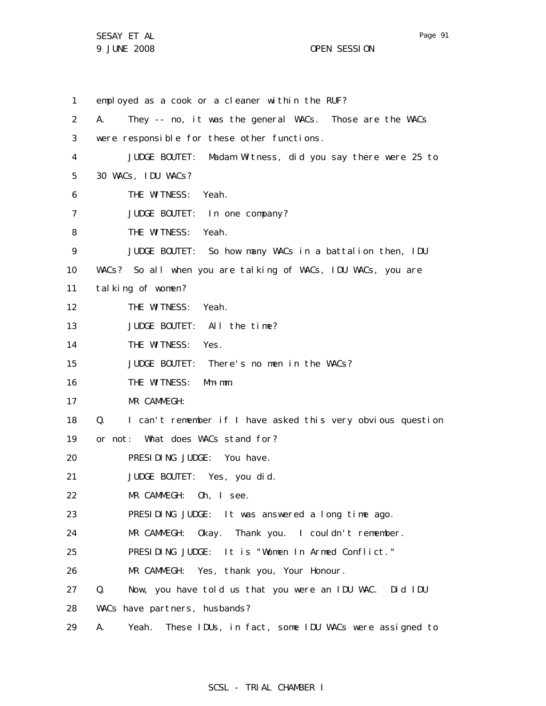1 2 3 4 5 6 7 8 9 10 11 12 13 14 15 16 17 18 19 20 21 22 23 24 25 26 27 28 29 employed as a cook or a cleaner within the RUF? A. They -- no, it was the general WACs. Those are the WACs were responsible for these other functions. JUDGE BOUTET: Madam Witness, did you say there were 25 to 30 WACs, IDU WACs? THE WITNESS: Yeah. JUDGE BOUTET: In one company? THE WITNESS: Yeah. JUDGE BOUTET: So how many WACs in a battalion then, IDU WACs? So all when you are talking of WACs, IDU WACs, you are talking of women? THE WITNESS: Yeah. JUDGE BOUTET: All the time? THE WITNESS: Yes. JUDGE BOUTET: There's no men in the WACs? THE WITNESS: Mm-mm. MR CAMMEGH: Q. I can't remember if I have asked this very obvious question or not: What does WACs stand for? PRESIDING JUDGE: You have. JUDGE BOUTET: Yes, you did. MR CAMMEGH: Oh, I see. PRESIDING JUDGE: It was answered a long time ago. MR CAMMEGH: Okay. Thank you. I couldn't remember. PRESIDING JUDGE: It is "Women In Armed Conflict." MR CAMMEGH: Yes, thank you, Your Honour. Q. Now, you have told us that you were an IDU WAC. Did IDU WACs have partners, husbands? A. Yeah. These IDUs, in fact, some IDU WACs were assigned to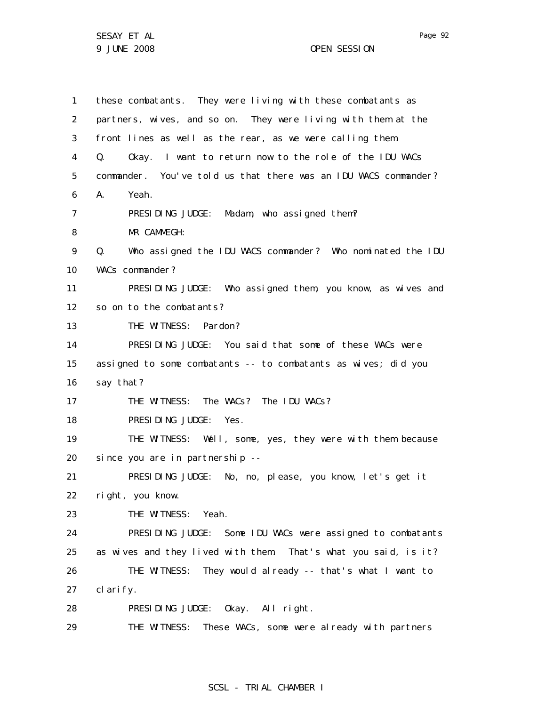| $\mathbf{1}$      | these combatants. They were living with these combatants as      |
|-------------------|------------------------------------------------------------------|
| 2                 | partners, wives, and so on. They were living with them at the    |
| 3                 | front lines as well as the rear, as we were calling them.        |
| 4                 | Okay. I want to return now to the role of the IDU WACs<br>Q.     |
| 5                 | commander. You've told us that there was an IDU WACS commander?  |
| 6                 | А.<br>Yeah.                                                      |
| 7                 | PRESIDING JUDGE: Madam, who assigned them?                       |
| 8                 | MR CAMMEGH:                                                      |
| 9                 | Who assigned the IDU WACS commander? Who nominated the IDU<br>0. |
| 10                | WACs commander?                                                  |
| 11                | PRESIDING JUDGE: Who assigned them, you know, as wives and       |
| $12 \overline{ }$ | so on to the combatants?                                         |
| 13                | THE WITNESS: Pardon?                                             |
| 14                | PRESIDING JUDGE: You said that some of these WACs were           |
| 15                | assigned to some combatants -- to combatants as wives; did you   |
| 16                | say that?                                                        |
| 17                | THE WITNESS: The WACs? The IDU WACs?                             |
| 18                | PRESIDING JUDGE: Yes.                                            |
| 19                | THE WITNESS: Well, some, yes, they were with them because        |
| 20                | since you are in partnership --                                  |
| 21                | PRESIDING JUDGE: No, no, please, you know, let's get it          |
| 22                | right, you know.                                                 |
| 23                | THE WITNESS: Yeah.                                               |
| 24                | PRESIDING JUDGE: Some IDU WACs were assigned to combatants       |
| 25                | as wives and they lived with them. That's what you said, is it?  |
| 26                | THE WITNESS: They would already -- that's what I want to         |
| 27                | clarify.                                                         |
| 28                | PRESIDING JUDGE: Okay. All right.                                |
| 29                | THE WITNESS: These WACs, some were already with partners         |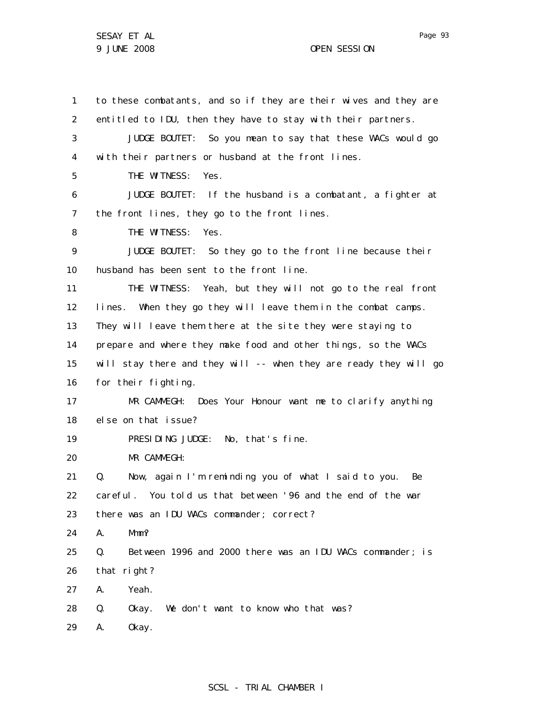1 2 3 4 5 6 7 8 9 10 11 12 13 14 15 16 17 18 19 20 21 22 23 24 25 26 27 28 29 to these combatants, and so if they are their wives and they are entitled to IDU, then they have to stay with their partners. JUDGE BOUTET: So you mean to say that these WACs would go with their partners or husband at the front lines. THE WITNESS: Yes. JUDGE BOUTET: If the husband is a combatant, a fighter at the front lines, they go to the front lines. THE WITNESS: Yes. JUDGE BOUTET: So they go to the front line because their husband has been sent to the front line. THE WITNESS: Yeah, but they will not go to the real front lines. When they go they will leave them in the combat camps. They will leave them there at the site they were staying to prepare and where they make food and other things, so the WACs will stay there and they will -- when they are ready they will go for their fighting. MR CAMMEGH: Does Your Honour want me to clarify anything else on that issue? PRESIDING JUDGE: No, that's fine. MR CAMMEGH: Q. Now, again I'm reminding you of what I said to you. Be careful. You told us that between '96 and the end of the war there was an IDU WACs commander; correct? A. Mmm? Q. Between 1996 and 2000 there was an IDU WACs commander; is that right? A. Yeah. Q. Okay. We don't want to know who that was? A. Okay.

# Page 93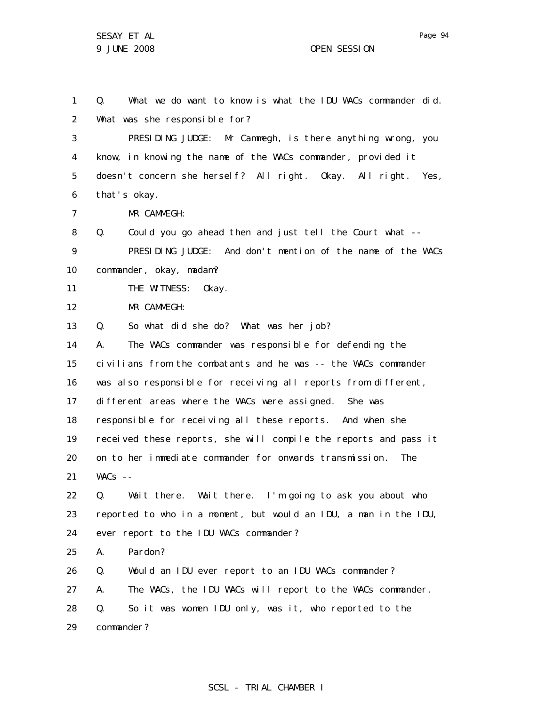Page 94

1 2 3 4 5 6 7 8 9 10 11 12 13 14 15 16 17 18 19 20 21 22 23 24 25 26 27 28 29 Q. What we do want to know is what the IDU WACs commander did. What was she responsible for? PRESIDING JUDGE: Mr Cammegh, is there anything wrong, you know, in knowing the name of the WACs commander, provided it doesn't concern she herself? All right. Okay. All right. Yes, that's okay. MR CAMMEGH: Q. Could you go ahead then and just tell the Court what -- PRESIDING JUDGE: And don't mention of the name of the WACs commander, okay, madam? THE WITNESS: Okay. MR CAMMEGH: Q. So what did she do? What was her job? A. The WACs commander was responsible for defending the civilians from the combatants and he was -- the WACs commander was also responsible for receiving all reports from different, different areas where the WACs were assigned. She was responsible for receiving all these reports. And when she received these reports, she will compile the reports and pass it on to her immediate commander for onwards transmission. The  $WACS$  --Q. Wait there. Wait there. I'm going to ask you about who reported to who in a moment, but would an IDU, a man in the IDU, ever report to the IDU WACs commander? A. Pardon? Q. Would an IDU ever report to an IDU WACs commander? A. The WACs, the IDU WACs will report to the WACs commander. Q. So it was women IDU only, was it, who reported to the commander?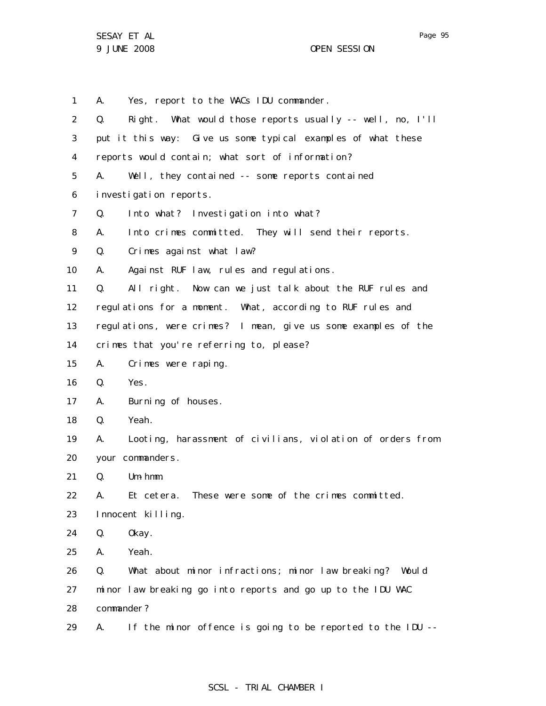1 2 3 4 5 6 7 8 9 10 11 12 13 14 15 16 17 18 19 20 21 22 23 24 25 26 27 28 29 A. Yes, report to the WACs IDU commander. Q. Right. What would those reports usually -- well, no, I'll put it this way: Give us some typical examples of what these reports would contain; what sort of information? A. Well, they contained -- some reports contained investigation reports. Q. Into what? Investigation into what? A. Into crimes committed. They will send their reports. Q. Crimes against what law? A. Against RUF law, rules and regulations. Q. All right. Now can we just talk about the RUF rules and regulations for a moment. What, according to RUF rules and regulations, were crimes? I mean, give us some examples of the crimes that you're referring to, please? A. Crimes were raping. Q. Yes. A. Burning of houses. Q. Yeah. A. Looting, harassment of civilians, violation of orders from your commanders. Q. Um-hmm. A. Et cetera. These were some of the crimes committed. Innocent killing. Q. Okay. A. Yeah. Q. What about minor infractions; minor law breaking? Would minor law breaking go into reports and go up to the IDU WAC commander? A. If the minor offence is going to be reported to the IDU --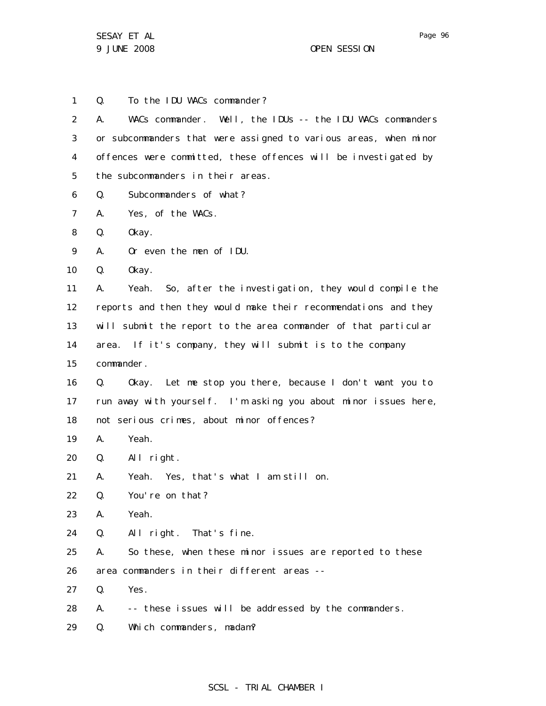1 2 3 4 5 6 7 8 9 10 11 12 13 14 15 16 17 18 19 20 21 22 23 24 25 26 27 28 Q. To the IDU WACs commander? A. WACs commander. Well, the IDUs -- the IDU WACs commanders or subcommanders that were assigned to various areas, when minor offences were committed, these offences will be investigated by the subcommanders in their areas. Q. Subcommanders of what? A. Yes, of the WACs. Q. Okay. A. Or even the men of IDU. Q. Okay. A. Yeah. So, after the investigation, they would compile the reports and then they would make their recommendations and they will submit the report to the area commander of that particular area. If it's company, they will submit is to the company commander. Q. Okay. Let me stop you there, because I don't want you to run away with yourself. I'm asking you about minor issues here, not serious crimes, about minor offences? A. Yeah. Q. All right. A. Yeah. Yes, that's what I am still on. Q. You're on that? A. Yeah. Q. All right. That's fine. A. So these, when these minor issues are reported to these area commanders in their different areas -- Q. Yes. A. -- these issues will be addressed by the commanders.

29 Q. Which commanders, madam?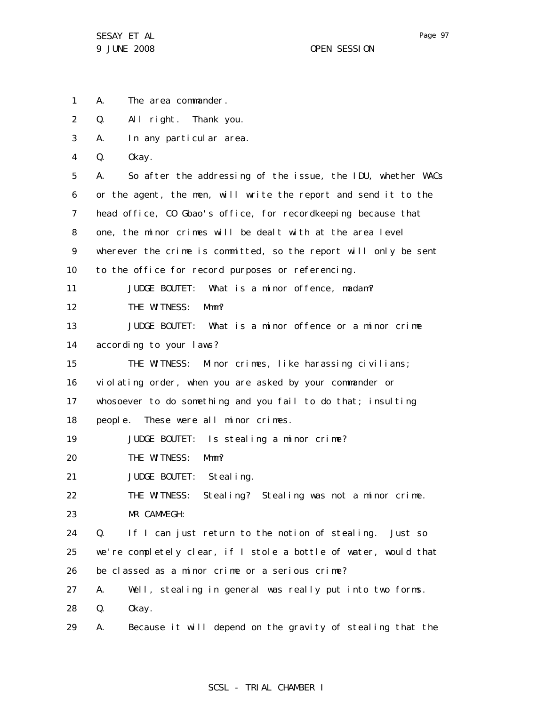1 A. The area commander.

2 Q. All right. Thank you.

3 A. In any particular area.

4 Q. Okay.

5 6 7 8 9 10 11 12 13 14 15 16 17 18 19 20 21 22 23 24 25 26 27 28 29 A. So after the addressing of the issue, the IDU, whether WACs or the agent, the men, will write the report and send it to the head office, CO Gbao's office, for recordkeeping because that one, the minor crimes will be dealt with at the area level wherever the crime is committed, so the report will only be sent to the office for record purposes or referencing. JUDGE BOUTET: What is a minor offence, madam? THE WITNESS: Mmm? JUDGE BOUTET: What is a minor offence or a minor crime according to your laws? THE WITNESS: Minor crimes, like harassing civilians; violating order, when you are asked by your commander or whosoever to do something and you fail to do that; insulting people. These were all minor crimes. JUDGE BOUTET: Is stealing a minor crime? THE WITNESS: Mmm? JUDGE BOUTET: Stealing. THE WITNESS: Stealing? Stealing was not a minor crime. MR CAMMEGH: Q. If I can just return to the notion of stealing. Just so we're completely clear, if I stole a bottle of water, would that be classed as a minor crime or a serious crime? A. Well, stealing in general was really put into two forms. Q. Okay. A. Because it will depend on the gravity of stealing that the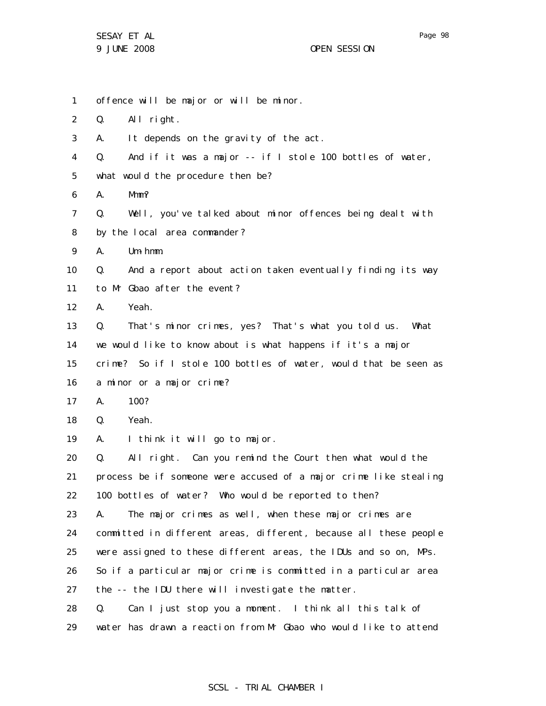29

1 2 3 4 5 6 7 8 9 10 11 12 13 14 15 16 17 18 19 20 21 22 23 24 25 26 27 28 offence will be major or will be minor. Q. All right. A. It depends on the gravity of the act. Q. And if it was a major -- if I stole 100 bottles of water, what would the procedure then be? A. Mmm? Q. Well, you've talked about minor offences being dealt with by the local area commander? A. Um-hmm. Q. And a report about action taken eventually finding its way to Mr Gbao after the event? A. Yeah. Q. That's minor crimes, yes? That's what you told us. What we would like to know about is what happens if it's a major crime? So if I stole 100 bottles of water, would that be seen as a minor or a major crime? A. 100? Q. Yeah. A. I think it will go to major. Q. All right. Can you remind the Court then what would the process be if someone were accused of a major crime like stealing 100 bottles of water? Who would be reported to then? A. The major crimes as well, when these major crimes are committed in different areas, different, because all these people were assigned to these different areas, the IDUs and so on, MPs. So if a particular major crime is committed in a particular area the -- the IDU there will investigate the matter. Q. Can I just stop you a moment. I think all this talk of

### SCSL - TRIAL CHAMBER I

water has drawn a reaction from Mr Gbao who would like to attend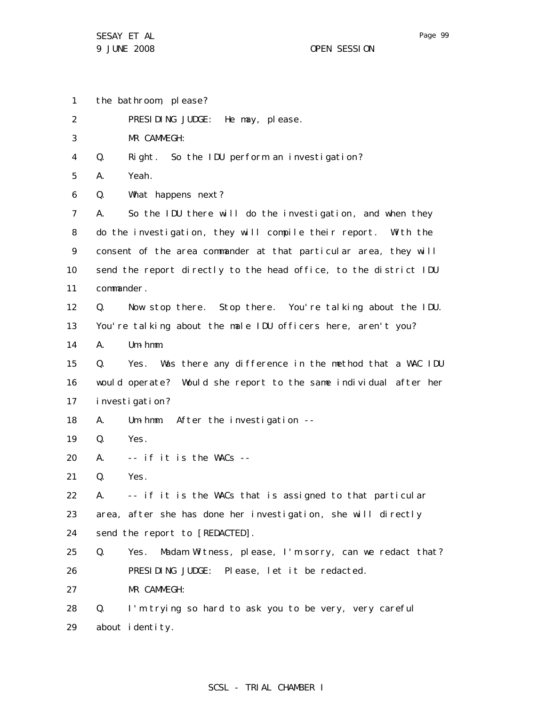1 the bathroom, please?

2 PRESIDING JUDGE: He may, please.

3 MR CAMMEGH:

4 Q. Right. So the IDU perform an investigation?

5 A. Yeah.

6 Q. What happens next?

7 8 9 10 11 A. So the IDU there will do the investigation, and when they do the investigation, they will compile their report. With the consent of the area commander at that particular area, they will send the report directly to the head office, to the district IDU commander.

12 Q. Now stop there. Stop there. You're talking about the IDU.

13 You're talking about the male IDU officers here, aren't you?

14 A. Um-hmm.

15 16 17 Q. Yes. Was there any difference in the method that a WAC IDU would operate? Would she report to the same individual after her investigation?

- 18 A. Um-hmm. After the investigation --
- 19 Q. Yes.
- 20 A. -- if it is the WACs --
- 21 Q. Yes.

22 23 24 A. -- if it is the WACs that is assigned to that particular area, after she has done her investigation, she will directly send the report to [REDACTED].

25 26 Q. Yes. Madam Witness, please, I'm sorry, can we redact that? PRESIDING JUDGE: Please, let it be redacted.

27 MR CAMMEGH:

28 29 Q. I'm trying so hard to ask you to be very, very careful about identity.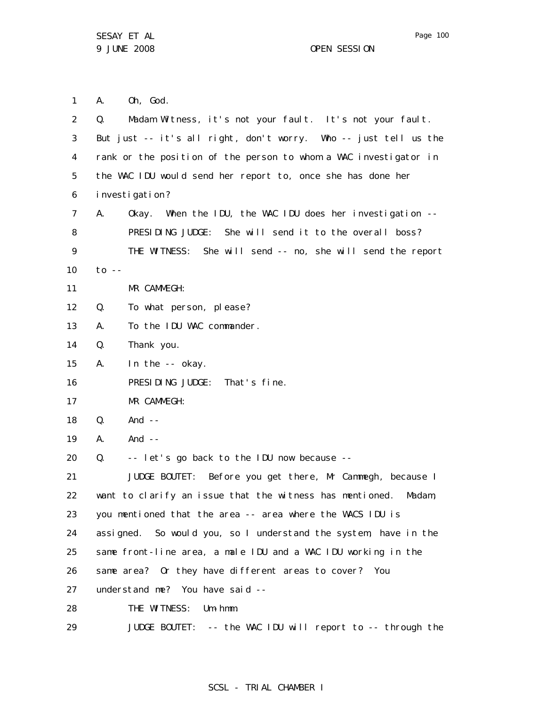1 2 3 4 5 6 7 8 9 10 11 12 13 14 15 16 17 18 19 20 21 22 23 24 25 26 27 28 29 A. Oh, God. Q. Madam Witness, it's not your fault. It's not your fault. But just -- it's all right, don't worry. Who -- just tell us the rank or the position of the person to whom a WAC investigator in the WAC IDU would send her report to, once she has done her investigation? A. Okay. When the IDU, the WAC IDU does her investigation -- PRESIDING JUDGE: She will send it to the overall boss? THE WITNESS: She will send -- no, she will send the report to  $-$ MR CAMMEGH: Q. To what person, please? A. To the IDU WAC commander. Q. Thank you. A. In the -- okay. PRESIDING JUDGE: That's fine. MR CAMMEGH:  $0.$  And  $-$ A. And -- Q. -- let's go back to the IDU now because -- JUDGE BOUTET: Before you get there, Mr Cammegh, because I want to clarify an issue that the witness has mentioned. Madam, you mentioned that the area -- area where the WACS IDU is assigned. So would you, so I understand the system, have in the same front-line area, a male IDU and a WAC IDU working in the same area? Or they have different areas to cover? You understand me? You have said -- THE WITNESS: Um-hmm. JUDGE BOUTET: -- the WAC IDU will report to -- through the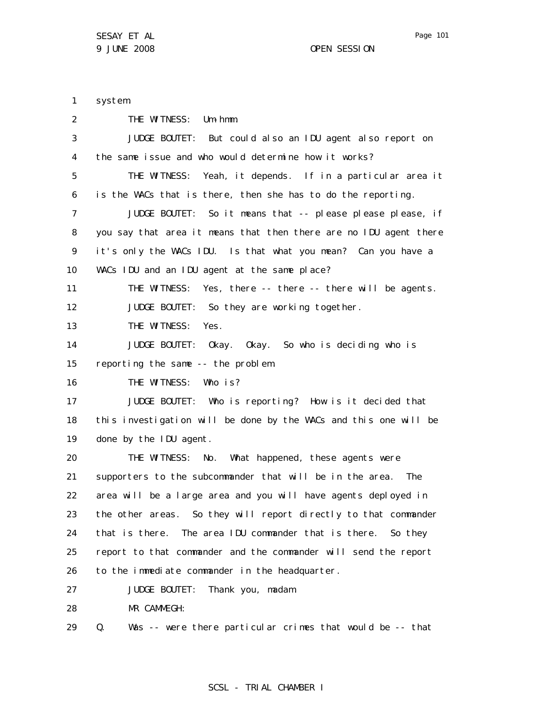1 2 3 4 5 6 7 8 9 10 11 12 13 14 15 16 17 18 19 20 21 22 23 24 25 26 27 28 system. THE WITNESS: Um-hmm. JUDGE BOUTET: But could also an IDU agent also report on the same issue and who would determine how it works? THE WITNESS: Yeah, it depends. If in a particular area it is the WACs that is there, then she has to do the reporting. JUDGE BOUTET: So it means that -- please please please, if you say that area it means that then there are no IDU agent there it's only the WACs IDU. Is that what you mean? Can you have a WACs IDU and an IDU agent at the same place? THE WITNESS: Yes, there -- there -- there will be agents. JUDGE BOUTET: So they are working together. THE WITNESS: Yes. JUDGE BOUTET: Okay. Okay. So who is deciding who is reporting the same -- the problem. THE WITNESS: Who is? JUDGE BOUTET: Who is reporting? How is it decided that this investigation will be done by the WACs and this one will be done by the IDU agent. THE WITNESS: No. What happened, these agents were supporters to the subcommander that will be in the area. The area will be a large area and you will have agents deployed in the other areas. So they will report directly to that commander that is there. The area IDU commander that is there. So they report to that commander and the commander will send the report to the immediate commander in the headquarter. JUDGE BOUTET: Thank you, madam. MR CAMMEGH:

29 Q. Was -- were there particular crimes that would be -- that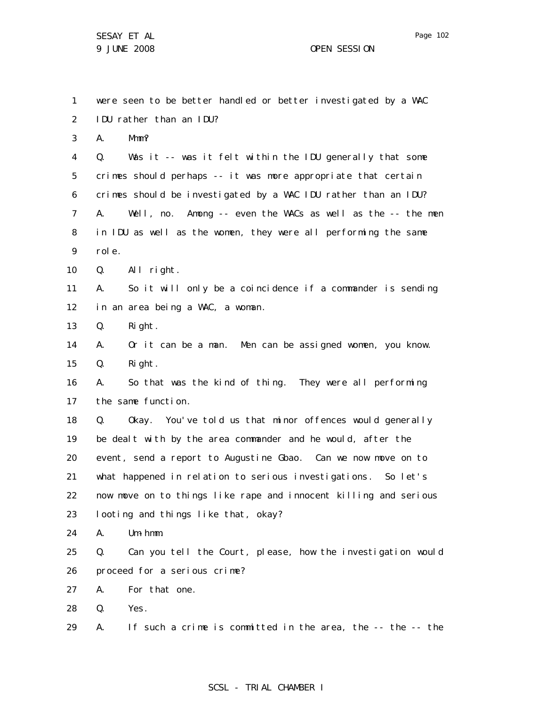1

2 3 4 5 6 7 8 9 10 11 12 13 14 15 16 17 18 19 20 21 22 23 24 25 IDU rather than an IDU? A. Mmm? Q. Was it -- was it felt within the IDU generally that some crimes should perhaps -- it was more appropriate that certain crimes should be investigated by a WAC IDU rather than an IDU? A. Well, no. Among -- even the WACs as well as the -- the men in IDU as well as the women, they were all performing the same role. Q. All right. A. So it will only be a coincidence if a commander is sending in an area being a WAC, a woman. Q. Right. A. Or it can be a man. Men can be assigned women, you know. Q. Right. A. So that was the kind of thing. They were all performing the same function. Q. Okay. You've told us that minor offences would generally be dealt with by the area commander and he would, after the event, send a report to Augustine Gbao. Can we now move on to what happened in relation to serious investigations. So let's now move on to things like rape and innocent killing and serious looting and things like that, okay? A. Um-hmm. Q. Can you tell the Court, please, how the investigation would

were seen to be better handled or better investigated by a WAC

26 proceed for a serious crime?

27 A. For that one.

28 Q. Yes.

29 A. If such a crime is committed in the area, the -- the -- the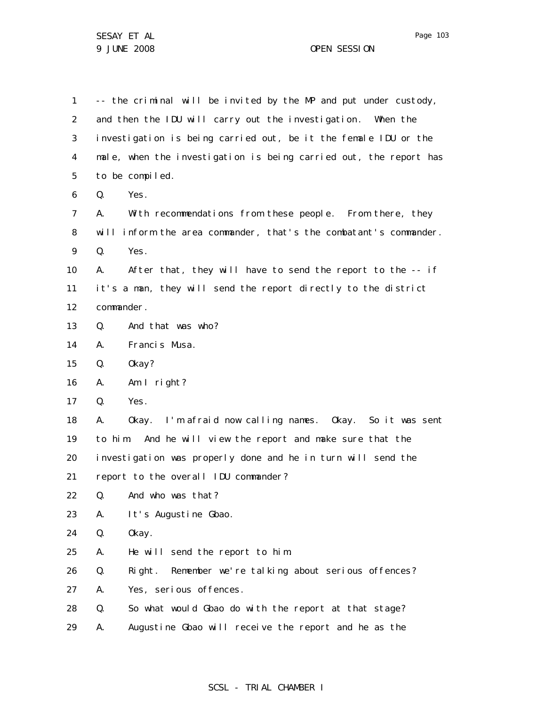1 2 3 4 5 6 7 8 9 10 11 12 13 14 15 16 17 18 19 20 21 22 23 24 25 26 27 28 29 -- the criminal will be invited by the MP and put under custody, and then the IDU will carry out the investigation. When the investigation is being carried out, be it the female IDU or the male, when the investigation is being carried out, the report has to be compiled. Q. Yes. A. With recommendations from these people. From there, they will inform the area commander, that's the combatant's commander. Q. Yes. A. After that, they will have to send the report to the -- if it's a man, they will send the report directly to the district commander. Q. And that was who? A. Francis Musa. Q. Okay? A. Am I right? Q. Yes. A. Okay. I'm afraid now calling names. Okay. So it was sent to him. And he will view the report and make sure that the investigation was properly done and he in turn will send the report to the overall IDU commander? Q. And who was that? A. It's Augustine Gbao. Q. Okay. A. He will send the report to him. Q. Right. Remember we're talking about serious offences? A. Yes, serious offences. Q. So what would Gbao do with the report at that stage? A. Augustine Gbao will receive the report and he as the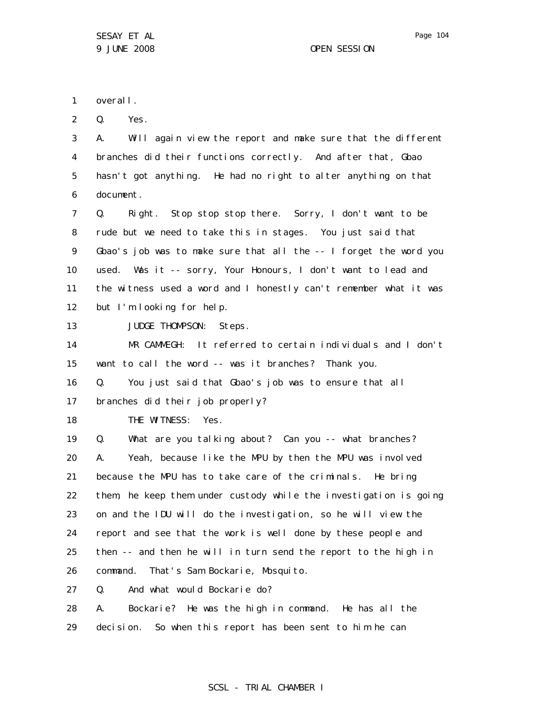1 overall.

2 Q. Yes.

3 4 5 6 A. Will again view the report and make sure that the different branches did their functions correctly. And after that, Gbao hasn't got anything. He had no right to alter anything on that document.

7 8 9 10 11 12 Q. Right. Stop stop stop there. Sorry, I don't want to be rude but we need to take this in stages. You just said that Gbao's job was to make sure that all the -- I forget the word you used. Was it -- sorry, Your Honours, I don't want to lead and the witness used a word and I honestly can't remember what it was but I'm looking for help.

13 JUDGE THOMPSON: Steps.

14 15 MR CAMMEGH: It referred to certain individuals and I don't want to call the word -- was it branches? Thank you.

16 Q. You just said that Gbao's job was to ensure that all

17 branches did their job properly?

18 THE WITNESS: Yes.

19 20 21 22 23 24 25 26 Q. What are you talking about? Can you -- what branches? A. Yeah, because like the MPU by then the MPU was involved because the MPU has to take care of the criminals. He bring them, he keep them under custody while the investigation is going on and the IDU will do the investigation, so he will view the report and see that the work is well done by these people and then -- and then he will in turn send the report to the high in command. That's Sam Bockarie, Mosquito.

27 Q. And what would Bockarie do?

28 29 A. Bockarie? He was the high in command. He has all the decision. So when this report has been sent to him he can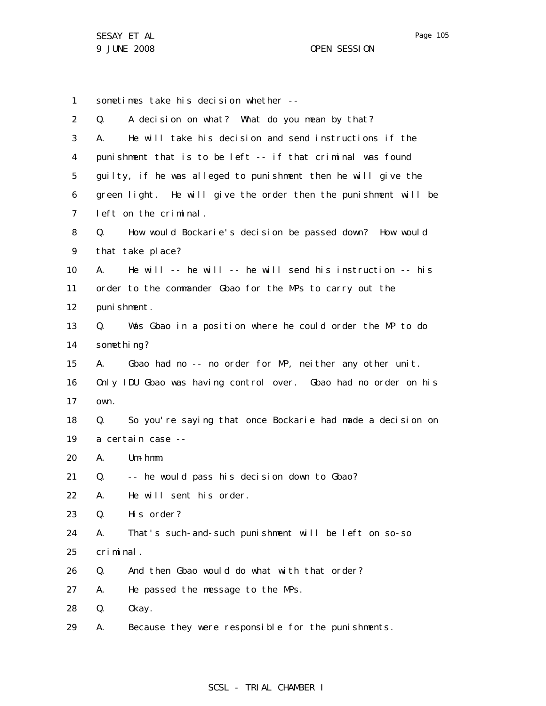1 2 3 4 5 6 7 8 9 10 11 12 13 14 15 16 17 18 19 20 21 22 23 24 25 26 27 28 29 sometimes take his decision whether -- Q. A decision on what? What do you mean by that? A. He will take his decision and send instructions if the punishment that is to be left -- if that criminal was found guilty, if he was alleged to punishment then he will give the green light. He will give the order then the punishment will be left on the criminal. Q. How would Bockarie's decision be passed down? How would that take place? A. He will -- he will -- he will send his instruction -- his order to the commander Gbao for the MPs to carry out the punishment. Q. Was Gbao in a position where he could order the MP to do something? A. Gbao had no -- no order for MP, neither any other unit. Only IDU Gbao was having control over. Gbao had no order on his own. Q. So you're saying that once Bockarie had made a decision on a certain case -- A. Um-hmm. Q. -- he would pass his decision down to Gbao? A. He will sent his order. Q. His order? A. That's such-and-such punishment will be left on so-so criminal. Q. And then Gbao would do what with that order? A. He passed the message to the MPs. Q. Okay. A. Because they were responsible for the punishments.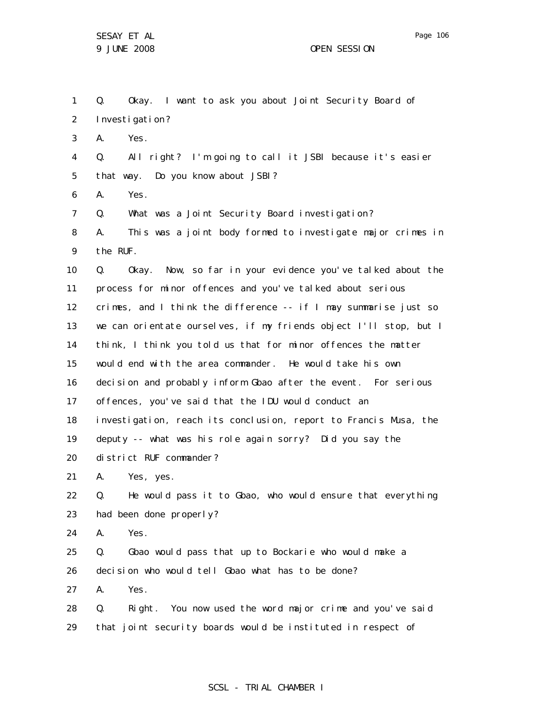1 2 3 4 5 6 7 8 9 10 11 12 13 14 15 16 17 18 19 20 21 22 23 24 25 26 27 28 29 Q. Okay. I want to ask you about Joint Security Board of Investigation? A. Yes. Q. All right? I'm going to call it JSBI because it's easier that way. Do you know about JSBI? A. Yes. Q. What was a Joint Security Board investigation? A. This was a joint body formed to investigate major crimes in the RUF. Q. Okay. Now, so far in your evidence you've talked about the process for minor offences and you've talked about serious crimes, and I think the difference -- if I may summarise just so we can orientate ourselves, if my friends object I'll stop, but I think, I think you told us that for minor offences the matter would end with the area commander. He would take his own decision and probably inform Gbao after the event. For serious offences, you've said that the IDU would conduct an investigation, reach its conclusion, report to Francis Musa, the deputy -- what was his role again sorry? Did you say the district RUF commander? A. Yes, yes. Q. He would pass it to Gbao, who would ensure that everything had been done properly? A. Yes. Q. Gbao would pass that up to Bockarie who would make a decision who would tell Gbao what has to be done? A. Yes. Q. Right. You now used the word major crime and you've said that joint security boards would be instituted in respect of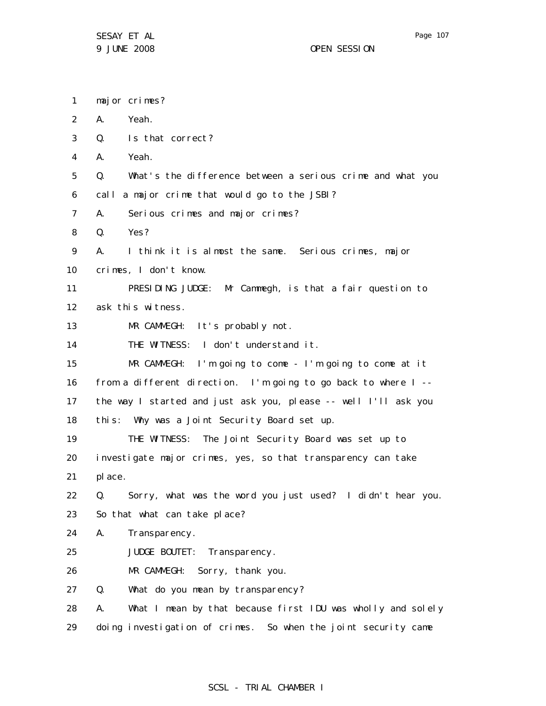1 2 3 4 5 6 7 8 9 10 11 12 13 14 15 16 17 18 19 20 21 22 23 24 25 26 27 28 29 major crimes? A. Yeah. Q. Is that correct? A. Yeah. Q. What's the difference between a serious crime and what you call a major crime that would go to the JSBI? A. Serious crimes and major crimes? Q. Yes? A. I think it is almost the same. Serious crimes, major crimes, I don't know. PRESIDING JUDGE: Mr Cammegh, is that a fair question to ask this witness. MR CAMMEGH: It's probably not. THE WITNESS: I don't understand it. MR CAMMEGH: I'm going to come - I'm going to come at it from a different direction. I'm going to go back to where I - the way I started and just ask you, please -- well I'll ask you this: Why was a Joint Security Board set up. THE WITNESS: The Joint Security Board was set up to investigate major crimes, yes, so that transparency can take place. Q. Sorry, what was the word you just used? I didn't hear you. So that what can take place? A. Transparency. JUDGE BOUTET: Transparency. MR CAMMEGH: Sorry, thank you. Q. What do you mean by transparency? A. What I mean by that because first IDU was wholly and solely doing investigation of crimes. So when the joint security came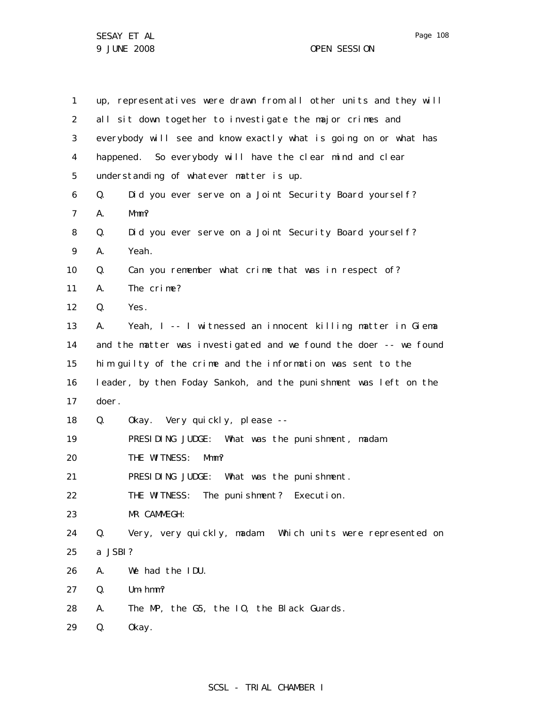| 1  |         | up, representatives were drawn from all other units and they will |
|----|---------|-------------------------------------------------------------------|
| 2  |         | all sit down together to investigate the major crimes and         |
| 3  |         | everybody will see and know exactly what is going on or what has  |
| 4  |         | happened. So everybody will have the clear mind and clear         |
| 5  |         | understanding of whatever matter is up.                           |
| 6  | Q.      | Did you ever serve on a Joint Security Board yourself?            |
| 7  | А.      | Mmm?                                                              |
| 8  | Q.      | Did you ever serve on a Joint Security Board yourself?            |
| 9  | А.      | Yeah.                                                             |
| 10 | Q.      | Can you remember what crime that was in respect of?               |
| 11 | А.      | The crime?                                                        |
| 12 | Q.      | Yes.                                                              |
| 13 | А.      | Yeah, I -- I witnessed an innocent killing matter in Giema        |
| 14 |         | and the matter was investigated and we found the doer -- we found |
| 15 |         | him guilty of the crime and the information was sent to the       |
| 16 |         | leader, by then Foday Sankoh, and the punishment was left on the  |
| 17 | doer.   |                                                                   |
| 18 | Q.      | Okay. Very quickly, please --                                     |
| 19 |         | PRESIDING JUDGE: What was the punishment, madam.                  |
| 20 |         | THE WITNESS:<br>Mmm?                                              |
| 21 |         | PRESIDING JUDGE: What was the punishment.                         |
| 22 |         | THE WITNESS: The punishment? Execution.                           |
| 23 |         | MR CAMMEGH:                                                       |
| 24 | Q.      | Very, very quickly, madam: Which units were represented on        |
| 25 | a JSBI? |                                                                   |
| 26 | А.      | We had the IDU.                                                   |
| 27 | Q.      | $Um - hmm?$                                                       |
| 28 | Α.      | The MP, the G5, the IO, the Black Guards.                         |
| 29 | Q.      | 0kay.                                                             |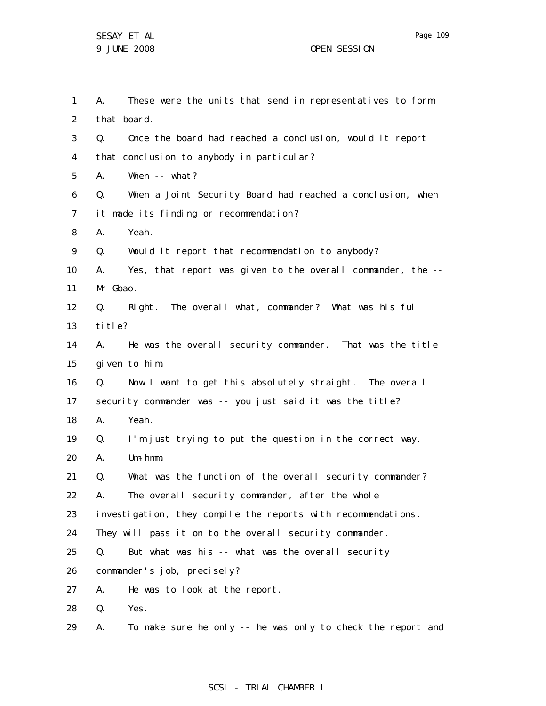1 2 3 4 5 6 7 8 9 10 11 12 13 14 15 16 17 18 19 20 21 22 23 24 25 26 27 28 29 A. These were the units that send in representatives to form that board. Q. Once the board had reached a conclusion, would it report that conclusion to anybody in particular? A. When -- what? Q. When a Joint Security Board had reached a conclusion, when it made its finding or recommendation? A. Yeah. Q. Would it report that recommendation to anybody? A. Yes, that report was given to the overall commander, the -- Mr Gbao. Q. Right. The overall what, commander? What was his full ti tle? A. He was the overall security commander. That was the title given to him. Q. Now I want to get this absolutely straight. The overall security commander was -- you just said it was the title? A. Yeah. Q. I'm just trying to put the question in the correct way. A. Um-hmm. Q. What was the function of the overall security commander? A. The overall security commander, after the whole investigation, they compile the reports with recommendations. They will pass it on to the overall security commander. Q. But what was his -- what was the overall security commander's job, precisely? A. He was to look at the report. Q. Yes. A. To make sure he only -- he was only to check the report and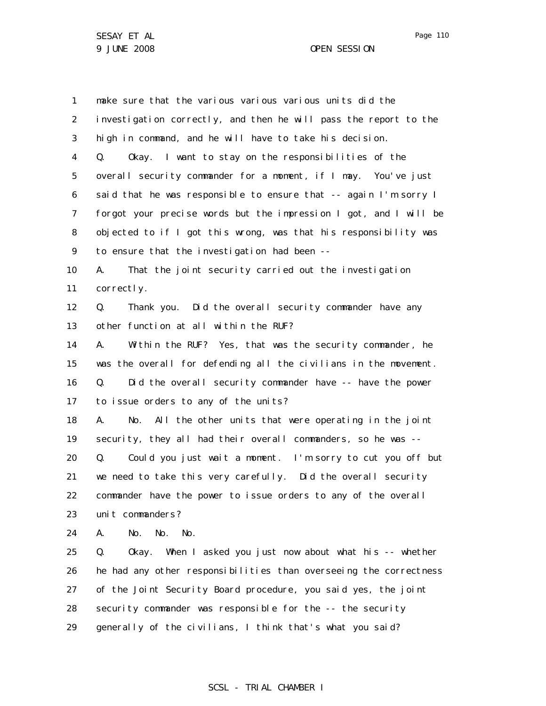1 2 3 4 5 6 7 8 9 10 11 12 13 14 15 16 17 18 19 20 21 22 23 24 25 26 27 28 29 make sure that the various various various units did the investigation correctly, and then he will pass the report to the high in command, and he will have to take his decision. Q. Okay. I want to stay on the responsibilities of the overall security commander for a moment, if I may. You've just said that he was responsible to ensure that -- again I'm sorry I forgot your precise words but the impression I got, and I will be objected to if I got this wrong, was that his responsibility was to ensure that the investigation had been -- A. That the joint security carried out the investigation correctly. Q. Thank you. Did the overall security commander have any other function at all within the RUF? A. Within the RUF? Yes, that was the security commander, he was the overall for defending all the civilians in the movement. Q. Did the overall security commander have -- have the power to issue orders to any of the units? A. No. All the other units that were operating in the joint security, they all had their overall commanders, so he was --Q. Could you just wait a moment. I'm sorry to cut you off but we need to take this very carefully. Did the overall security commander have the power to issue orders to any of the overall unit commanders? A. No. No. No. Q. Okay. When I asked you just now about what his -- whether he had any other responsibilities than overseeing the correctness of the Joint Security Board procedure, you said yes, the joint security commander was responsible for the -- the security generally of the civilians, I think that's what you said?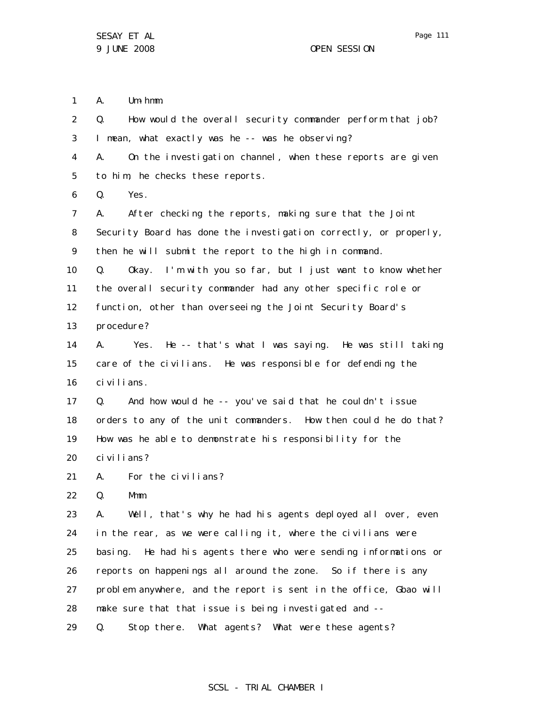1 A. Um-hmm.

2 3 4 5 6 7 8 9 10 11 12 13 14 15 16 17 18 19 20 21 22 23 24 25 26 27 28 29 Q. How would the overall security commander perform that job? I mean, what exactly was he -- was he observing? A. On the investigation channel, when these reports are given to him, he checks these reports. Q. Yes. A. After checking the reports, making sure that the Joint Security Board has done the investigation correctly, or properly, then he will submit the report to the high in command. Q. Okay. I'm with you so far, but I just want to know whether the overall security commander had any other specific role or function, other than overseeing the Joint Security Board's procedure? A. Yes. He -- that's what I was saying. He was still taking care of the civilians. He was responsible for defending the civilians. Q. And how would he -- you've said that he couldn't issue orders to any of the unit commanders. How then could he do that? How was he able to demonstrate his responsibility for the civilians? A. For the civilians? Q. Mmm. A. Well, that's why he had his agents deployed all over, even in the rear, as we were calling it, where the civilians were basing. He had his agents there who were sending informations or reports on happenings all around the zone. So if there is any problem anywhere, and the report is sent in the office, Gbao will make sure that that issue is being investigated and -- Q. Stop there. What agents? What were these agents?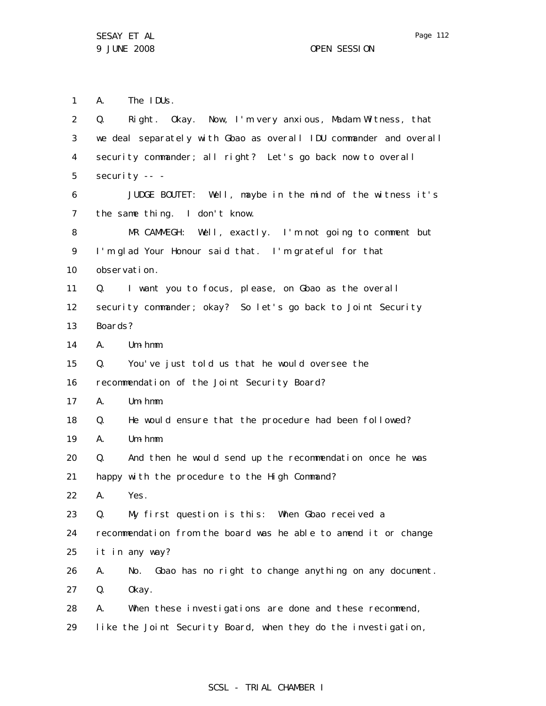A. The IDUs.

security -- -

observation.

A. Um-hmm.

A. Um-hmm.

A. Um-hmm.

A. Yes.

Boards?

1

2

3

4

5

6

7

8

9

10

11

12

13

14

15

16

17

18

19

20

21

22

23

Q. Right. Okay. Now, I'm very anxious, Madam Witness, that we deal separately with Gbao as overall IDU commander and overall security commander; all right? Let's go back now to overall JUDGE BOUTET: Well, maybe in the mind of the witness it's the same thing. I don't know. MR CAMMEGH: Well, exactly. I'm not going to comment but I'm glad Your Honour said that. I'm grateful for that Q. I want you to focus, please, on Gbao as the overall security commander; okay? So let's go back to Joint Security Q. You've just told us that he would oversee the recommendation of the Joint Security Board? Q. He would ensure that the procedure had been followed? Q. And then he would send up the recommendation once he was happy with the procedure to the High Command? Q. My first question is this: When Gbao received a

24 25 recommendation from the board was he able to amend it or change it in any way?

26 27 A. No. Gbao has no right to change anything on any document. Q. Okay.

28 29 A. When these investigations are done and these recommend, like the Joint Security Board, when they do the investigation,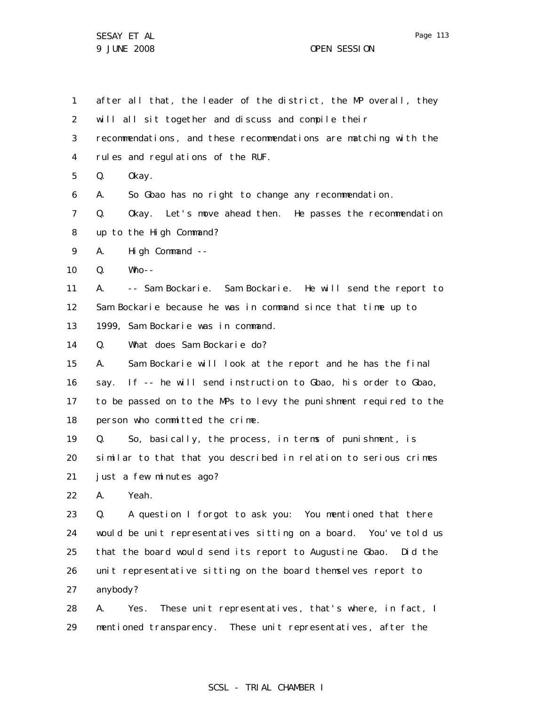1 2 3 4 5 6 7 8 9 10 11 12 13 14 15 16 17 18 19 20 21 22 23 24 25 26 27 28 29 after all that, the leader of the district, the MP overall, they will all sit together and discuss and compile their recommendations, and these recommendations are matching with the rules and regulations of the RUF. Q. Okay. A. So Gbao has no right to change any recommendation. Q. Okay. Let's move ahead then. He passes the recommendation up to the High Command? A. High Command -- Q. Who-- A. -- Sam Bockarie. Sam Bockarie. He will send the report to Sam Bockarie because he was in command since that time up to 1999, Sam Bockarie was in command. Q. What does Sam Bockarie do? A. Sam Bockarie will look at the report and he has the final say. If -- he will send instruction to Gbao, his order to Gbao, to be passed on to the MPs to levy the punishment required to the person who committed the crime. Q. So, basically, the process, in terms of punishment, is similar to that that you described in relation to serious crimes just a few minutes ago? A. Yeah. Q. A question I forgot to ask you: You mentioned that there would be unit representatives sitting on a board. You've told us that the board would send its report to Augustine Gbao. Did the unit representative sitting on the board themselves report to anybody? A. Yes. These unit representatives, that's where, in fact, I mentioned transparency. These unit representatives, after the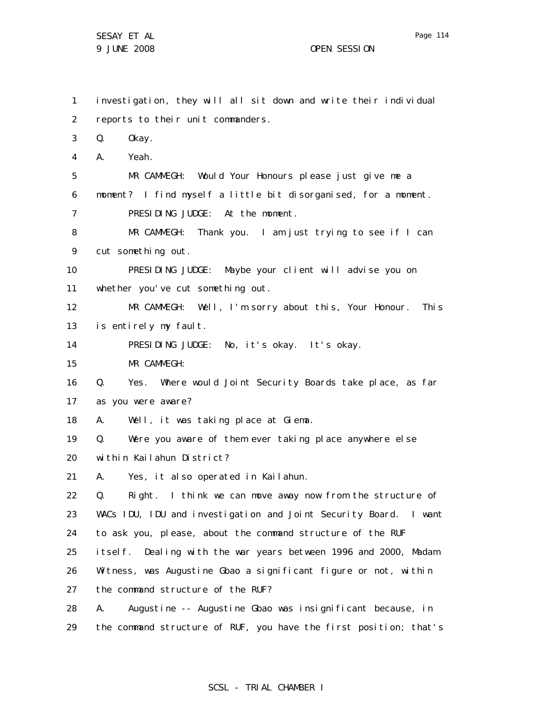1 2 3 4 5 6 7 8 9 10 11 12 13 14 15 16 17 18 19 20 21 22 23 24 25 26 27 28 investigation, they will all sit down and write their individual reports to their unit commanders. Q. Okay. A. Yeah. MR CAMMEGH: Would Your Honours please just give me a moment? I find myself a little bit disorganised, for a moment. PRESIDING JUDGE: At the moment. MR CAMMEGH: Thank you. I am just trying to see if I can cut something out. PRESIDING JUDGE: Maybe your client will advise you on whether you've cut something out. MR CAMMEGH: Well, I'm sorry about this, Your Honour. This is entirely my fault. PRESIDING JUDGE: No, it's okay. It's okay. MR CAMMEGH: Q. Yes. Where would Joint Security Boards take place, as far as you were aware? A. Well, it was taking place at Giema. Q. Were you aware of them ever taking place anywhere else within Kailahun District? A. Yes, it also operated in Kailahun. Q. Right. I think we can move away now from the structure of WACs IDU, IDU and investigation and Joint Security Board. I want to ask you, please, about the command structure of the RUF itself. Dealing with the war years between 1996 and 2000, Madam Witness, was Augustine Gbao a significant figure or not, within the command structure of the RUF? A. Augustine -- Augustine Gbao was insignificant because, in

29 the command structure of RUF, you have the first position; that's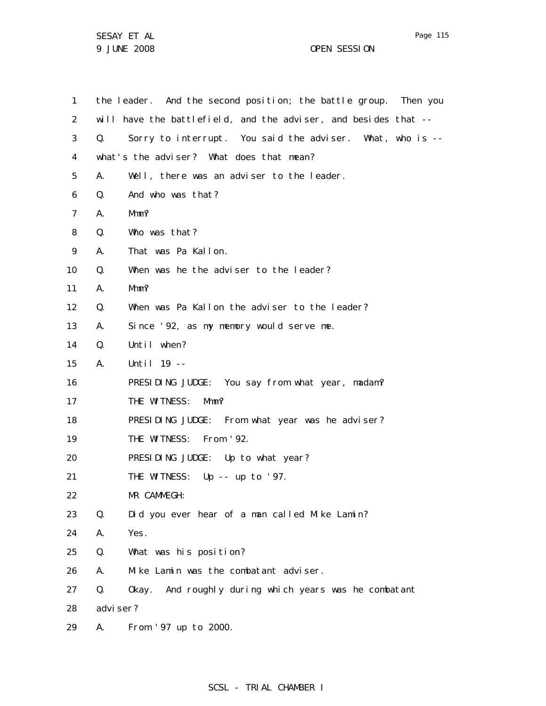| 1              |           | the leader. And the second position; the battle group. Then you |
|----------------|-----------|-----------------------------------------------------------------|
| 2              |           | will have the battlefield, and the adviser, and besides that -- |
| 3              | Q.        | Sorry to interrupt. You said the adviser. What, who is --       |
| 4              |           | what's the adviser? What does that mean?                        |
| 5              | А.        | Well, there was an adviser to the leader.                       |
| 6              | Q.        | And who was that?                                               |
| $\overline{7}$ | А.        | Mmm?                                                            |
| 8              | Q.        | Who was that?                                                   |
| 9              | А.        | That was Pa Kallon.                                             |
| 10             | Q.        | When was he the adviser to the leader?                          |
| 11             | А.        | $Mmm$ ?                                                         |
| 12             | Q.        | When was Pa Kallon the adviser to the leader?                   |
| 13             | А.        | Since '92, as my memory would serve me.                         |
| 14             | Q.        | Until when?                                                     |
| 15             | А.        | Until $19 - -$                                                  |
| 16             |           | PRESIDING JUDGE: You say from what year, madam?                 |
| 17             |           | THE WITNESS:<br>Mmm?                                            |
| 18             |           | PRESIDING JUDGE: From what year was he adviser?                 |
| 19             |           | THE WITNESS: From '92.                                          |
| 20             |           | PRESIDING JUDGE: Up to what year?                               |
| 21             |           | THE WITNESS: Up -- up to '97.                                   |
| 22             |           | MR CAMMEGH:                                                     |
| 23             | Q.        | Did you ever hear of a man called Mike Lamin?                   |
| 24             | А.        | Yes.                                                            |
| 25             | Q.        | What was his position?                                          |
| 26             | А.        | Mike Lamin was the combatant adviser.                           |
| 27             | Q.        | Okay. And roughly during which years was he combatant           |
| 28             | advi ser? |                                                                 |
| 29             | А.        | From '97 up to 2000.                                            |

Page 115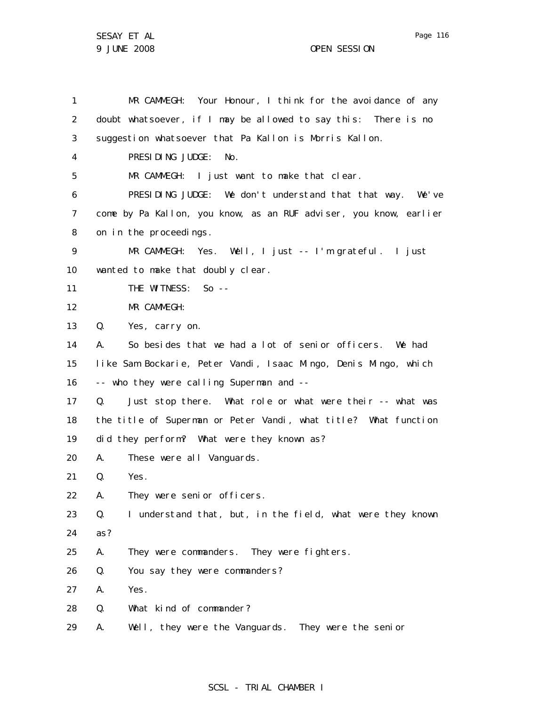1 2 3 4 5 6 7 8 9 10 11 12 13 14 15 16 17 18 19 20 21 22 23 24 25 26 27 28 29 MR CAMMEGH: Your Honour, I think for the avoidance of any doubt whatsoever, if I may be allowed to say this: There is no suggestion whatsoever that Pa Kallon is Morris Kallon. PRESIDING JUDGE: No. MR CAMMEGH: I just want to make that clear. PRESIDING JUDGE: We don't understand that that way. We've come by Pa Kallon, you know, as an RUF adviser, you know, earlier on in the proceedings. MR CAMMEGH: Yes. Well, I just -- I'm grateful. I just wanted to make that doubly clear. THE WITNESS: So --MR CAMMEGH: Q. Yes, carry on. A. So besides that we had a lot of senior officers. We had like Sam Bockarie, Peter Vandi, Isaac Mingo, Denis Mingo, which -- who they were calling Superman and -- Q. Just stop there. What role or what were their -- what was the title of Superman or Peter Vandi, what title? What function did they perform? What were they known as? A. These were all Vanguards. Q. Yes. A. They were senior officers. Q. I understand that, but, in the field, what were they known as? A. They were commanders. They were fighters. Q. You say they were commanders? A. Yes. Q. What kind of commander? A. Well, they were the Vanguards. They were the senior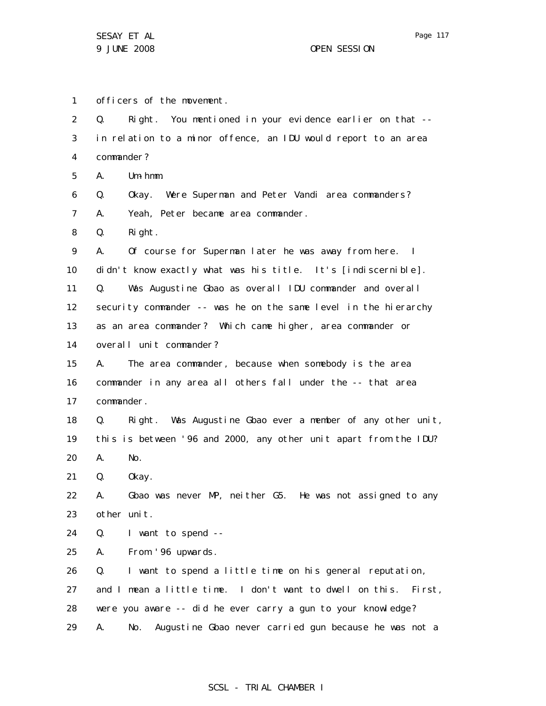1 2 3 4 5 6 7 8 9 10 11 12 13 14 15 16 17 18 19 20 21 22 23 24 25 26 27 28 29 officers of the movement. Q. Right. You mentioned in your evidence earlier on that - in relation to a minor offence, an IDU would report to an area commander? A. Um-hmm. Q. Okay. Were Superman and Peter Vandi area commanders? A. Yeah, Peter became area commander. Q. Right. A. Of course for Superman later he was away from here. I didn't know exactly what was his title. It's [indiscernible]. Q. Was Augustine Gbao as overall IDU commander and overall security commander -- was he on the same level in the hierarchy as an area commander? Which came higher, area commander or overall unit commander? A. The area commander, because when somebody is the area commander in any area all others fall under the -- that area commander. Q. Right. Was Augustine Gbao ever a member of any other unit, this is between '96 and 2000, any other unit apart from the IDU? A. No. Q. Okay. A. Gbao was never MP, neither G5. He was not assigned to any other unit. Q. I want to spend -- A. From '96 upwards. Q. I want to spend a little time on his general reputation, and I mean a little time. I don't want to dwell on this. First, were you aware -- did he ever carry a gun to your knowledge? A. No. Augustine Gbao never carried gun because he was not a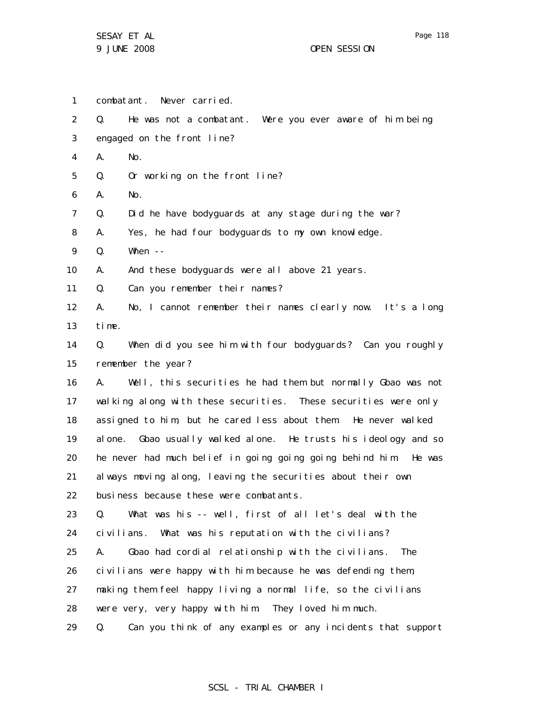1 2 3 4 5 6 7 8 9 10 11 12 13 14 15 16 17 18 19 20 21 22 23 24 25 26 27 28 29 combatant. Never carried. Q. He was not a combatant. Were you ever aware of him being engaged on the front line? A. No. Q. Or working on the front line? A. No. Q. Did he have bodyguards at any stage during the war? A. Yes, he had four bodyguards to my own knowledge. Q. When -- A. And these bodyguards were all above 21 years. Q. Can you remember their names? A. No, I cannot remember their names clearly now. It's a long time. Q. When did you see him with four bodyguards? Can you roughly remember the year? A. Well, this securities he had them but normally Gbao was not walking along with these securities. These securities were only assigned to him, but he cared less about them. He never walked alone. Gbao usually walked alone. He trusts his ideology and so he never had much belief in going going going behind him. He was always moving along, leaving the securities about their own business because these were combatants. Q. What was his -- well, first of all let's deal with the civilians. What was his reputation with the civilians? A. Gbao had cordial relationship with the civilians. The civilians were happy with him because he was defending them, making them feel happy living a normal life, so the civilians were very, very happy with him. They loved him much. Q. Can you think of any examples or any incidents that support

#### SCSL - TRIAL CHAMBER I

Page 118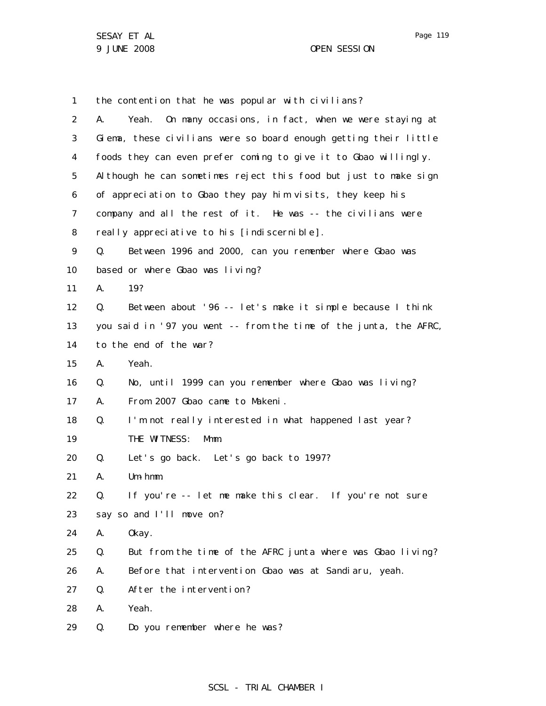1 2 3 4 5 6 7 8 9 10 11 12 13 14 15 16 17 18 19 20 21 22 23 24 25 26 27 28 29 the contention that he was popular with civilians? A. Yeah. On many occasions, in fact, when we were staying at Giema, these civilians were so board enough getting their little foods they can even prefer coming to give it to Gbao willingly. Although he can sometimes reject this food but just to make sign of appreciation to Gbao they pay him visits, they keep his company and all the rest of it. He was -- the civilians were really appreciative to his [indiscernible]. Q. Between 1996 and 2000, can you remember where Gbao was based or where Gbao was living? A. 19? Q. Between about '96 -- let's make it simple because I think you said in '97 you went -- from the time of the junta, the AFRC, to the end of the war? A. Yeah. Q. No, until 1999 can you remember where Gbao was living? A. From 2007 Gbao came to Makeni. Q. I'm not really interested in what happened last year? THE WITNESS: Mmm. Q. Let's go back. Let's go back to 1997? A. Um-hmm. Q. If you're -- let me make this clear. If you're not sure say so and I'll move on? A. Okay. Q. But from the time of the AFRC junta where was Gbao living? A. Before that intervention Gbao was at Sandiaru, yeah. Q. After the intervention? A. Yeah. Q. Do you remember where he was?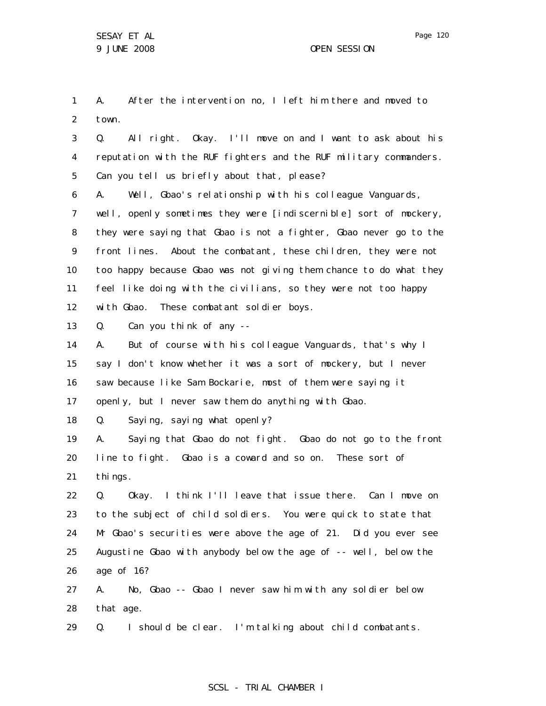1 2 A. After the intervention no, I left him there and moved to town.

3 4 5 6 7 8 9 10 11 12 13 14 15 16 17 18 19 20 21 22 23 24 25 26 27 Q. All right. Okay. I'll move on and I want to ask about his reputation with the RUF fighters and the RUF military commanders. Can you tell us briefly about that, please? A. Well, Gbao's relationship with his colleague Vanguards, well, openly sometimes they were [indiscernible] sort of mockery, they were saying that Gbao is not a fighter, Gbao never go to the front lines. About the combatant, these children, they were not too happy because Gbao was not giving them chance to do what they feel like doing with the civilians, so they were not too happy with Gbao. These combatant soldier boys. Q. Can you think of any -- A. But of course with his colleague Vanguards, that's why I say I don't know whether it was a sort of mockery, but I never saw because like Sam Bockarie, most of them were saying it openly, but I never saw them do anything with Gbao. Q. Saying, saying what openly? A. Saying that Gbao do not fight. Gbao do not go to the front line to fight. Gbao is a coward and so on. These sort of thi ngs. Q. Okay. I think I'll leave that issue there. Can I move on to the subject of child soldiers. You were quick to state that Mr Gbao's securities were above the age of 21. Did you ever see Augustine Gbao with anybody below the age of -- well, below the age of 16? A. No, Gbao -- Gbao I never saw him with any soldier below

28 that age.

29 Q. I should be clear. I'm talking about child combatants.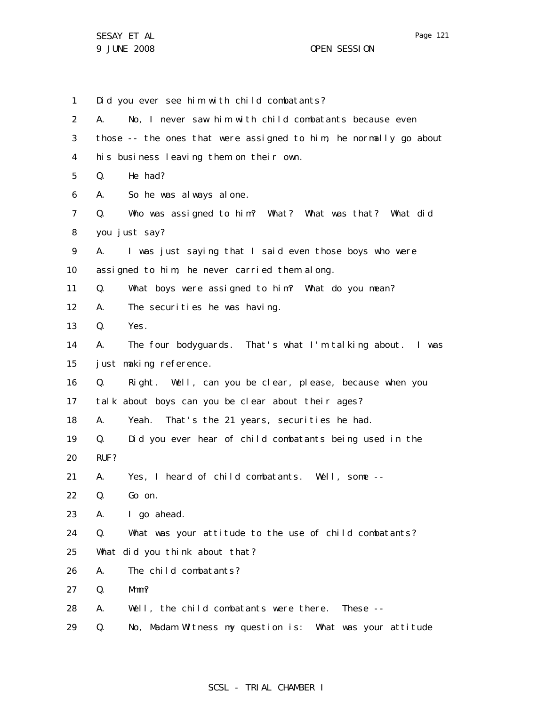Page 121

1 2 3 4 5 6 7 8 9 10 11 12 13 14 15 16 17 18 19 20 21 22 23 24 25 26 27 28 29 Did you ever see him with child combatants? A. No, I never saw him with child combatants because even those -- the ones that were assigned to him, he normally go about his business leaving them on their own. Q. He had? A. So he was always alone. Q. Who was assigned to him? What? What was that? What did you just say? A. I was just saying that I said even those boys who were assigned to him, he never carried them along. Q. What boys were assigned to him? What do you mean? A. The securities he was having. Q. Yes. A. The four bodyguards. That's what I'm talking about. I was just making reference. Q. Right. Well, can you be clear, please, because when you talk about boys can you be clear about their ages? A. Yeah. That's the 21 years, securities he had. Q. Did you ever hear of child combatants being used in the RUF? A. Yes, I heard of child combatants. Well, some -- Q. Go on. A. I go ahead. Q. What was your attitude to the use of child combatants? What did you think about that? A. The child combatants? Q. Mmm? A. Well, the child combatants were there. These -- Q. No, Madam Witness my question is: What was your attitude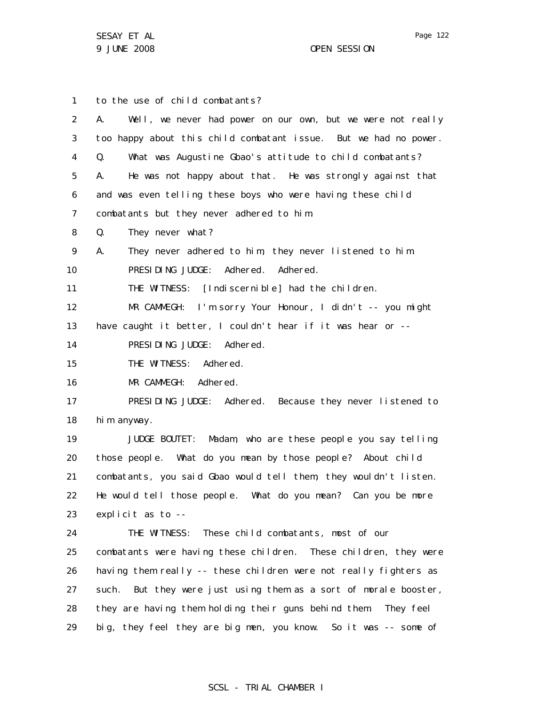1 2 3 4 5 6 7 8 9 10 11 12 13 14 15 16 17 18 19 20 21 22 23 24 25 26 27 28 29 to the use of child combatants? A. Well, we never had power on our own, but we were not really too happy about this child combatant issue. But we had no power. Q. What was Augustine Gbao's attitude to child combatants? A. He was not happy about that. He was strongly against that and was even telling these boys who were having these child combatants but they never adhered to him. Q. They never what? A. They never adhered to him, they never listened to him. PRESIDING JUDGE: Adhered. Adhered. THE WITNESS: [Indiscernible] had the children. MR CAMMEGH: I'm sorry Your Honour, I didn't -- you might have caught it better, I couldn't hear if it was hear or -- PRESIDING JUDGE: Adhered. THE WITNESS: Adhered. MR CAMMEGH: Adhered. PRESIDING JUDGE: Adhered. Because they never listened to him anyway. JUDGE BOUTET: Madam, who are these people you say telling those people. What do you mean by those people? About child combatants, you said Gbao would tell them, they wouldn't listen. He would tell those people. What do you mean? Can you be more explicit as to -- THE WITNESS: These child combatants, most of our combatants were having these children. These children, they were having them really -- these children were not really fighters as such. But they were just using them as a sort of morale booster, they are having them holding their guns behind them. They feel big, they feel they are big men, you know. So it was -- some of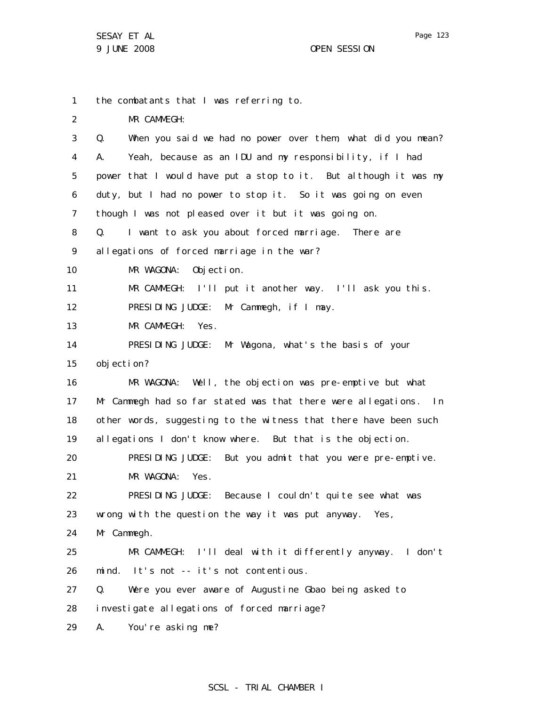1 the combatants that I was referring to.

2 MR CAMMEGH:

| 3  | When you said we had no power over them, what did you mean?<br>Q. |
|----|-------------------------------------------------------------------|
| 4  | Yeah, because as an IDU and my responsibility, if I had<br>А.     |
| 5  | power that I would have put a stop to it. But although it was my  |
| 6  | duty, but I had no power to stop it. So it was going on even      |
| 7  | though I was not pleased over it but it was going on.             |
| 8  | I want to ask you about forced marriage. There are<br>Q.          |
| 9  | allegations of forced marriage in the war?                        |
| 10 | Objection.<br>MR WAGONA:                                          |
| 11 | MR CAMMEGH: I'll put it another way. I'll ask you this.           |
| 12 | PRESIDING JUDGE: Mr Cammegh, if I may.                            |
| 13 | MR CAMMEGH: Yes.                                                  |
| 14 | PRESIDING JUDGE: Mr Wagona, what's the basis of your              |
| 15 | objection?                                                        |
| 16 | Well, the objection was pre-emptive but what<br>MR WAGONA:        |
| 17 | Mr Cammegh had so far stated was that there were allegations. In  |
| 18 | other words, suggesting to the witness that there have been such  |
| 19 | allegations I don't know where. But that is the objection.        |
| 20 | PRESIDING JUDGE: But you admit that you were pre-emptive.         |
| 21 | MR WAGONA: Yes.                                                   |
| 22 | PRESIDING JUDGE: Because I couldn't quite see what was            |
| 23 | wrong with the question the way it was put anyway. Yes,           |
| 24 | Mr Cammegh.                                                       |
| 25 | MR CAMMEGH: I'll deal with it differently anyway. I don't         |
| 26 | It's not -- it's not contentious.<br>mind.                        |
| 27 | Q.<br>Were you ever aware of Augustine Gbao being asked to        |
| 28 | investigate allegations of forced marriage?                       |
| 29 | You're asking me?<br>А.                                           |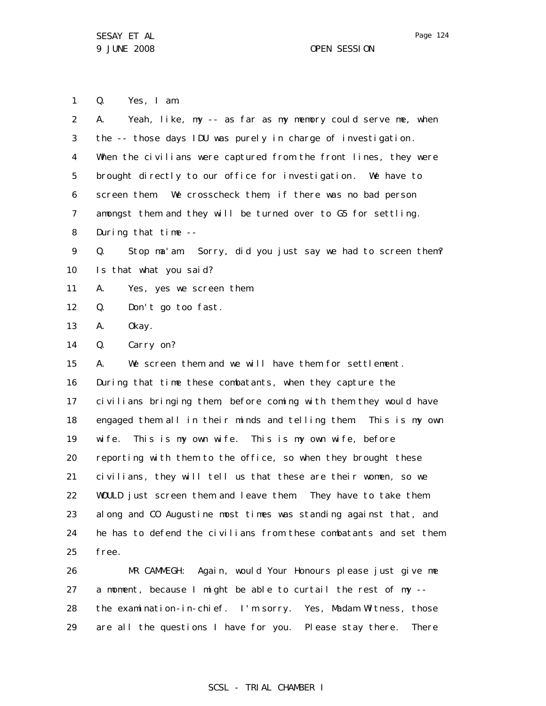1 Q. Yes, I am.

29

| 2                 | Yeah, like, my -- as far as my memory could serve me, when<br>А.  |  |  |
|-------------------|-------------------------------------------------------------------|--|--|
| 3                 | the -- those days IDU was purely in charge of investigation.      |  |  |
| 4                 | When the civilians were captured from the front lines, they were  |  |  |
| 5                 | brought directly to our office for investigation. We have to      |  |  |
| 6                 | screen them. We crosscheck them, if there was no bad person       |  |  |
| 7                 | amongst them and they will be turned over to G5 for settling.     |  |  |
| 8                 | During that time --                                               |  |  |
| 9                 | Stop ma'am. Sorry, did you just say we had to screen them?<br>Q.  |  |  |
| 10 <sup>°</sup>   | Is that what you said?                                            |  |  |
| 11                | А.<br>Yes, yes we screen them.                                    |  |  |
| $12 \overline{ }$ | Q.<br>Don't go too fast.                                          |  |  |
| 13                | 0kay.<br>А.                                                       |  |  |
| 14                | Carry on?<br>Q.                                                   |  |  |
| 15                | We screen them and we will have them for settlement.<br>А.        |  |  |
| 16                | During that time these combatants, when they capture the          |  |  |
| 17                | civilians bringing them, before coming with them they would have  |  |  |
| 18                | engaged them all in their minds and telling them: This is my own  |  |  |
| 19                | wife. This is my own wife. This is my own wife, before            |  |  |
| 20                | reporting with them to the office, so when they brought these     |  |  |
| 21                | civilians, they will tell us that these are their women, so we    |  |  |
| 22                | WOULD just screen them and leave them. They have to take them     |  |  |
| 23                | along and CO Augustine most times was standing against that, and  |  |  |
| 24                | he has to defend the civilians from these combatants and set them |  |  |
| 25                | free.                                                             |  |  |
| 26                | MR CAMMEGH: Again, would Your Honours please just give me         |  |  |
| 27                | a moment, because I might be able to curtail the rest of my --    |  |  |
| 28                | the examination-in-chief. I'm sorry. Yes, Madam Witness, those    |  |  |

# SCSL - TRIAL CHAMBER I

are all the questions I have for you. Please stay there. There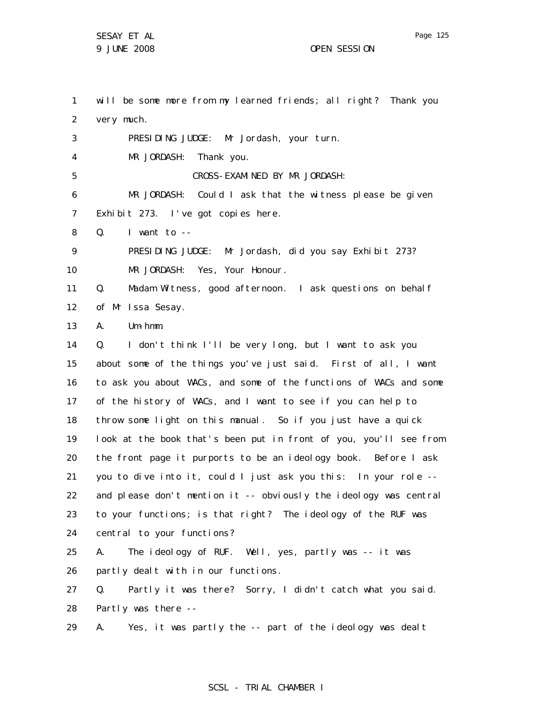1 2 3 4 5 6 7 8 9 10 11 12 13 14 15 16 17 18 19 20 21 22 23 24 25 26 27 28 29 will be some more from my learned friends; all right? Thank you very much. PRESIDING JUDGE: Mr Jordash, your turn. MR JORDASH: Thank you. CROSS-EXAMINED BY MR JORDASH: MR JORDASH: Could I ask that the witness please be given Exhibit 273. I've got copies here.  $Q.$  I want to  $-$ PRESIDING JUDGE: Mr Jordash, did you say Exhibit 273? MR JORDASH: Yes, Your Honour. Q. Madam Witness, good afternoon. I ask questions on behalf of Mr Issa Sesay. A. Um-hmm. Q. I don't think I'll be very long, but I want to ask you about some of the things you've just said. First of all, I want to ask you about WACs, and some of the functions of WACs and some of the history of WACs, and I want to see if you can help to throw some light on this manual. So if you just have a quick look at the book that's been put in front of you, you'll see from the front page it purports to be an ideology book. Before I ask you to dive into it, could I just ask you this: In your role - and please don't mention it -- obviously the ideology was central to your functions; is that right? The ideology of the RUF was central to your functions? A. The ideology of RUF. Well, yes, partly was -- it was partly dealt with in our functions. Q. Partly it was there? Sorry, I didn't catch what you said. Partly was there -- A. Yes, it was partly the -- part of the ideology was dealt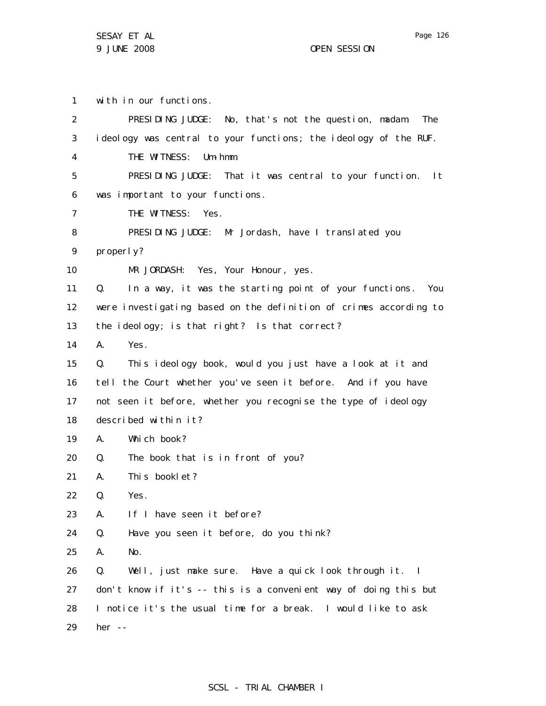1 with in our functions.

| 2                 | PRESIDING JUDGE: No, that's not the question, madam.<br>The       |
|-------------------|-------------------------------------------------------------------|
| 3                 | ideology was central to your functions; the ideology of the RUF.  |
| 4                 | THE WITNESS:<br>$Um - hmm$ .                                      |
| 5                 | PRESIDING JUDGE: That it was central to your function.<br>l t     |
| 6                 | was important to your functions.                                  |
| 7                 | THE WITNESS:<br>Yes.                                              |
| 8                 | PRESIDING JUDGE: Mr Jordash, have I translated you                |
| 9                 | properly?                                                         |
| 10                | MR JORDASH: Yes, Your Honour, yes.                                |
| 11                | In a way, it was the starting point of your functions. You<br>Q.  |
| $12 \overline{ }$ | were investigating based on the definition of crimes according to |
| 13                | the ideology; is that right? Is that correct?                     |
| 14                | А.<br>Yes.                                                        |
| 15                | This ideology book, would you just have a look at it and<br>Q.    |
| 16                | tell the Court whether you've seen it before. And if you have     |
| 17                | not seen it before, whether you recognise the type of ideology    |
| 18                | described within it?                                              |
| 19                | Which book?<br>А.                                                 |
| 20                | The book that is in front of you?<br>Q.                           |
| 21                | This booklet?<br>А.                                               |
| 22                | Q.<br>Yes.                                                        |
| 23                | Α.<br>If I have seen it before?                                   |
| 24                | Q.<br>Have you seen it before, do you think?                      |
| 25                | No.<br>Α.                                                         |
| 26                | Well, just make sure. Have a quick look through it. I<br>Q.       |
| 27                | don't know if it's -- this is a convenient way of doing this but  |
| 28                | I notice it's the usual time for a break. I would like to ask     |
| 29                | her --                                                            |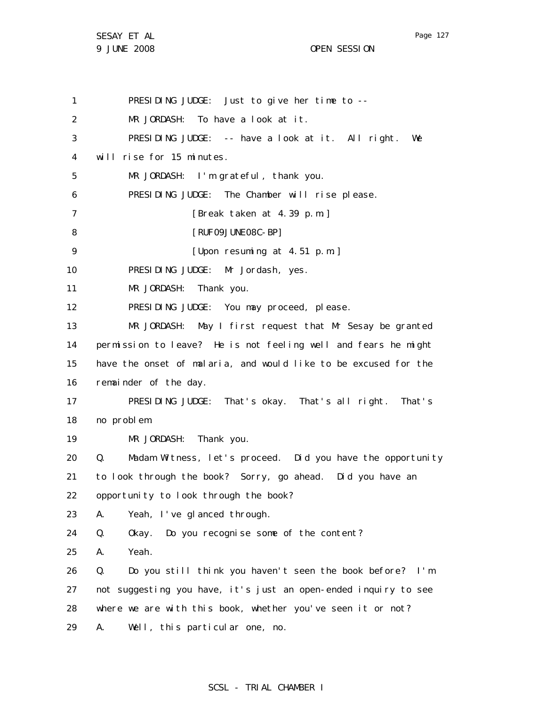Page 127

1 2 3 4 5 6 7 8 9 10 11 12 13 14 15 16 17 18 19 20 21 22 23 24 25 26 27 28 29 PRESIDING JUDGE: Just to give her time to -- MR JORDASH: To have a look at it. PRESIDING JUDGE: -- have a look at it. All right. We will rise for 15 minutes. MR JORDASH: I'm grateful, thank you. PRESIDING JUDGE: The Chamber will rise please. [Break taken at 4.39 p.m.] [RUF09JUNE08C-BP] [Upon resuming at 4.51 p.m.] PRESIDING JUDGE: Mr Jordash, yes. MR JORDASH: Thank you. PRESIDING JUDGE: You may proceed, please. MR JORDASH: May I first request that Mr Sesay be granted permission to leave? He is not feeling well and fears he might have the onset of malaria, and would like to be excused for the remainder of the day. PRESIDING JUDGE: That's okay. That's all right. That's no problem. MR JORDASH: Thank you. Q. Madam Witness, let's proceed. Did you have the opportunity to look through the book? Sorry, go ahead. Did you have an opportunity to look through the book? A. Yeah, I've glanced through. Q. Okay. Do you recognise some of the content? A. Yeah. Q. Do you still think you haven't seen the book before? I'm not suggesting you have, it's just an open-ended inquiry to see where we are with this book, whether you've seen it or not? A. Well, this particular one, no.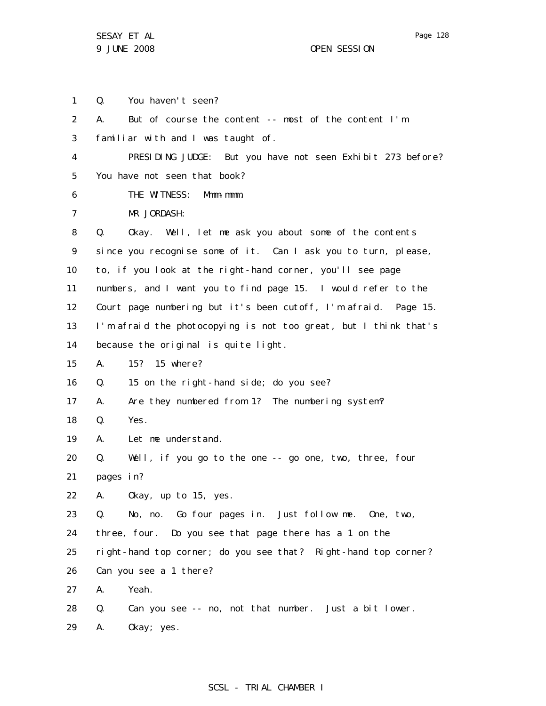1 2 3 4 5 6 7 8 9 10 11 12 13 14 15 16 17 18 19 20 21 22 23 24 25 26 27 28 29 Q. You haven't seen? A. But of course the content -- most of the content I'm familiar with and I was taught of. PRESIDING JUDGE: But you have not seen Exhibit 273 before? You have not seen that book? THE WITNESS: Mmm-mmm. MR JORDASH: Q. Okay. Well, let me ask you about some of the contents since you recognise some of it. Can I ask you to turn, please, to, if you look at the right-hand corner, you'll see page numbers, and I want you to find page 15. I would refer to the Court page numbering but it's been cutoff, I'm afraid. Page 15. I'm afraid the photocopying is not too great, but I think that's because the original is quite light. A. 15? 15 where? Q. 15 on the right-hand side; do you see? A. Are they numbered from 1? The numbering system? Q. Yes. A. Let me understand. Q. Well, if you go to the one -- go one, two, three, four pages in? A. Okay, up to 15, yes. Q. No, no. Go four pages in. Just follow me. One, two, three, four. Do you see that page there has a 1 on the right-hand top corner; do you see that? Right-hand top corner? Can you see a 1 there? A. Yeah. Q. Can you see -- no, not that number. Just a bit lower. A. Okay; yes.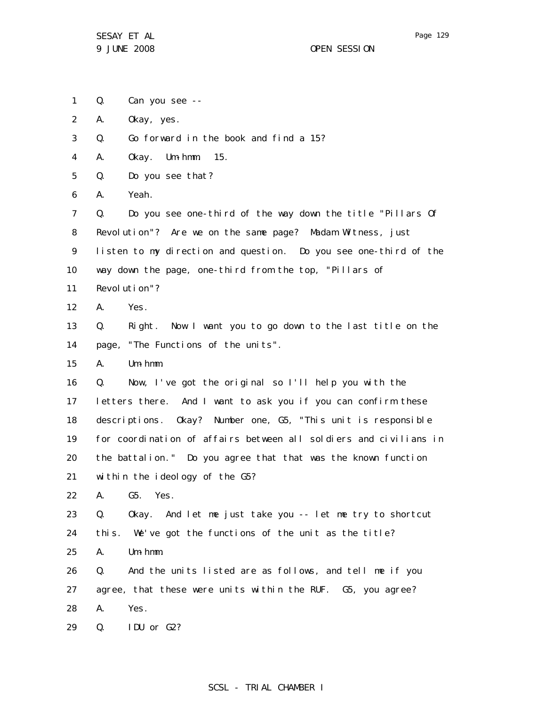- 1 Q. Can you see --
- 2 A. Okay, yes.
- 3 Q. Go forward in the book and find a 15?
- 4 A. Okay. Um-hmm. 15.
- 5 Q. Do you see that?
- 6 A. Yeah.

7 8 9 10 Q. Do you see one-third of the way down the title "Pillars Of Revolution"? Are we on the same page? Madam Witness, just listen to my direction and question. Do you see one-third of the way down the page, one-third from the top, "Pillars of

- 11 Revolution"?
- 12 A. Yes.
- 13 14 Q. Right. Now I want you to go down to the last title on the page, "The Functions of the units".
- 15 A. Um-hmm.

16 17 18 19 20 21 Q. Now, I've got the original so I'll help you with the letters there. And I want to ask you if you can confirm these descriptions. Okay? Number one, G5, "This unit is responsible for coordination of affairs between all soldiers and civilians in the battalion." Do you agree that that was the known function within the ideology of the G5?

22 A. G5. Yes.

23 24 Q. Okay. And let me just take you -- let me try to shortcut this. We've got the functions of the unit as the title?

25 A. Um-hmm.

26 27 28 Q. And the units listed are as follows, and tell me if you agree, that these were units within the RUF. G5, you agree? A. Yes.

29 Q. IDU or G2?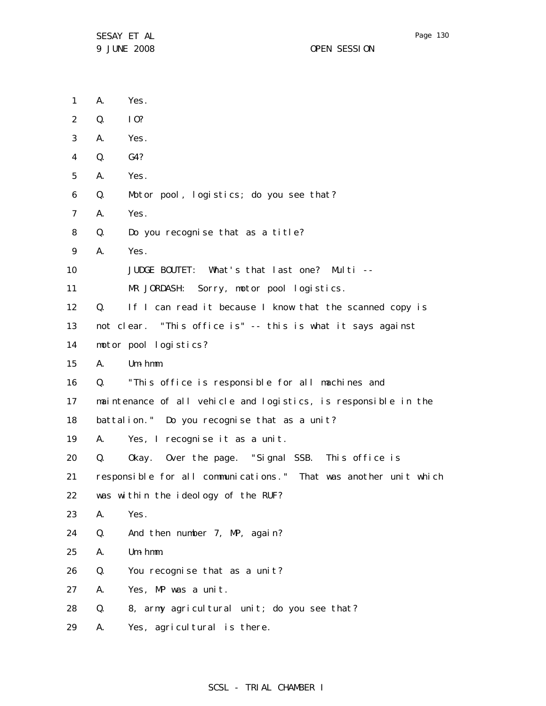1 2 3 4 5 6 7 8 9 10 11 12 13 14 15 16 17 18 19 20 21 22 23 24 25 26 27 28 29 A. Yes. Q. IO? A. Yes. Q. G4? A. Yes. Q. Motor pool, logistics; do you see that? A. Yes. Q. Do you recognise that as a title? A. Yes. JUDGE BOUTET: What's that last one? Multi -- MR JORDASH: Sorry, motor pool logistics. Q. If I can read it because I know that the scanned copy is not clear. "This office is" -- this is what it says against motor pool logistics? A. Um-hmm. Q. "This office is responsible for all machines and maintenance of all vehicle and logistics, is responsible in the battalion." Do you recognise that as a unit? A. Yes, I recognise it as a unit. Q. Okay. Over the page. "Signal SSB. This office is responsible for all communications." That was another unit which was within the ideology of the RUF? A. Yes. Q. And then number 7, MP, again? A. Um-hmm. Q. You recognise that as a unit? A. Yes, MP was a unit. Q. 8, army agricultural unit; do you see that? A. Yes, agricultural is there.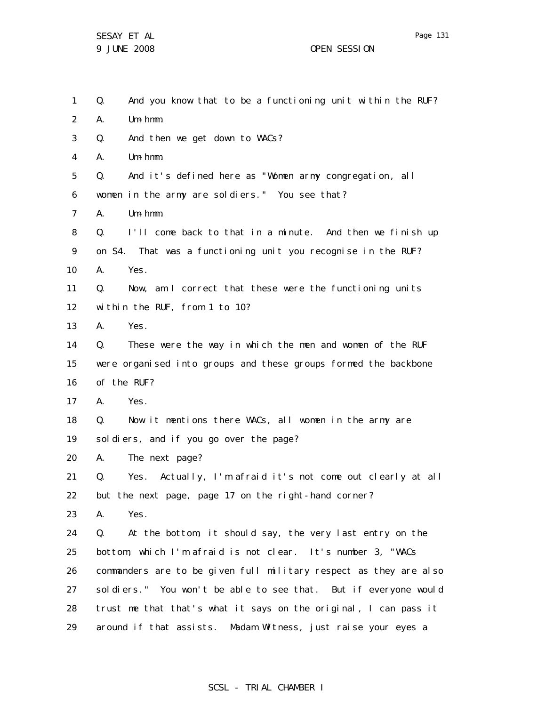1 2 3 4 5 6 7 8 9 10 11 12 13 14 15 16 17 18 19 20 21 22 23 24 25 26 27 28 29 Q. And you know that to be a functioning unit within the RUF? A. Um-hmm. Q. And then we get down to WACs? A. Um-hmm. Q. And it's defined here as "Women army congregation, all women in the army are soldiers." You see that? A. Um-hmm. Q. I'll come back to that in a minute. And then we finish up on S4. That was a functioning unit you recognise in the RUF? A. Yes. Q. Now, am I correct that these were the functioning units within the RUF, from 1 to 10? A. Yes. Q. These were the way in which the men and women of the RUF were organised into groups and these groups formed the backbone of the RUF? A. Yes. Q. Now it mentions there WACs, all women in the army are soldiers, and if you go over the page? A. The next page? Q. Yes. Actually, I'm afraid it's not come out clearly at all but the next page, page 17 on the right-hand corner? A. Yes. Q. At the bottom, it should say, the very last entry on the bottom, which I'm afraid is not clear. It's number 3, "WACs commanders are to be given full military respect as they are also soldiers." You won't be able to see that. But if everyone would trust me that that's what it says on the original, I can pass it around if that assists. Madam Witness, just raise your eyes a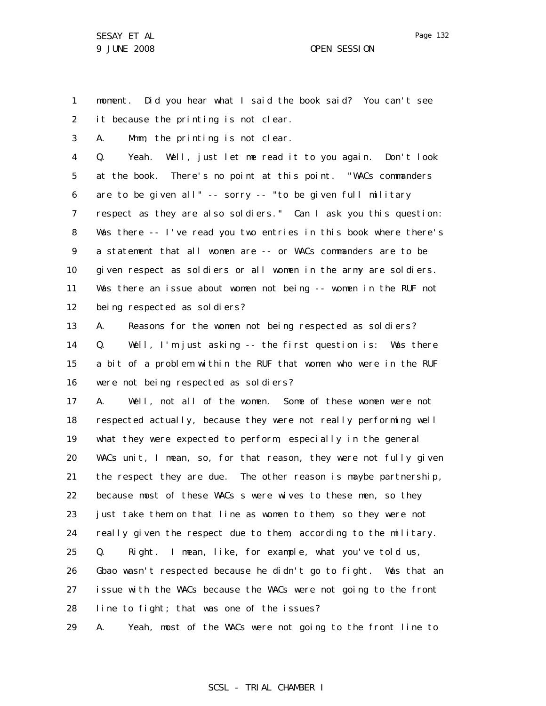1 2 moment. Did you hear what I said the book said? You can't see it because the printing is not clear.

3 A. Mmm, the printing is not clear.

4 5 6 7 8 9 10 11 12 Q. Yeah. Well, just let me read it to you again. Don't look at the book. There's no point at this point. "WACs commanders are to be given all" -- sorry -- "to be given full military respect as they are also soldiers." Can I ask you this question: Was there -- I've read you two entries in this book where there's a statement that all women are -- or WACs commanders are to be given respect as soldiers or all women in the army are soldiers. Was there an issue about women not being -- women in the RUF not being respected as soldiers?

13 14 15 16 A. Reasons for the women not being respected as soldiers? Q. Well, I'm just asking -- the first question is: Was there a bit of a problem within the RUF that women who were in the RUF were not being respected as soldiers?

17 18 19 20 21 22 23 24 25 26 27 28 A. Well, not all of the women. Some of these women were not respected actually, because they were not really performing well what they were expected to perform, especially in the general WACs unit, I mean, so, for that reason, they were not fully given the respect they are due. The other reason is maybe partnership, because most of these WACs s were wives to these men, so they just take them on that line as women to them, so they were not really given the respect due to them, according to the military. Q. Right. I mean, like, for example, what you've told us, Gbao wasn't respected because he didn't go to fight. Was that an issue with the WACs because the WACs were not going to the front line to fight; that was one of the issues?

29 A. Yeah, most of the WACs were not going to the front line to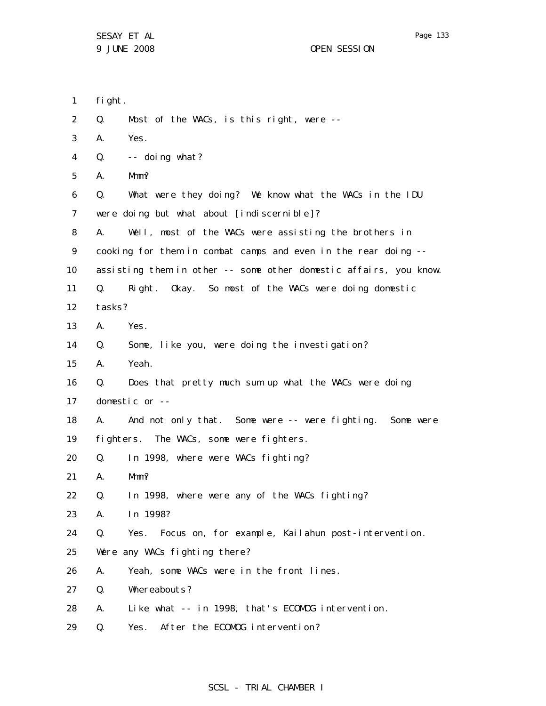- 1 fight.
- 2 Q. Most of the WACs, is this right, were --
- 3 A. Yes.
- 4  $Q.$  -- doing what?
- 5 A. Mmm?
- 6 7 Q. What were they doing? We know what the WACs in the IDU were doing but what about [indiscernible]?
- 8 A. Well, most of the WACs were assisting the brothers in
- 9 cooking for them in combat camps and even in the rear doing --
- 10 assisting them in other -- some other domestic affairs, you know.
- 11 Q. Right. Okay. So most of the WACs were doing domestic
- 12 tasks?
- 13 A. Yes.
- 14 Q. Some, like you, were doing the investigation?
- 15 A. Yeah.
- 16 17 Q. Does that pretty much sum up what the WACs were doing domestic or --
- 18 A. And not only that. Some were -- were fighting. Some were
- 19 fighters. The WACs, some were fighters.
- 20 Q. In 1998, where were WACs fighting?
- 21 A. Mmm?
- 22 Q. In 1998, where were any of the WACs fighting?
- 23 A. In 1998?
- 24 Q. Yes. Focus on, for example, Kailahun post-intervention.
- 25 Were any WACs fighting there?
- 26 A. Yeah, some WACs were in the front lines.
- 27 Q. Whereabouts?
- 28 A. Like what -- in 1998, that's ECOMOG intervention.
- 29 Q. Yes. After the ECOMOG intervention?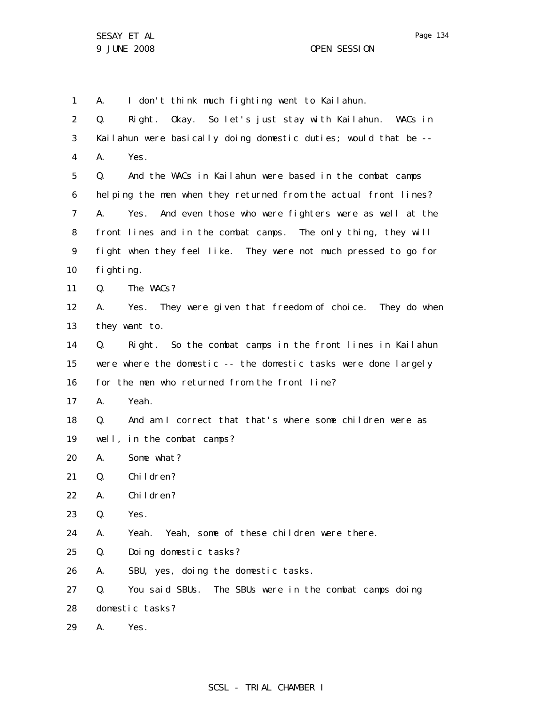1 A. I don't think much fighting went to Kailahun.

| $\overline{2}$ | Q.              | Right. Okay. So let's just stay with Kailahun. WACs in          |
|----------------|-----------------|-----------------------------------------------------------------|
| 3              |                 | Kailahun were basically doing domestic duties; would that be -- |
| $\overline{4}$ | А.              | Yes.                                                            |
| 5              | Q.              | And the WACs in Kailahun were based in the combat camps         |
| 6              |                 | helping the men when they returned from the actual front lines? |
| 7              | А.              | And even those who were fighters were as well at the<br>Yes.    |
| 8              |                 | front lines and in the combat camps. The only thing, they will  |
| 9              |                 | fight when they feel like. They were not much pressed to go for |
| 10             | fighting.       |                                                                 |
| 11             | Q.              | The WACs?                                                       |
| 12             | А.              | Yes. They were given that freedom of choice. They do when       |
| 13             |                 | they want to.                                                   |
| 14             | Q.              | Right. So the combat camps in the front lines in Kailahun       |
| 15             |                 | were where the domestic -- the domestic tasks were done largely |
| 16             |                 | for the men who returned from the front line?                   |
| 17             | А.              | Yeah.                                                           |
| 18             | Q.              | And am I correct that that's where some children were as        |
| 19             |                 | well, in the combat camps?                                      |
| 20             | А.              | Some what?                                                      |
| 21             | Q.              | Children?                                                       |
| 22             | А.              | Children?                                                       |
| 23             | Q.              | Yes.                                                            |
| 24             | А.              | Yeah. Yeah, some of these children were there.                  |
| 25             | Q.              | Doing domestic tasks?                                           |
| 26             | А.              | SBU, yes, doing the domestic tasks.                             |
| 27             | Q.              | You said SBUs. The SBUs were in the combat camps doing          |
| 28             | domestic tasks? |                                                                 |
| 29             | A.              | Yes.                                                            |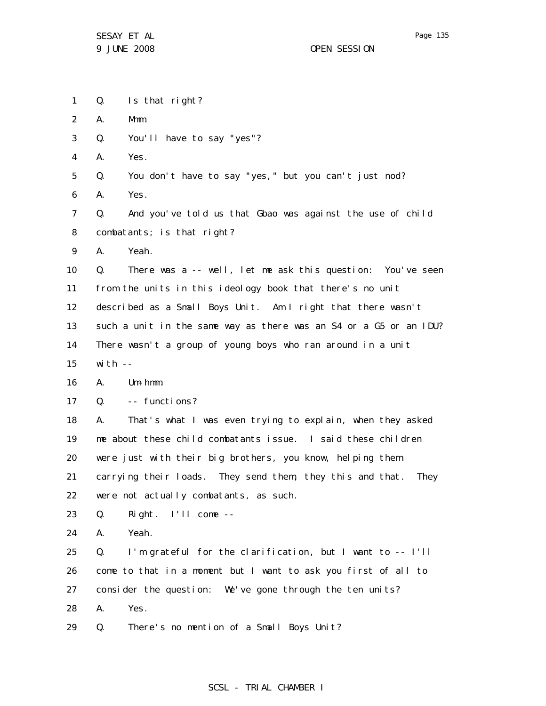1 2 3 4 5 6 7 8 9 10 11 12 13 14 15 16 17 18 19 20 21 22 23 24 25 26 27 28 Q. Is that right? A. Mmm. Q. You'll have to say "yes"? A. Yes. Q. You don't have to say "yes," but you can't just nod? A. Yes. Q. And you've told us that Gbao was against the use of child combatants; is that right? A. Yeah. Q. There was a -- well, let me ask this question: You've seen from the units in this ideology book that there's no unit described as a Small Boys Unit. Am I right that there wasn't such a unit in the same way as there was an S4 or a G5 or an IDU? There wasn't a group of young boys who ran around in a unit with  $--$ A. Um-hmm. Q. -- functions? A. That's what I was even trying to explain, when they asked me about these child combatants issue. I said these children were just with their big brothers, you know, helping them carrying their loads. They send them, they this and that. They were not actually combatants, as such. Q. Right. I'll come -- A. Yeah. Q. I'm grateful for the clarification, but I want to -- I'll come to that in a moment but I want to ask you first of all to consider the question: We've gone through the ten units? A. Yes.

29 Q. There's no mention of a Small Boys Unit?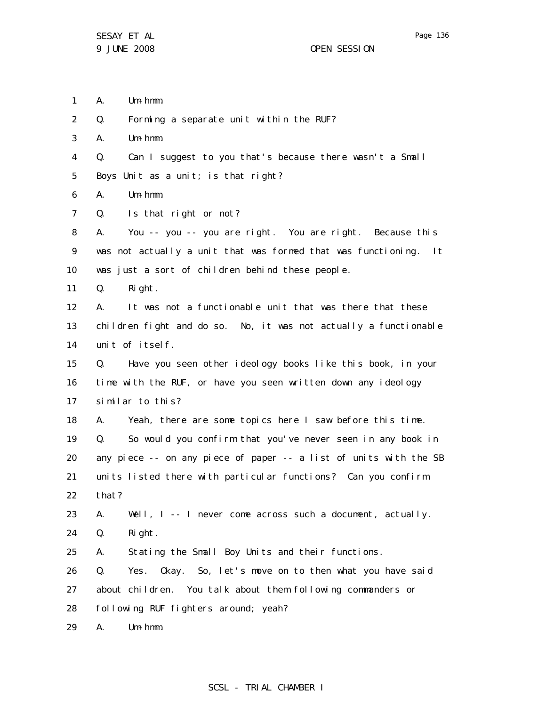- 1 A. Um-hmm.
- 2 Q. Forming a separate unit within the RUF?
- 3 A. Um-hmm.
- 4 Q. Can I suggest to you that's because there wasn't a Small

5 Boys Unit as a unit; is that right?

- 6 A. Um-hmm.
- 7 Q. Is that right or not?

8 9 10 A. You -- you -- you are right. You are right. Because this was not actually a unit that was formed that was functioning. It was just a sort of children behind these people.

11 Q. Right.

12 13 14 A. It was not a functionable unit that was there that these children fight and do so. No, it was not actually a functionable unit of itself.

15 16 17 Q. Have you seen other ideology books like this book, in your time with the RUF, or have you seen written down any ideology similar to this?

18 19 20 21 22 A. Yeah, there are some topics here I saw before this time. Q. So would you confirm that you've never seen in any book in any piece -- on any piece of paper -- a list of units with the SB units listed there with particular functions? Can you confirm that?

23 24 A. Well, I -- I never come across such a document, actually. Q. Right.

25 A. Stating the Small Boy Units and their functions.

26 27 28 Q. Yes. Okay. So, let's move on to then what you have said about children. You talk about them following commanders or following RUF fighters around; yeah?

29 A. Um-hmm.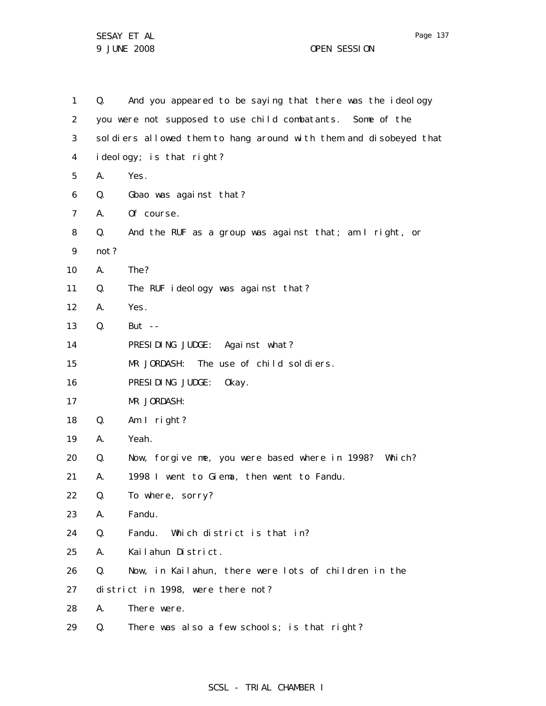1 2 3 4 5 6 7 8 9 10 11 12 13 14 15 16 17 18 19 20 21 22 23 24 25 26 27 28 29 Q. And you appeared to be saying that there was the ideology you were not supposed to use child combatants. Some of the soldiers allowed them to hang around with them and disobeyed that ideology; is that right? A. Yes. Q. Gbao was against that? A. Of course. Q. And the RUF as a group was against that; am I right, or not? A. The? Q. The RUF ideology was against that? A. Yes. Q. But -- PRESIDING JUDGE: Against what? MR JORDASH: The use of child soldiers. PRESIDING JUDGE: Okay. MR JORDASH: Q. Am I right? A. Yeah. Q. Now, forgive me, you were based where in 1998? Which? A. 1998 I went to Giema, then went to Fandu. Q. To where, sorry? A. Fandu. Q. Fandu. Which district is that in? A. Kailahun District. Q. Now, in Kailahun, there were lots of children in the district in 1998, were there not? A. There were. Q. There was also a few schools; is that right?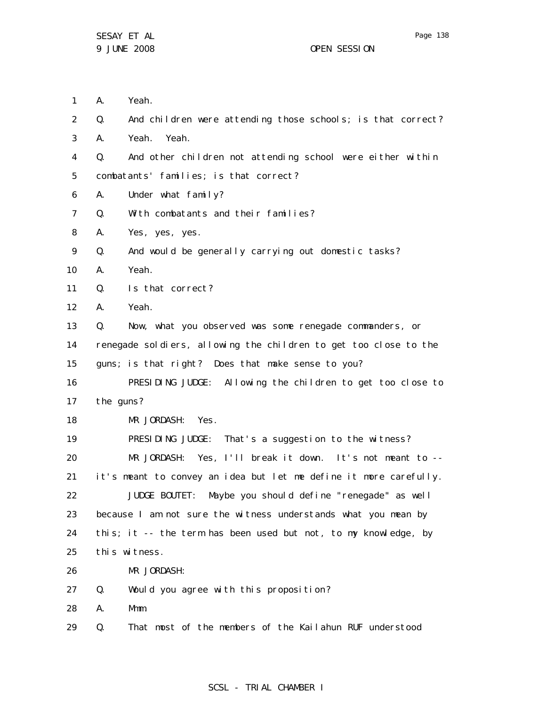1 2 3 4 5 6 7 8 9 10 11 12 13 14 15 16 17 18 19 20 21 22 23 24 25 26 27 28 29 A. Yeah. Q. And children were attending those schools; is that correct? A. Yeah. Yeah. Q. And other children not attending school were either within combatants' families; is that correct? A. Under what family? Q. With combatants and their families? A. Yes, yes, yes. Q. And would be generally carrying out domestic tasks? A. Yeah. Q. Is that correct? A. Yeah. Q. Now, what you observed was some renegade commanders, or renegade soldiers, allowing the children to get too close to the guns; is that right? Does that make sense to you? PRESIDING JUDGE: Allowing the children to get too close to the guns? MR JORDASH: Yes. PRESIDING JUDGE: That's a suggestion to the witness? MR JORDASH: Yes, I'll break it down. It's not meant to -it's meant to convey an idea but let me define it more carefully. JUDGE BOUTET: Maybe you should define "renegade" as well because I am not sure the witness understands what you mean by this; it -- the term has been used but not, to my knowledge, by this witness. MR JORDASH: Q. Would you agree with this proposition? A. Mmm. Q. That most of the members of the Kailahun RUF understood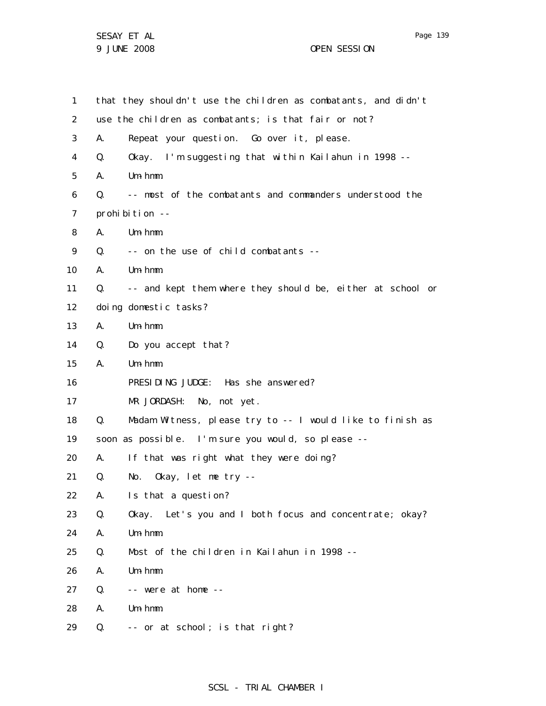Page 139

1 2 3 4 5 6 7 8 9 10 11 12 13 14 15 16 17 18 19 20 21 22 23 24 25 26 27 28 29 that they shouldn't use the children as combatants, and didn't use the children as combatants; is that fair or not? A. Repeat your question. Go over it, please. Q. Okay. I'm suggesting that within Kailahun in 1998 -- A. Um-hmm. Q. -- most of the combatants and commanders understood the prohibition --A. Um-hmm. Q. -- on the use of child combatants -- A. Um-hmm. Q. -- and kept them where they should be, either at school or doing domestic tasks? A. Um-hmm. Q. Do you accept that? A. Um-hmm. PRESIDING JUDGE: Has she answered? MR JORDASH: No, not yet. Q. Madam Witness, please try to -- I would like to finish as soon as possible. I'm sure you would, so please -- A. If that was right what they were doing? Q. No. Okay, let me try -- A. Is that a question? Q. Okay. Let's you and I both focus and concentrate; okay? A. Um-hmm. Q. Most of the children in Kailahun in 1998 -- A. Um-hmm. Q. -- were at home -- A. Um-hmm. Q. -- or at school; is that right?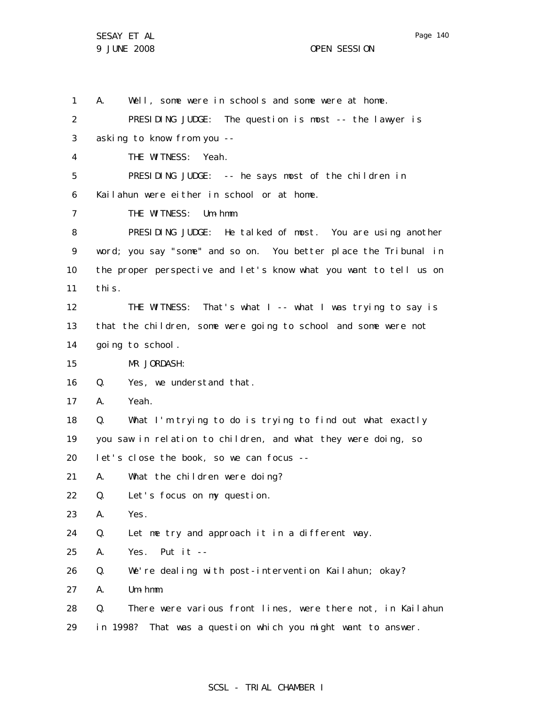1 A. Well, some were in schools and some were at home.

2 3 4 5 6 7 8 9 10 11 12 13 14 15 16 17 18 19 20 21 22 23 24 25 26 27 28 29 PRESIDING JUDGE: The question is most -- the lawyer is asking to know from you -- THE WITNESS: Yeah. PRESIDING JUDGE: -- he says most of the children in Kailahun were either in school or at home. THE WITNESS: Um-hmm. PRESIDING JUDGE: He talked of most. You are using another word; you say "some" and so on. You better place the Tribunal in the proper perspective and let's know what you want to tell us on this. THE WITNESS: That's what I -- what I was trying to say is that the children, some were going to school and some were not going to school. MR JORDASH: Q. Yes, we understand that. A. Yeah. Q. What I'm trying to do is trying to find out what exactly you saw in relation to children, and what they were doing, so let's close the book, so we can focus -- A. What the children were doing? Q. Let's focus on my question. A. Yes. Q. Let me try and approach it in a different way. A. Yes. Put it -- Q. We're dealing with post-intervention Kailahun; okay? A. Um-hmm. Q. There were various front lines, were there not, in Kailahun in 1998? That was a question which you might want to answer.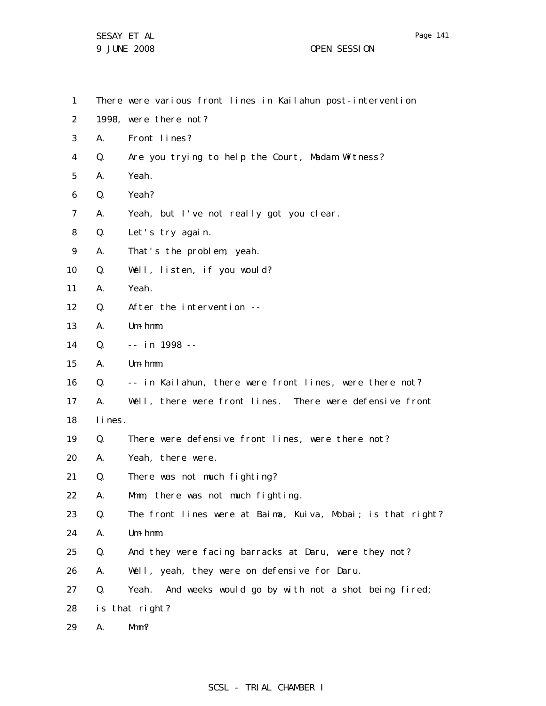1 2 3 4 5 6 7 8 9 10 11 12 13 14 15 16 17 18 19 20 21 22 23 24 25 26 27 28 There were various front lines in Kailahun post-intervention 1998, were there not? A. Front lines? Q. Are you trying to help the Court, Madam Witness? A. Yeah. Q. Yeah? A. Yeah, but I've not really got you clear. Q. Let's try again. A. That's the problem, yeah. Q. Well, listen, if you would? A. Yeah. Q. After the intervention -- A. Um-hmm. Q. -- in 1998 -- A. Um-hmm. Q. -- in Kailahun, there were front lines, were there not? A. Well, there were front lines. There were defensive front lines. Q. There were defensive front lines, were there not? A. Yeah, there were. Q. There was not much fighting? A. Mmm, there was not much fighting. Q. The front lines were at Baima, Kuiva, Mobai; is that right? A. Um-hmm. Q. And they were facing barracks at Daru, were they not? A. Well, yeah, they were on defensive for Daru. Q. Yeah. And weeks would go by with not a shot being fired; is that right?

29 A. Mmm?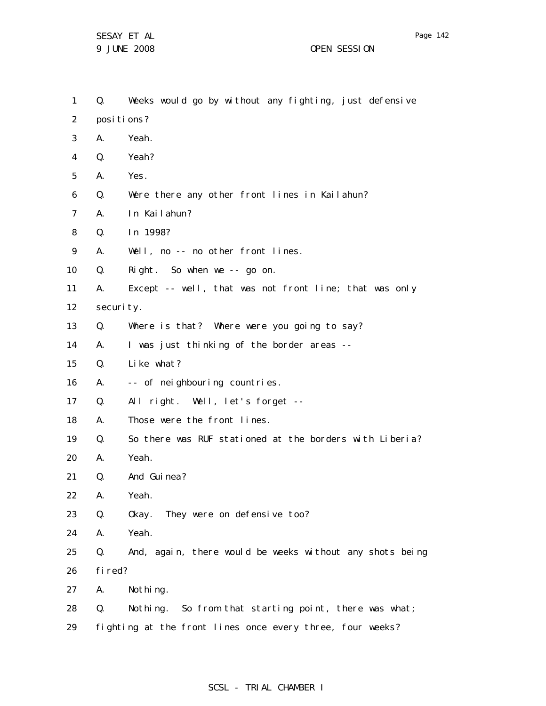1 2 3 4 5 6 7 8 9 10 11 12 13 14 15 16 17 18 19 20 21 22 23 24 25 26 27 28 29 Q. Weeks would go by without any fighting, just defensive posi ti ons? A. Yeah. Q. Yeah? A. Yes. Q. Were there any other front lines in Kailahun? A. In Kailahun? Q. In 1998? A. Well, no -- no other front lines. Q. Right. So when we -- go on. A. Except -- well, that was not front line; that was only security. Q. Where is that? Where were you going to say? A. I was just thinking of the border areas -- Q. Like what? A. -- of neighbouring countries. Q. All right. Well, let's forget -- A. Those were the front lines. Q. So there was RUF stationed at the borders with Liberia? A. Yeah. Q. And Guinea? A. Yeah. Q. Okay. They were on defensive too? A. Yeah. Q. And, again, there would be weeks without any shots being fired? A. Nothing. Q. Nothing. So from that starting point, there was what; fighting at the front lines once every three, four weeks?

# Page 142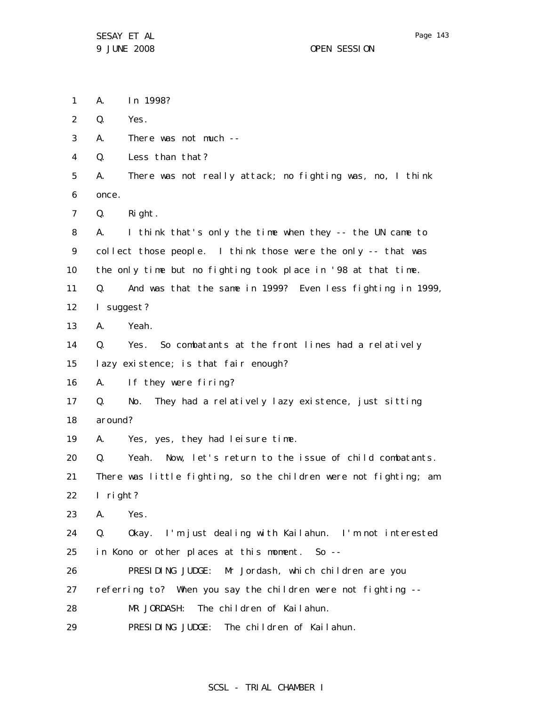1 A. In 1998?

2 Q. Yes.

3 A. There was not much --

4 Q. Less than that?

5 6 A. There was not really attack; no fighting was, no, I think once.

7 Q. Right.

8 9 10 11 A. I think that's only the time when they -- the UN came to collect those people. I think those were the only -- that was the only time but no fighting took place in '98 at that time. Q. And was that the same in 1999? Even less fighting in 1999,

12 I suggest?

13 A. Yeah.

14 15 Q. Yes. So combatants at the front lines had a relatively lazy existence; is that fair enough?

16 A. If they were firing?

17 18 Q. No. They had a relatively lazy existence, just sitting around?

19 A. Yes, yes, they had leisure time.

20 21 22 Q. Yeah. Now, let's return to the issue of child combatants. There was little fighting, so the children were not fighting; am I right?

23 A. Yes.

24 25 Q. Okay. I'm just dealing with Kailahun. I'm not interested in Kono or other places at this moment. So --

26 PRESIDING JUDGE: Mr Jordash, which children are you

27 referring to? When you say the children were not fighting --

28 MR JORDASH: The children of Kailahun.

29 PRESIDING JUDGE: The children of Kailahun.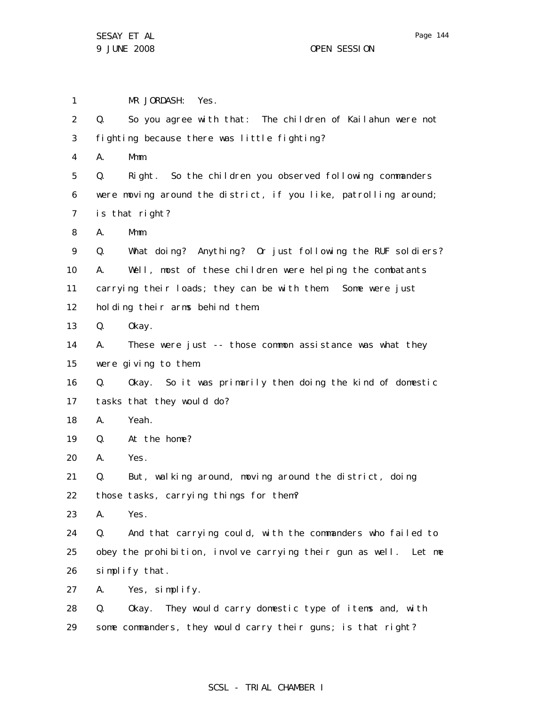1 2 3 4 5 6 7 8 9 10 11 12 13 14 15 16 17 18 19 20 21 22 23 24 25 26 27 28 29 MR JORDASH: Yes. Q. So you agree with that: The children of Kailahun were not fighting because there was little fighting? A. Mmm. Q. Right. So the children you observed following commanders were moving around the district, if you like, patrolling around; is that right? A. Mmm. Q. What doing? Anything? Or just following the RUF soldiers? A. Well, most of these children were helping the combatants carrying their loads; they can be with them. Some were just holding their arms behind them. Q. Okay. A. These were just -- those common assistance was what they were giving to them. Q. Okay. So it was primarily then doing the kind of domestic tasks that they would do? A. Yeah. Q. At the home? A. Yes. Q. But, walking around, moving around the district, doing those tasks, carrying things for them? A. Yes. Q. And that carrying could, with the commanders who failed to obey the prohibition, involve carrying their gun as well. Let me simplify that. A. Yes, simplify. Q. Okay. They would carry domestic type of items and, with some commanders, they would carry their guns; is that right?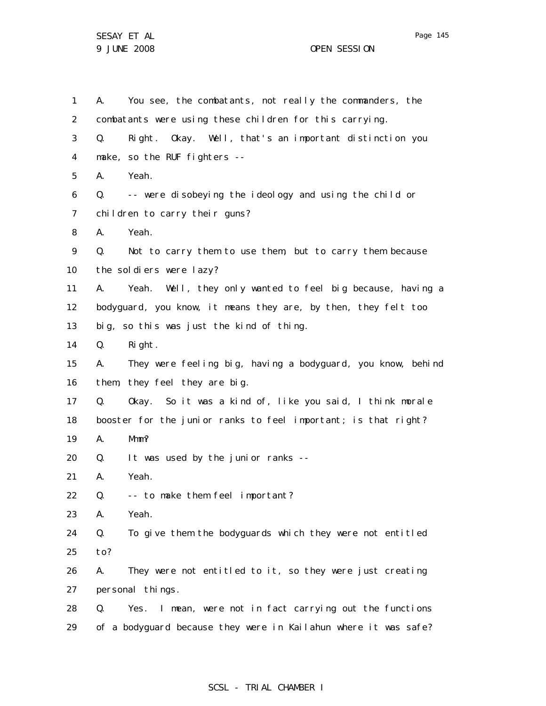SESAY ET AL 9 JUNE 2008 OPEN SESSION

1 2 3 4 5 6 7 8 9 10 11 12 13 14 15 16 17 18 19 20 21 22 23 24 25 26 27 28 29 A. You see, the combatants, not really the commanders, the combatants were using these children for this carrying. Q. Right. Okay. Well, that's an important distinction you make, so the RUF fighters -- A. Yeah. Q. -- were disobeying the ideology and using the child or children to carry their guns? A. Yeah. Q. Not to carry them to use them, but to carry them because the soldiers were lazy? A. Yeah. Well, they only wanted to feel big because, having a bodyguard, you know, it means they are, by then, they felt too big, so this was just the kind of thing. Q. Right. A. They were feeling big, having a bodyguard, you know, behind them, they feel they are big. Q. Okay. So it was a kind of, like you said, I think morale booster for the junior ranks to feel important; is that right? A. Mmm? Q. It was used by the junior ranks -- A. Yeah. Q. -- to make them feel important? A. Yeah. Q. To give them the bodyguards which they were not entitled to? A. They were not entitled to it, so they were just creating personal things. Q. Yes. I mean, were not in fact carrying out the functions of a bodyguard because they were in Kailahun where it was safe?

# SCSL - TRIAL CHAMBER I

Page 145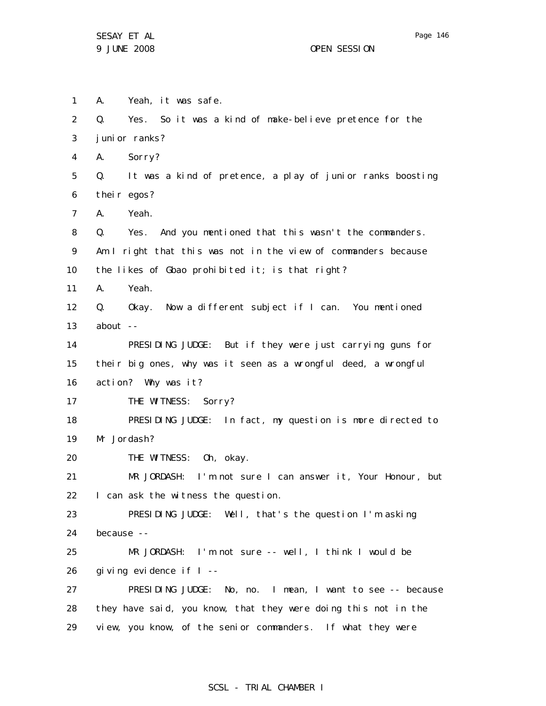1 2 3 4 5 6 7 8 9 10 11 12 13 14 15 16 17 18 19 20 21 22 23 24 25 26 27 28 29 A. Yeah, it was safe. Q. Yes. So it was a kind of make-believe pretence for the junior ranks? A. Sorry? Q. It was a kind of pretence, a play of junior ranks boosting their egos? A. Yeah. Q. Yes. And you mentioned that this wasn't the commanders. Am I right that this was not in the view of commanders because the likes of Gbao prohibited it; is that right? A. Yeah. Q. Okay. Now a different subject if I can. You mentioned about  $-$ PRESIDING JUDGE: But if they were just carrying guns for their big ones, why was it seen as a wrongful deed, a wrongful action? Why was it? THE WITNESS: Sorry? PRESIDING JUDGE: In fact, my question is more directed to Mr Jordash? THE WITNESS: Oh, okay. MR JORDASH: I'm not sure I can answer it, Your Honour, but I can ask the witness the question. PRESIDING JUDGE: Well, that's the question I'm asking because -- MR JORDASH: I'm not sure -- well, I think I would be giving evidence if I -- PRESIDING JUDGE: No, no. I mean, I want to see -- because they have said, you know, that they were doing this not in the view, you know, of the senior commanders. If what they were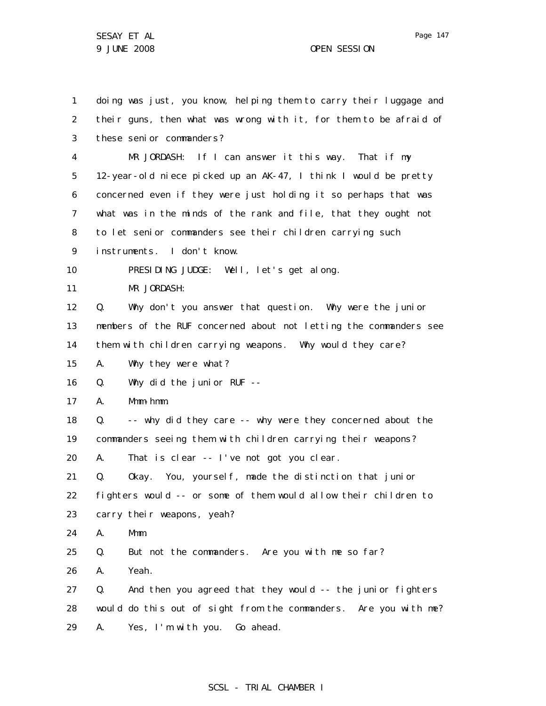1 2 3 4 5 6 7 8 9 10 11 12 13 14 15 16 17 18 19 20 21 22 23 24 25 26 27 28 29 doing was just, you know, helping them to carry their luggage and their guns, then what was wrong with it, for them to be afraid of these senior commanders? MR JORDASH: If I can answer it this way. That if my 12-year-old niece picked up an AK-47, I think I would be pretty concerned even if they were just holding it so perhaps that was what was in the minds of the rank and file, that they ought not to let senior commanders see their children carrying such instruments. I don't know. PRESIDING JUDGE: Well, let's get along. MR JORDASH: Q. Why don't you answer that question. Why were the junior members of the RUF concerned about not letting the commanders see them with children carrying weapons. Why would they care? A. Why they were what? Q. Why did the junior RUF -- A. Mmm-hmm. Q. -- why did they care -- why were they concerned about the commanders seeing them with children carrying their weapons? A. That is clear -- I've not got you clear. Q. Okay. You, yourself, made the distinction that junior fighters would -- or some of them would allow their children to carry their weapons, yeah? A. Mmm. Q. But not the commanders. Are you with me so far? A. Yeah. Q. And then you agreed that they would -- the junior fighters would do this out of sight from the commanders. Are you with me? A. Yes, I'm with you. Go ahead.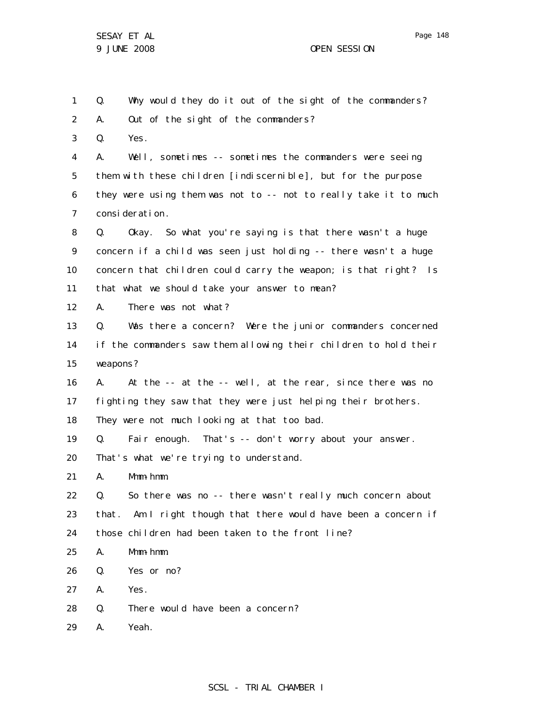1 2 3 4 5 6 7 8 9 10 11 12 13 14 15 16 17 18 19 20 21 22 23 24 25 26 27 28 Q. Why would they do it out of the sight of the commanders? A. Out of the sight of the commanders? Q. Yes. A. Well, sometimes -- sometimes the commanders were seeing them with these children [indiscernible], but for the purpose they were using them was not to -- not to really take it to much consideration. Q. Okay. So what you're saying is that there wasn't a huge concern if a child was seen just holding -- there wasn't a huge concern that children could carry the weapon; is that right? Is that what we should take your answer to mean? A. There was not what? Q. Was there a concern? Were the junior commanders concerned if the commanders saw them allowing their children to hold their weapons? A. At the -- at the -- well, at the rear, since there was no fighting they saw that they were just helping their brothers. They were not much looking at that too bad. Q. Fair enough. That's -- don't worry about your answer. That's what we're trying to understand. A. Mmm-hmm. Q. So there was no -- there wasn't really much concern about that. Am I right though that there would have been a concern if those children had been taken to the front line? A. Mmm-hmm. Q. Yes or no? A. Yes. Q. There would have been a concern?

29 A. Yeah.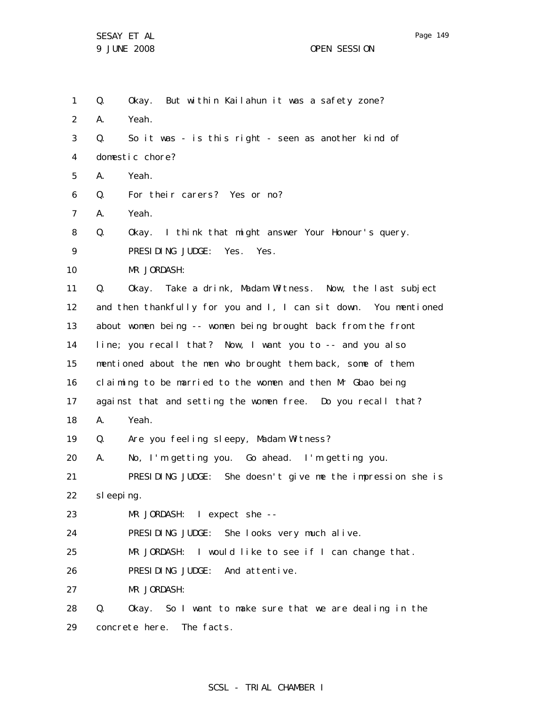1 2 3 4 5 6 7 8 9 10 11 12 13 14 15 16 17 18 19 20 21 22 23 24 25 26 27 28 Q. Okay. But within Kailahun it was a safety zone? A. Yeah. Q. So it was - is this right - seen as another kind of domestic chore? A. Yeah. Q. For their carers? Yes or no? A. Yeah. Q. Okay. I think that might answer Your Honour's query. PRESIDING JUDGE: Yes. Yes. MR JORDASH: Q. Okay. Take a drink, Madam Witness. Now, the last subject and then thankfully for you and I, I can sit down. You mentioned about women being -- women being brought back from the front line; you recall that? Now, I want you to -- and you also mentioned about the men who brought them back, some of them claiming to be married to the women and then Mr Gbao being against that and setting the women free. Do you recall that? A. Yeah. Q. Are you feeling sleepy, Madam Witness? A. No, I'm getting you. Go ahead. I'm getting you. PRESIDING JUDGE: She doesn't give me the impression she is sleeping. MR JORDASH: I expect she -- PRESIDING JUDGE: She looks very much alive. MR JORDASH: I would like to see if I can change that. PRESIDING JUDGE: And attentive. MR JORDASH: Q. Okay. So I want to make sure that we are dealing in the

29 concrete here. The facts.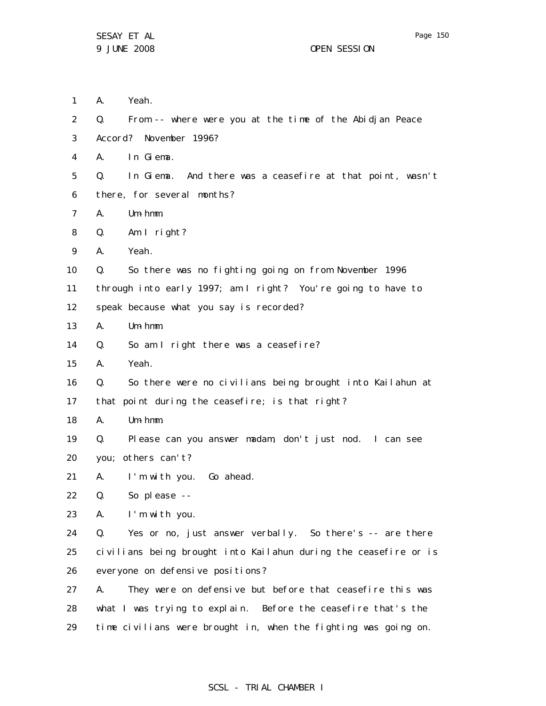29

1 2 3 4 5 6 7 8 9 10 11 12 13 14 15 16 17 18 19 20 21 22 23 24 25 26 27 28 A. Yeah. Q. From -- where were you at the time of the Abidjan Peace Accord? November 1996? A. In Giema. Q. In Giema. And there was a ceasefire at that point, wasn't there, for several months? A. Um-hmm. Q. Am I right? A. Yeah. Q. So there was no fighting going on from November 1996 through into early 1997; am I right? You're going to have to speak because what you say is recorded? A. Um-hmm. Q. So am I right there was a ceasefire? A. Yeah. Q. So there were no civilians being brought into Kailahun at that point during the ceasefire; is that right? A. Um-hmm. Q. Please can you answer madam, don't just nod. I can see you; others can't? A. I'm with you. Go ahead. Q. So please -- A. I'm with you. Q. Yes or no, just answer verbally. So there's -- are there civilians being brought into Kailahun during the ceasefire or is everyone on defensive positions? A. They were on defensive but before that ceasefire this was what I was trying to explain. Before the ceasefire that's the

#### SCSL - TRIAL CHAMBER I

time civilians were brought in, when the fighting was going on.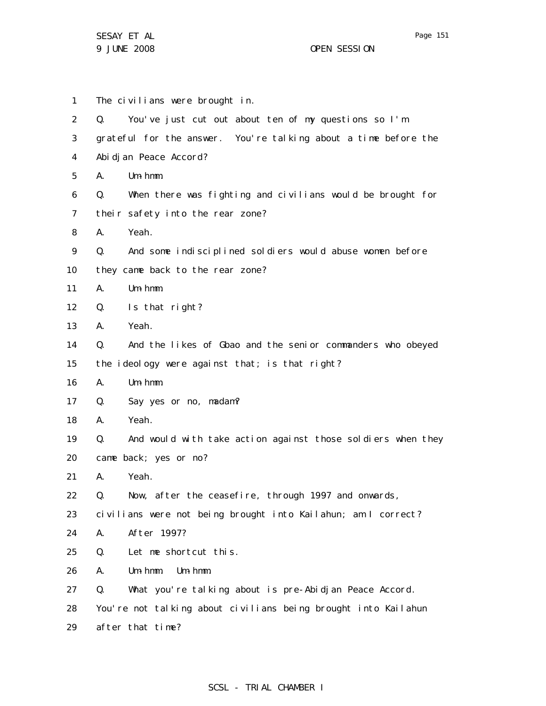1 2 3 4 5 6 7 8 9 10 11 12 13 14 15 16 17 18 19 20 21 22 23 24 25 26 27 28 29 The civilians were brought in. Q. You've just cut out about ten of my questions so I'm grateful for the answer. You're talking about a time before the Abidjan Peace Accord? A. Um-hmm. Q. When there was fighting and civilians would be brought for their safety into the rear zone? A. Yeah. Q. And some indisciplined soldiers would abuse women before they came back to the rear zone? A. Um-hmm. Q. Is that right? A. Yeah. Q. And the likes of Gbao and the senior commanders who obeyed the ideology were against that; is that right? A. Um-hmm. Q. Say yes or no, madam? A. Yeah. Q. And would with take action against those soldiers when they came back; yes or no? A. Yeah. Q. Now, after the ceasefire, through 1997 and onwards, civilians were not being brought into Kailahun; am I correct? A. After 1997? Q. Let me shortcut this. A. Um-hmm. Um-hmm. Q. What you're talking about is pre-Abidjan Peace Accord. You're not talking about civilians being brought into Kailahun after that time?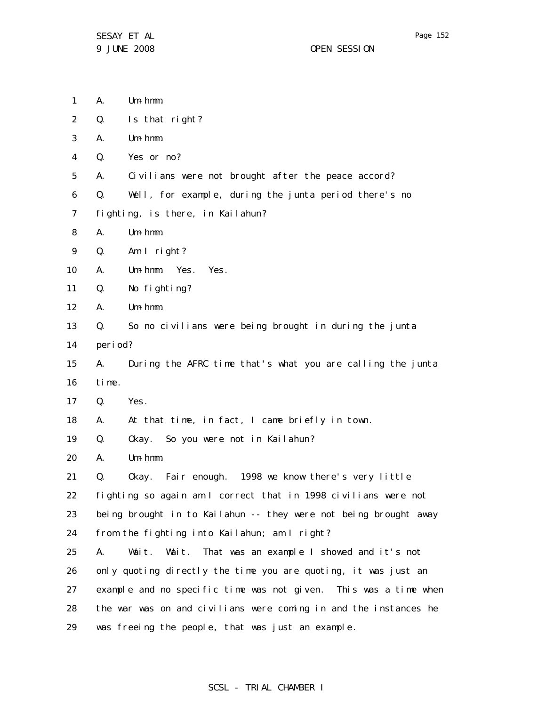SESAY ET AL 9 JUNE 2008 OPEN SESSION

- 1 A. Um-hmm.
- 2 Q. Is that right?
- 3 A. Um-hmm.
- 4 Q. Yes or no?

5 A. Civilians were not brought after the peace accord?

- 6 Q. Well, for example, during the junta period there's no
- 7 fighting, is there, in Kailahun?
- 8 A. Um-hmm.
- 9 Q. Am I right?
- 10 A. Um-hmm. Yes. Yes.
- 11 Q. No fighting?
- 12 A. Um-hmm.
- 13 14 Q. So no civilians were being brought in during the junta period?
- 15 A. During the AFRC time that's what you are calling the junta
- 16 time.
- 17 Q. Yes.
- 18 A. At that time, in fact, I came briefly in town.
- 19 Q. Okay. So you were not in Kailahun?
- 20 A. Um-hmm.
- 21 Q. Okay. Fair enough. 1998 we know there's very little
- 22 fighting so again am I correct that in 1998 civilians were not
- 23 being brought in to Kailahun -- they were not being brought away
- 24 from the fighting into Kailahun; am I right?
- 25 26 27 28 29 A. Wait. Wait. That was an example I showed and it's not only quoting directly the time you are quoting, it was just an example and no specific time was not given. This was a time when the war was on and civilians were coming in and the instances he was freeing the people, that was just an example.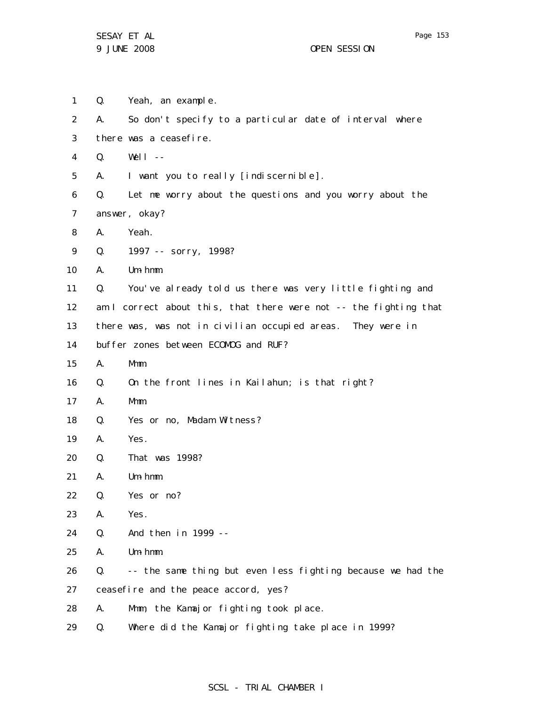1 2 3 4 5 6 7 8 9 10 11 12 13 14 15 16 17 18 19 20 21 22 23 24 25 26 27 28 29 Q. Yeah, an example. A. So don't specify to a particular date of interval where there was a ceasefire. Q. Well -- A. I want you to really [indiscernible]. Q. Let me worry about the questions and you worry about the answer, okay? A. Yeah. Q. 1997 -- sorry, 1998? A. Um-hmm. Q. You've already told us there was very little fighting and am I correct about this, that there were not -- the fighting that there was, was not in civilian occupied areas. They were in buffer zones between ECOMOG and RUF? A. Mmm. Q. On the front lines in Kailahun; is that right? A. Mmm. Q. Yes or no, Madam Witness? A. Yes. Q. That was 1998? A. Um-hmm. Q. Yes or no? A. Yes. Q. And then in 1999 -- A. Um-hmm. Q. -- the same thing but even less fighting because we had the ceasefire and the peace accord, yes? A. Mmm, the Kamajor fighting took place. Q. Where did the Kamajor fighting take place in 1999?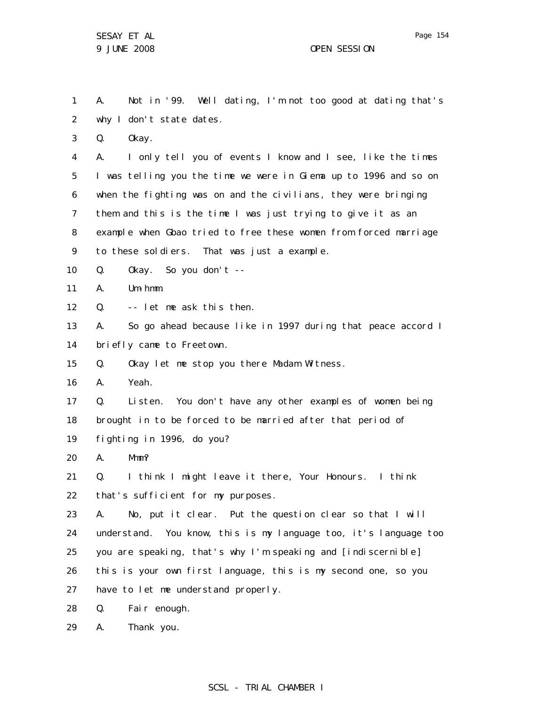1 2 A. Not in '99. Well dating, I'm not too good at dating that's why I don't state dates.

3 Q. Okay.

4 5 6 7 8 9 A. I only tell you of events I know and I see, like the times I was telling you the time we were in Giema up to 1996 and so on when the fighting was on and the civilians, they were bringing them and this is the time I was just trying to give it as an example when Gbao tried to free these women from forced marriage to these soldiers. That was just a example.

10 Q. Okay. So you don't --

11 A. Um-hmm.

12 Q. -- let me ask this then.

13 14 A. So go ahead because like in 1997 during that peace accord I briefly came to Freetown.

15 Q. Okay let me stop you there Madam Witness.

16 A. Yeah.

17 18 19 Q. Listen. You don't have any other examples of women being brought in to be forced to be married after that period of fighting in 1996, do you?

20 A. Mmm?

21 22 Q. I think I might leave it there, Your Honours. I think that's sufficient for my purposes.

23 24 25 26 27 A. No, put it clear. Put the question clear so that I will understand. You know, this is my language too, it's language too you are speaking, that's why I'm speaking and [indiscernible] this is your own first language, this is my second one, so you have to let me understand properly.

28 Q. Fair enough.

29 A. Thank you.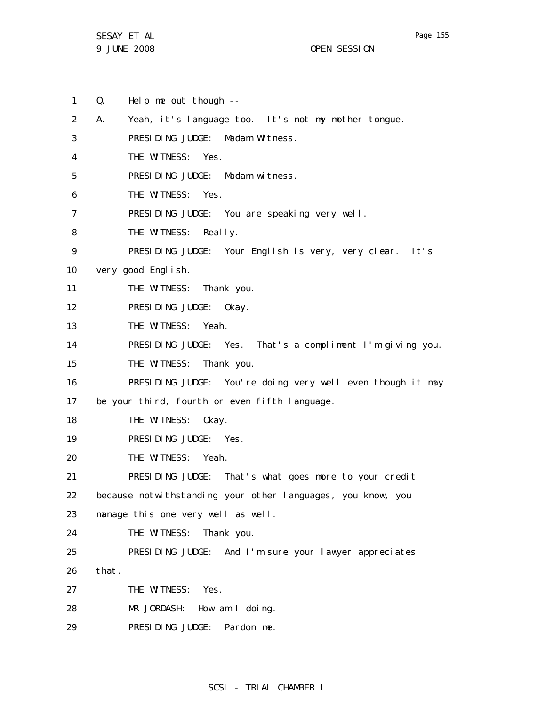SESAY ET AL 9 JUNE 2008 OPEN SESSION

1 2 3 4 5 6 7 8 9 10 11 12 13 14 15 16 17 18 19 20 21 22 23 24 25 26 27 28 29 Q. Help me out though -- A. Yeah, it's language too. It's not my mother tongue. PRESIDING JUDGE: Madam Witness. THE WITNESS: Yes. PRESIDING JUDGE: Madam witness. THE WITNESS: Yes. PRESIDING JUDGE: You are speaking very well. THE WITNESS: Really. PRESIDING JUDGE: Your English is very, very clear. It's very good English. THE WITNESS: Thank you. PRESIDING JUDGE: Okay. THE WITNESS: Yeah. PRESIDING JUDGE: Yes. That's a compliment I'm giving you. THE WITNESS: Thank you. PRESIDING JUDGE: You're doing very well even though it may be your third, fourth or even fifth language. THE WITNESS: Okay. PRESIDING JUDGE: Yes. THE WITNESS: Yeah. PRESIDING JUDGE: That's what goes more to your credit because notwithstanding your other languages, you know, you manage this one very well as well. THE WITNESS: Thank you. PRESIDING JUDGE: And I'm sure your lawyer appreciates that. THE WITNESS: Yes. MR JORDASH: How am I doing. PRESIDING JUDGE: Pardon me.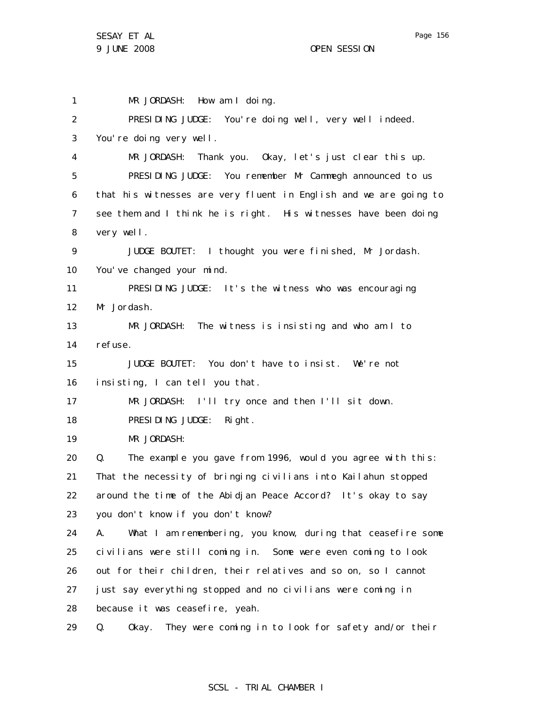1 2 3 4 5 6 7 8 9 10 11 12 13 14 15 16 17 18 19 20 21 22 23 24 25 26 27 28 MR JORDASH: How am I doing. PRESIDING JUDGE: You're doing well, very well indeed. You're doing very well. MR JORDASH: Thank you. Okay, let's just clear this up. PRESIDING JUDGE: You remember Mr Cammegh announced to us that his witnesses are very fluent in English and we are going to see them and I think he is right. His witnesses have been doing very well. JUDGE BOUTET: I thought you were finished, Mr Jordash. You've changed your mind. PRESIDING JUDGE: It's the witness who was encouraging Mr Jordash. MR JORDASH: The witness is insisting and who am I to refuse. JUDGE BOUTET: You don't have to insist. We're not insisting, I can tell you that. MR JORDASH: I'll try once and then I'll sit down. PRESIDING JUDGE: Right. MR JORDASH: Q. The example you gave from 1996, would you agree with this: That the necessity of bringing civilians into Kailahun stopped around the time of the Abidjan Peace Accord? It's okay to say you don't know if you don't know? A. What I am remembering, you know, during that ceasefire some civilians were still coming in. Some were even coming to look out for their children, their relatives and so on, so I cannot just say everything stopped and no civilians were coming in because it was ceasefire, yeah.

29 Q. Okay. They were coming in to look for safety and/or their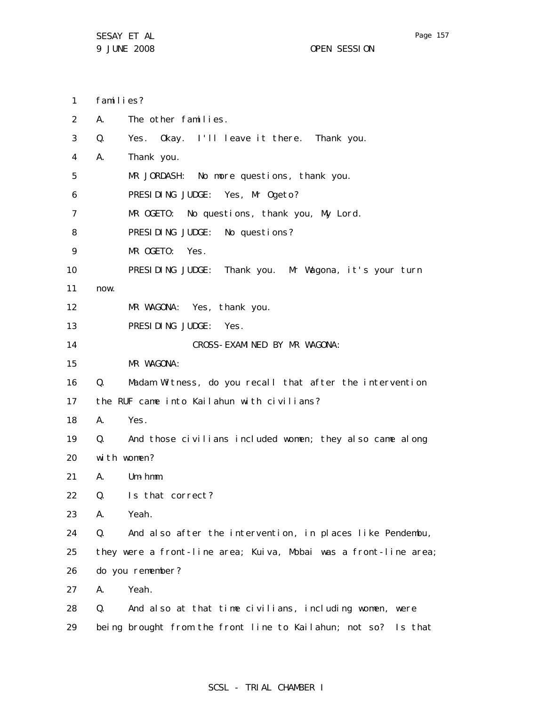29

| $\mathbf{1}$ | families?        |                                                                  |  |  |
|--------------|------------------|------------------------------------------------------------------|--|--|
| 2            | А.               | The other families.                                              |  |  |
| 3            | Q.               | Yes. Okay. I'll leave it there. Thank you.                       |  |  |
| 4            | А.               | Thank you.                                                       |  |  |
| 5            |                  | MR JORDASH: No more questions, thank you.                        |  |  |
| 6            |                  | PRESIDING JUDGE: Yes, Mr Ogeto?                                  |  |  |
| 7            |                  | MR OGETO: No questions, thank you, My Lord.                      |  |  |
| 8            |                  | PRESIDING JUDGE: No questions?                                   |  |  |
| 9            |                  | MR OGETO: Yes.                                                   |  |  |
| 10           |                  | PRESIDING JUDGE: Thank you. Mr Wagona, it's your turn            |  |  |
| 11           | now.             |                                                                  |  |  |
| 12           |                  | MR WAGONA: Yes, thank you.                                       |  |  |
| 13           |                  | PRESIDING JUDGE: Yes.                                            |  |  |
| 14           |                  | CROSS-EXAMINED BY MR WAGONA:                                     |  |  |
| 15           |                  | MR WAGONA:                                                       |  |  |
| 16           | $Q_{\rm A}$      | Madam Witness, do you recall that after the intervention         |  |  |
| 17           |                  | the RUF came into Kailahun with civilians?                       |  |  |
| 18           | A. <b>A.</b>     | Yes.                                                             |  |  |
| 19           |                  | Q. And those civilians included women; they also came along      |  |  |
| 20           | with women?      |                                                                  |  |  |
| 21           | A.               | Um-hmm.                                                          |  |  |
| 22           | Q.               | Is that correct?                                                 |  |  |
| 23           | А.               | Yeah.                                                            |  |  |
| 24           | Q.               | And also after the intervention, in places like Pendembu,        |  |  |
| 25           |                  | they were a front-line area; Kuiva, Mobai was a front-line area; |  |  |
| 26           | do you remember? |                                                                  |  |  |
| 27           | А.               | Yeah.                                                            |  |  |
| 28           | Q.               | And also at that time civilians, including women, were           |  |  |

# SCSL - TRIAL CHAMBER I

being brought from the front line to Kailahun; not so? Is that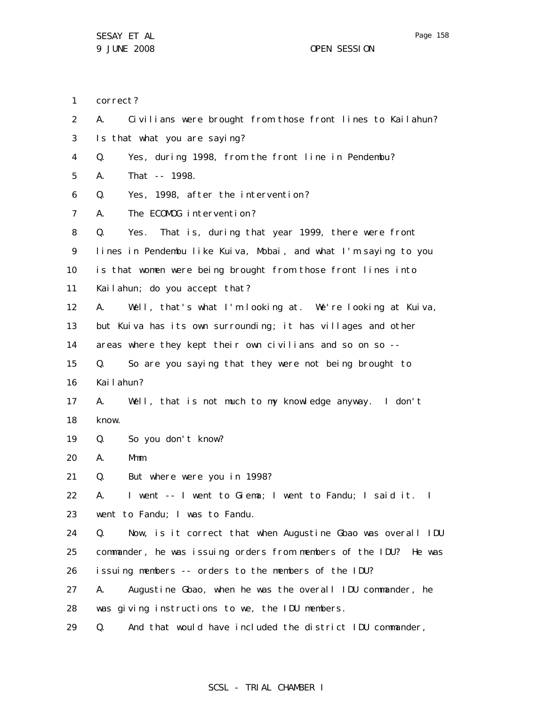2 3 4 5 6 7 8 9 10 11 12 13 14 15 16 17 18 19 20 21 22 23 24 25 26 27 28 29 A. Civilians were brought from those front lines to Kailahun? Is that what you are saying? Q. Yes, during 1998, from the front line in Pendembu? A. That -- 1998. Q. Yes, 1998, after the intervention? A. The ECOMOG intervention? Q. Yes. That is, during that year 1999, there were front lines in Pendembu like Kuiva, Mobai, and what I'm saying to you is that women were being brought from those front lines into Kailahun; do you accept that? A. Well, that's what I'm looking at. We're looking at Kuiva, but Kuiva has its own surrounding; it has villages and other areas where they kept their own civilians and so on so -- Q. So are you saying that they were not being brought to Kailahun? A. Well, that is not much to my knowledge anyway. I don't know. Q. So you don't know? A. Mmm. Q. But where were you in 1998? A. I went -- I went to Giema; I went to Fandu; I said it. I went to Fandu; I was to Fandu. Q. Now, is it correct that when Augustine Gbao was overall IDU commander, he was issuing orders from members of the IDU? He was issuing members -- orders to the members of the IDU? A. Augustine Gbao, when he was the overall IDU commander, he was giving instructions to we, the IDU members. Q. And that would have included the district IDU commander,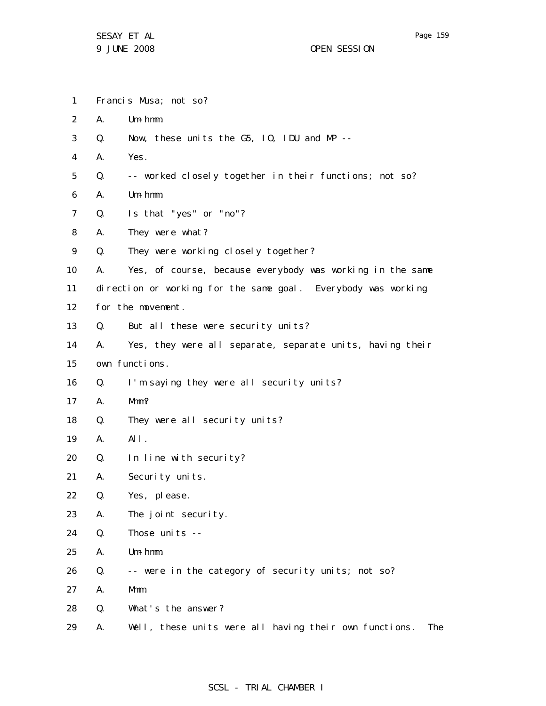SESAY ET AL 9 JUNE 2008 OPEN SESSION

- 1 Francis Musa; not so?
- 2 A. Um-hmm.
- 3 Q. Now, these units the G5, IO, IDU and MP --
- 4 A. Yes.
- 5 Q. -- worked closely together in their functions; not so?
- 6 A. Um-hmm.
- 7 Q. Is that "yes" or "no"?
- 8 A. They were what?
- 9 Q. They were working closely together?
- 10 11 A. Yes, of course, because everybody was working in the same direction or working for the same goal. Everybody was working
- 12 for the movement.
- 13 Q. But all these were security units?
- 14 15 A. Yes, they were all separate, separate units, having their own functions.
- 16 Q. I'm saying they were all security units?
- 17 A. Mmm?
- 18 Q. They were all security units?
- 19 A. All.
- 20 Q. In line with security?

21 A. Security units.

- 22 Q. Yes, please.
- 23 A. The joint security.
- 24 Q. Those units --
- 25 A. Um-hmm.
- 26 Q. -- were in the category of security units; not so?
- 27 A. Mmm.
- 28 Q. What's the answer?
- 29 A. Well, these units were all having their own functions. The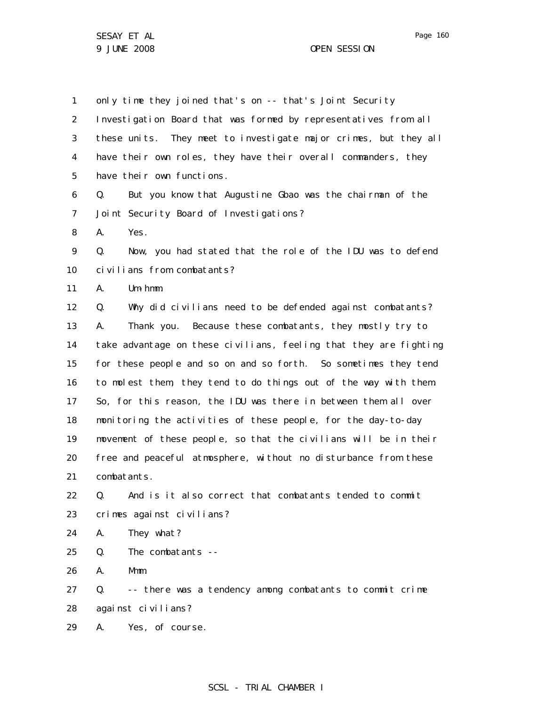1 2 3 4 5 6 7 8 9 10 11 12 13 14 15 16 17 18 19 20 21 22 23 24 25 26 27 28 29 only time they joined that's on -- that's Joint Security Investigation Board that was formed by representatives from all these units. They meet to investigate major crimes, but they all have their own roles, they have their overall commanders, they have their own functions. Q. But you know that Augustine Gbao was the chairman of the Joint Security Board of Investigations? A. Yes. Q. Now, you had stated that the role of the IDU was to defend civilians from combatants? A. Um-hmm. Q. Why did civilians need to be defended against combatants? A. Thank you. Because these combatants, they mostly try to take advantage on these civilians, feeling that they are fighting for these people and so on and so forth. So sometimes they tend to molest them, they tend to do things out of the way with them. So, for this reason, the IDU was there in between them all over monitoring the activities of these people, for the day-to-day movement of these people, so that the civilians will be in their free and peaceful atmosphere, without no disturbance from these combatants. Q. And is it also correct that combatants tended to commit crimes against civilians? A. They what? Q. The combatants -- A. Mmm. Q. -- there was a tendency among combatants to commit crime against civilians? A. Yes, of course.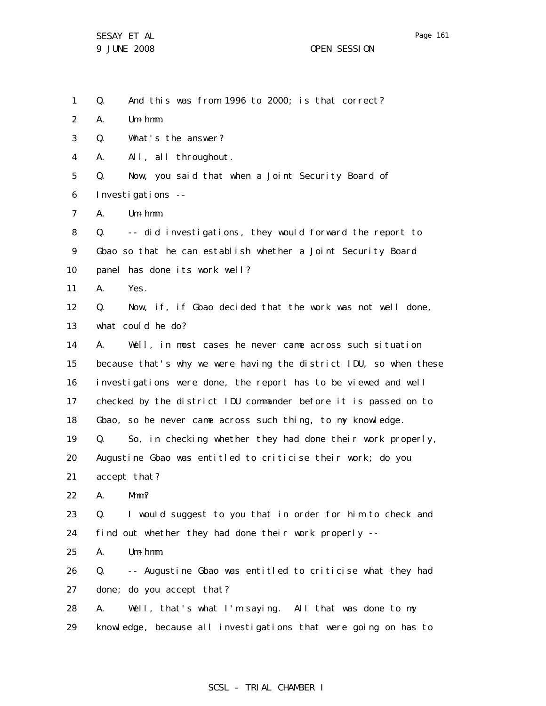1 Q. And this was from 1996 to 2000; is that correct?

2 A. Um-hmm.

3 Q. What's the answer?

4 A. All, all throughout.

5 6 Q. Now, you said that when a Joint Security Board of Investigations --

7 A. Um-hmm.

8 9 10 Q. -- did investigations, they would forward the report to Gbao so that he can establish whether a Joint Security Board panel has done its work well?

11 A. Yes.

12 13 Q. Now, if, if Gbao decided that the work was not well done, what could he do?

14 15 16 17 18 A. Well, in most cases he never came across such situation because that's why we were having the district IDU, so when these investigations were done, the report has to be viewed and well checked by the district IDU commander before it is passed on to Gbao, so he never came across such thing, to my knowledge.

19 Q. So, in checking whether they had done their work properly,

20 Augustine Gbao was entitled to criticise their work; do you

21 accept that?

22 A. Mmm?

23 24 Q. I would suggest to you that in order for him to check and find out whether they had done their work properly --

25 A. Um-hmm.

26 27 Q. -- Augustine Gbao was entitled to criticise what they had done; do you accept that?

28 29 A. Well, that's what I'm saying. All that was done to my knowledge, because all investigations that were going on has to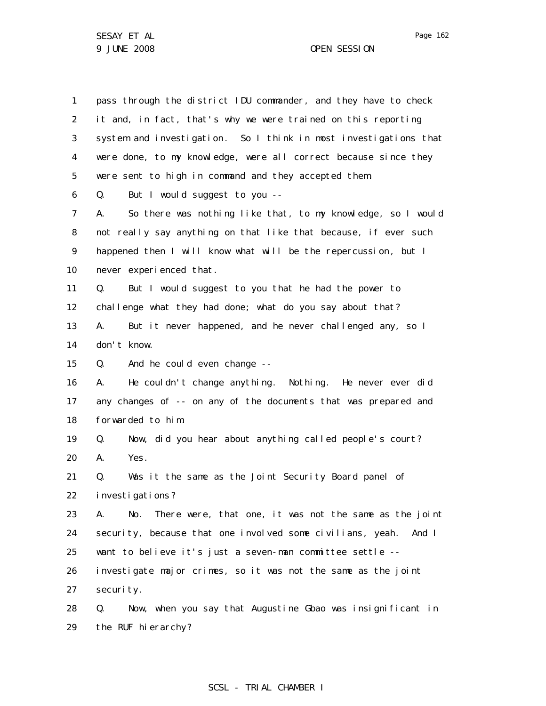1 2 3 4 5 6 7 8 9 10 11 12 13 14 15 16 17 18 19 20 21 22 23 24 25 26 27 28 29 pass through the district IDU commander, and they have to check it and, in fact, that's why we were trained on this reporting system and investigation. So I think in most investigations that were done, to my knowledge, were all correct because since they were sent to high in command and they accepted them. Q. But I would suggest to you -- A. So there was nothing like that, to my knowledge, so I would not really say anything on that like that because, if ever such happened then I will know what will be the repercussion, but I never experienced that. Q. But I would suggest to you that he had the power to challenge what they had done; what do you say about that? A. But it never happened, and he never challenged any, so I don't know. Q. And he could even change -- A. He couldn't change anything. Nothing. He never ever did any changes of -- on any of the documents that was prepared and forwarded to him. Q. Now, did you hear about anything called people's court? A. Yes. Q. Was it the same as the Joint Security Board panel of investigations? A. No. There were, that one, it was not the same as the joint security, because that one involved some civilians, yeah. And I want to believe it's just a seven-man committee settle - investigate major crimes, so it was not the same as the joint security. Q. Now, when you say that Augustine Gbao was insignificant in the RUF hierarchy?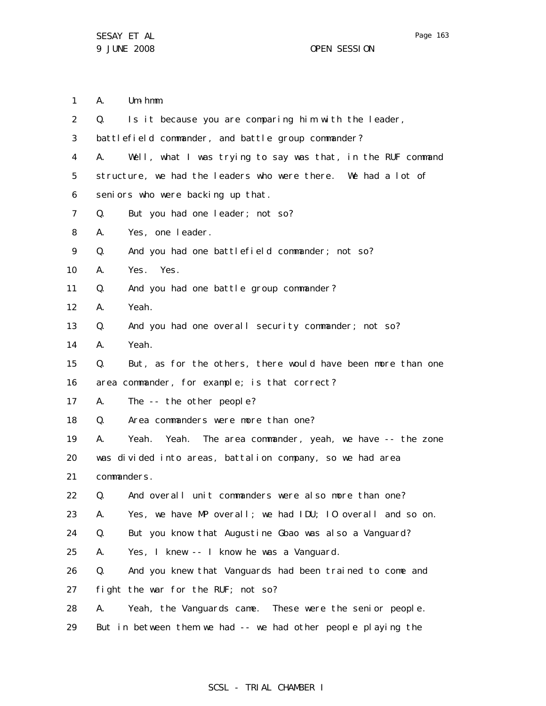1 2 3 4 A. Um-hmm. Q. Is it because you are comparing him with the leader, battlefield commander, and battle group commander? A. Well, what I was trying to say was that, in the RUF command

5 6 structure, we had the leaders who were there. We had a lot of seniors who were backing up that.

- 7 Q. But you had one leader; not so?
- 8 A. Yes, one leader.
- 9 Q. And you had one battlefield commander; not so?
- 10 A. Yes. Yes.
- 11 Q. And you had one battle group commander?
- 12 A. Yeah.
- 13 Q. And you had one overall security commander; not so?
- 14 A. Yeah.
- 15 Q. But, as for the others, there would have been more than one

16 area commander, for example; is that correct?

- 17 A. The -- the other people?
- 18 Q. Area commanders were more than one?

19 A. Yeah. Yeah. The area commander, yeah, we have -- the zone

20 was divided into areas, battalion company, so we had area

21 commanders.

22 Q. And overall unit commanders were also more than one?

23 A. Yes, we have MP overall; we had IDU; IO overall and so on.

24 Q. But you know that Augustine Gbao was also a Vanguard?

25 A. Yes, I knew -- I know he was a Vanguard.

26 Q. And you knew that Vanguards had been trained to come and

27 fight the war for the RUF; not so?

- 28 A. Yeah, the Vanguards came. These were the senior people.
- 29 But in between them we had -- we had other people playing the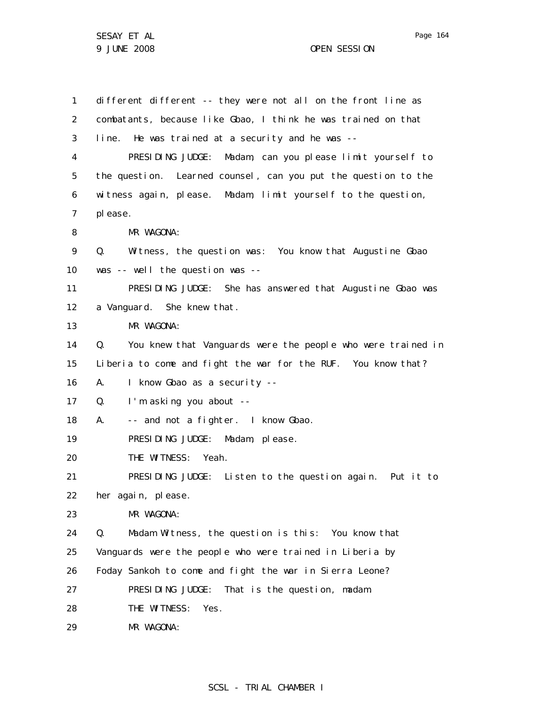1 2 3 4 5 6 7 8 9 10 11 12 13 14 15 16 17 18 19 20 21 22 23 24 25 26 27 28 29 different different -- they were not all on the front line as combatants, because like Gbao, I think he was trained on that line. He was trained at a security and he was -- PRESIDING JUDGE: Madam, can you please limit yourself to the question. Learned counsel, can you put the question to the witness again, please. Madam, limit yourself to the question, please. MR WAGONA: Q. Witness, the question was: You know that Augustine Gbao was -- well the question was -- PRESIDING JUDGE: She has answered that Augustine Gbao was a Vanguard. She knew that. MR WAGONA: Q. You knew that Vanguards were the people who were trained in Liberia to come and fight the war for the RUF. You know that? A. I know Gbao as a security --Q. I'm asking you about -- A. -- and not a fighter. I know Gbao. PRESIDING JUDGE: Madam, please. THE WITNESS: Yeah. PRESIDING JUDGE: Listen to the question again. Put it to her again, please. MR WAGONA: Q. Madam Witness, the question is this: You know that Vanguards were the people who were trained in Liberia by Foday Sankoh to come and fight the war in Sierra Leone? PRESIDING JUDGE: That is the question, madam. THE WITNESS: Yes. MR WAGONA: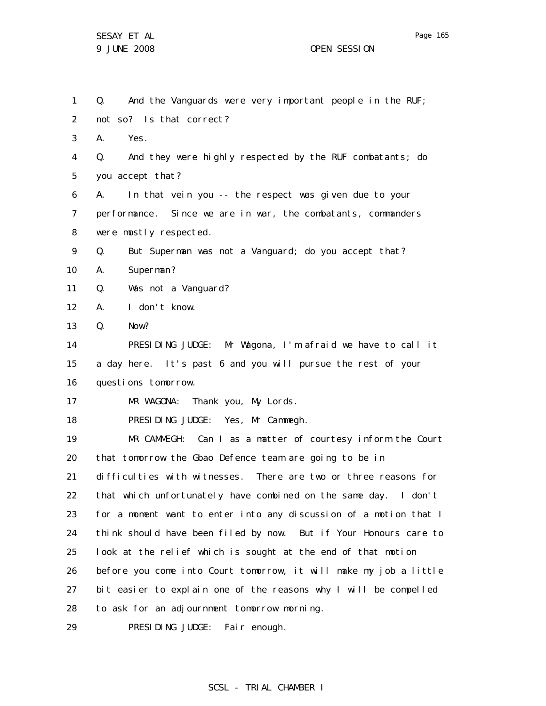1 2 3 4 5 6 7 8 9 10 11 12 13 14 15 16 17 18 19 20 21 22 23 24 25 26 27 28 29 Q. And the Vanguards were very important people in the RUF; not so? Is that correct? A. Yes. Q. And they were highly respected by the RUF combatants; do you accept that? A. In that vein you -- the respect was given due to your performance. Since we are in war, the combatants, commanders were mostly respected. Q. But Superman was not a Vanguard; do you accept that? A. Superman? Q. Was not a Vanguard? A. I don't know. Q. Now? PRESIDING JUDGE: Mr Wagona, I'm afraid we have to call it a day here. It's past 6 and you will pursue the rest of your questions tomorrow. MR WAGONA: Thank you, My Lords. PRESIDING JUDGE: Yes, Mr Cammegh. MR CAMMEGH: Can I as a matter of courtesy inform the Court that tomorrow the Gbao Defence team are going to be in difficulties with witnesses. There are two or three reasons for that which unfortunately have combined on the same day. I don't for a moment want to enter into any discussion of a motion that I think should have been filed by now. But if Your Honours care to look at the relief which is sought at the end of that motion before you come into Court tomorrow, it will make my job a little bit easier to explain one of the reasons why I will be compelled to ask for an adjournment tomorrow morning. PRESIDING JUDGE: Fair enough.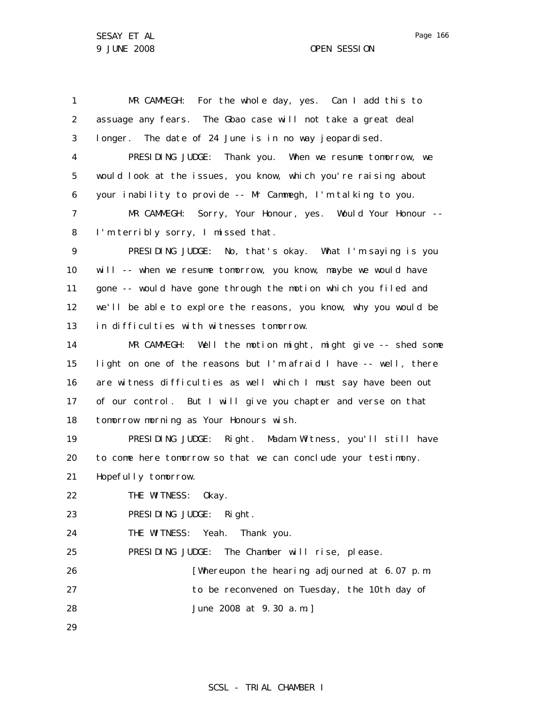1 2 3 4 5 6 7 8 9 10 11 12 13 14 15 16 17 18 19 20 21 22 23 24 25 26 27 28 29 MR CAMMEGH: For the whole day, yes. Can I add this to assuage any fears. The Gbao case will not take a great deal longer. The date of 24 June is in no way jeopardised. PRESIDING JUDGE: Thank you. When we resume tomorrow, we would look at the issues, you know, which you're raising about your inability to provide -- Mr Cammegh, I'm talking to you. MR CAMMEGH: Sorry, Your Honour, yes. Would Your Honour -- I'm terribly sorry, I missed that. PRESIDING JUDGE: No, that's okay. What I'm saying is you will -- when we resume tomorrow, you know, maybe we would have gone -- would have gone through the motion which you filed and we'll be able to explore the reasons, you know, why you would be in difficulties with witnesses tomorrow. MR CAMMEGH: Well the motion might, might give -- shed some light on one of the reasons but I'm afraid I have -- well, there are witness difficulties as well which I must say have been out of our control. But I will give you chapter and verse on that tomorrow morning as Your Honours wish. PRESIDING JUDGE: Right. Madam Witness, you'll still have to come here tomorrow so that we can conclude your testimony. Hopefully tomorrow. THE WITNESS: Okay. PRESIDING JUDGE: Right. THE WITNESS: Yeah. Thank you. PRESIDING JUDGE: The Chamber will rise, please. [Whereupon the hearing adjourned at 6.07 p.m. to be reconvened on Tuesday, the 10th day of June 2008 at 9.30 a.m.]